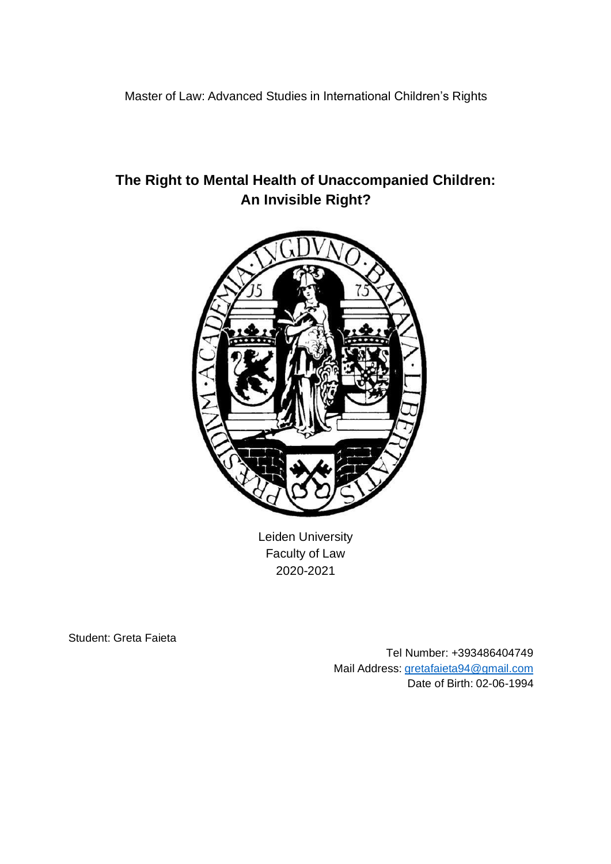Master of Law: Advanced Studies in International Children's Rights

Leiden University Faculty of Law 2020-2021

Student: Greta Faieta

Tel Number: +393486404749 Mail Address: [gretafaieta94@gmail.com](mailto:gretafaieta94@gmail.com) Date of Birth: 02-06-1994

# **The Right to Mental Health of Unaccompanied Children: An Invisible Right?**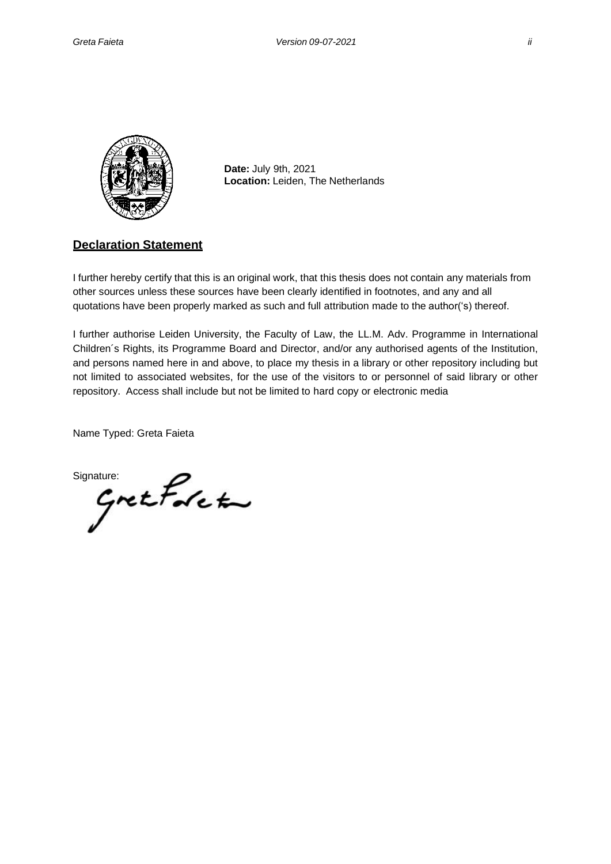

**Date:** July 9th, 2021 **Location:** Leiden, The Netherlands

#### **Declaration Statement**

I further hereby certify that this is an original work, that this thesis does not contain any materials from other sources unless these sources have been clearly identified in footnotes, and any and all quotations have been properly marked as such and full attribution made to the author('s) thereof.

I further authorise Leiden University, the Faculty of Law, the LL.M. Adv. Programme in International Children´s Rights, its Programme Board and Director, and/or any authorised agents of the Institution, and persons named here in and above, to place my thesis in a library or other repository including but not limited to associated websites, for the use of the visitors to or personnel of said library or other repository. Access shall include but not be limited to hard copy or electronic media

Name Typed: Greta Faieta

 $Sipature$ <br> $Gretf$ det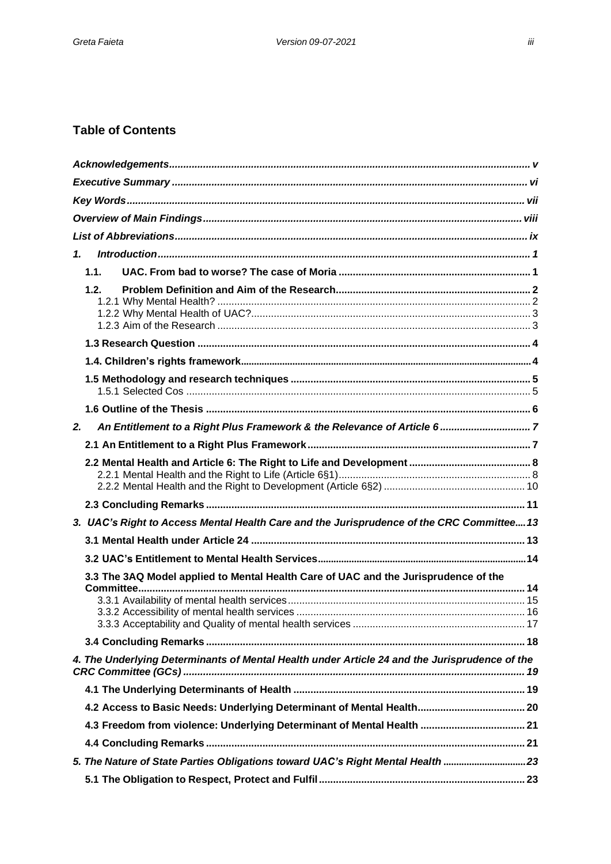## **Table of Contents**

| $\mathbf{1}$                                                                                  |  |  |  |  |
|-----------------------------------------------------------------------------------------------|--|--|--|--|
| 1.1.                                                                                          |  |  |  |  |
| 1.2.                                                                                          |  |  |  |  |
|                                                                                               |  |  |  |  |
|                                                                                               |  |  |  |  |
|                                                                                               |  |  |  |  |
|                                                                                               |  |  |  |  |
| 2.                                                                                            |  |  |  |  |
|                                                                                               |  |  |  |  |
|                                                                                               |  |  |  |  |
|                                                                                               |  |  |  |  |
| 3. UAC's Right to Access Mental Health Care and the Jurisprudence of the CRC Committee 13     |  |  |  |  |
|                                                                                               |  |  |  |  |
|                                                                                               |  |  |  |  |
| 3.3 The 3AQ Model applied to Mental Health Care of UAC and the Jurisprudence of the           |  |  |  |  |
|                                                                                               |  |  |  |  |
|                                                                                               |  |  |  |  |
|                                                                                               |  |  |  |  |
|                                                                                               |  |  |  |  |
| 4. The Underlying Determinants of Mental Health under Article 24 and the Jurisprudence of the |  |  |  |  |
|                                                                                               |  |  |  |  |
|                                                                                               |  |  |  |  |
| 4.3 Freedom from violence: Underlying Determinant of Mental Health  21                        |  |  |  |  |
|                                                                                               |  |  |  |  |
| 5. The Nature of State Parties Obligations toward UAC's Right Mental Health 23                |  |  |  |  |
|                                                                                               |  |  |  |  |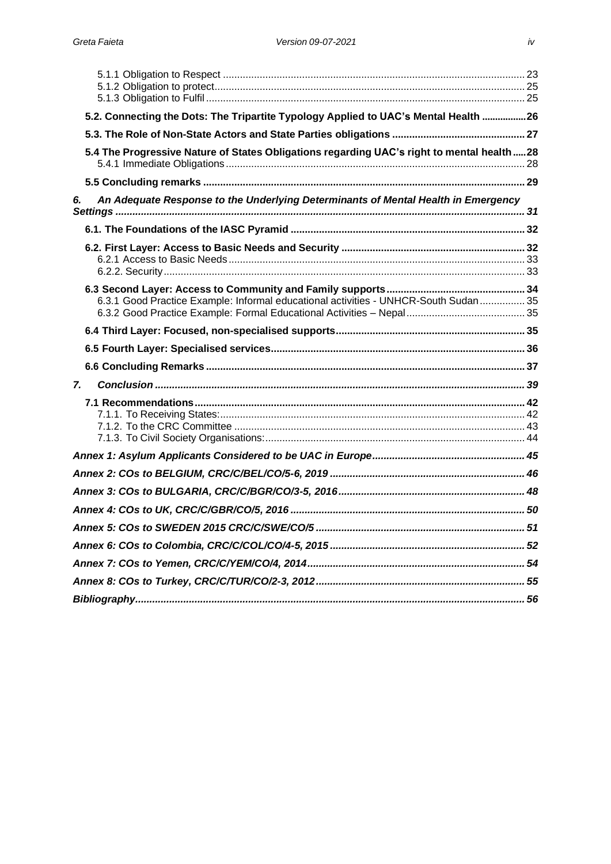|    | 5.2. Connecting the Dots: The Tripartite Typology Applied to UAC's Mental Health 26       |  |
|----|-------------------------------------------------------------------------------------------|--|
|    |                                                                                           |  |
|    | 5.4 The Progressive Nature of States Obligations regarding UAC's right to mental health28 |  |
|    |                                                                                           |  |
| 6. | An Adequate Response to the Underlying Determinants of Mental Health in Emergency         |  |
|    |                                                                                           |  |
|    |                                                                                           |  |
|    |                                                                                           |  |
|    |                                                                                           |  |
|    |                                                                                           |  |
|    |                                                                                           |  |
|    | 6.3.1 Good Practice Example: Informal educational activities - UNHCR-South Sudan  35      |  |
|    |                                                                                           |  |
|    |                                                                                           |  |
|    |                                                                                           |  |
|    |                                                                                           |  |
| 7. |                                                                                           |  |
|    |                                                                                           |  |
|    |                                                                                           |  |
|    |                                                                                           |  |
|    |                                                                                           |  |
|    |                                                                                           |  |
|    |                                                                                           |  |
|    |                                                                                           |  |
|    |                                                                                           |  |
|    |                                                                                           |  |
|    |                                                                                           |  |
|    |                                                                                           |  |
|    |                                                                                           |  |
|    |                                                                                           |  |
|    |                                                                                           |  |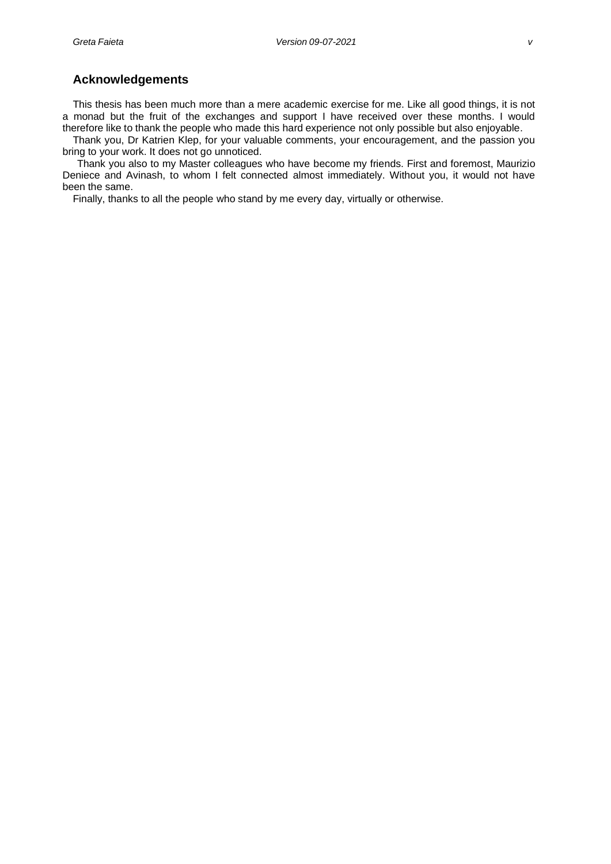#### <span id="page-4-0"></span>**Acknowledgements**

This thesis has been much more than a mere academic exercise for me. Like all good things, it is not a monad but the fruit of the exchanges and support I have received over these months. I would therefore like to thank the people who made this hard experience not only possible but also enjoyable.

Thank you, Dr Katrien Klep, for your valuable comments, your encouragement, and the passion you bring to your work. It does not go unnoticed.

Thank you also to my Master colleagues who have become my friends. First and foremost, Maurizio Deniece and Avinash, to whom I felt connected almost immediately. Without you, it would not have been the same.

Finally, thanks to all the people who stand by me every day, virtually or otherwise.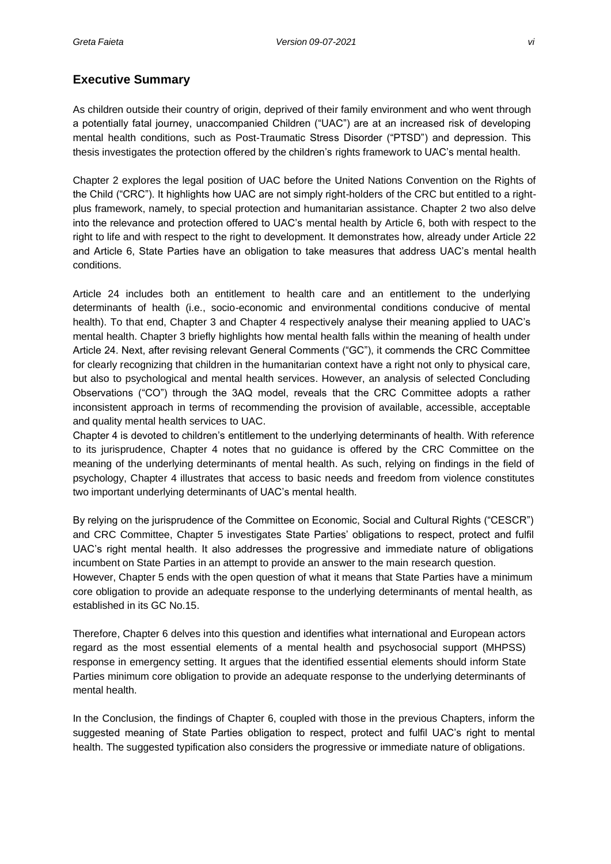## <span id="page-5-0"></span>**Executive Summary**

As children outside their country of origin, deprived of their family environment and who went through a potentially fatal journey, unaccompanied Children ("UAC") are at an increased risk of developing mental health conditions, such as Post-Traumatic Stress Disorder ("PTSD") and depression. This thesis investigates the protection offered by the children's rights framework to UAC's mental health.

Chapter 2 explores the legal position of UAC before the United Nations Convention on the Rights of the Child ("CRC"). It highlights how UAC are not simply right-holders of the CRC but entitled to a rightplus framework, namely, to special protection and humanitarian assistance. Chapter 2 two also delve into the relevance and protection offered to UAC's mental health by Article 6, both with respect to the right to life and with respect to the right to development. It demonstrates how, already under Article 22 and Article 6, State Parties have an obligation to take measures that address UAC's mental health conditions.

Article 24 includes both an entitlement to health care and an entitlement to the underlying determinants of health (i.e., socio-economic and environmental conditions conducive of mental health). To that end, Chapter 3 and Chapter 4 respectively analyse their meaning applied to UAC's mental health. Chapter 3 briefly highlights how mental health falls within the meaning of health under Article 24. Next, after revising relevant General Comments ("GC"), it commends the CRC Committee for clearly recognizing that children in the humanitarian context have a right not only to physical care, but also to psychological and mental health services. However, an analysis of selected Concluding Observations ("CO") through the 3AQ model, reveals that the CRC Committee adopts a rather inconsistent approach in terms of recommending the provision of available, accessible, acceptable and quality mental health services to UAC.

Chapter 4 is devoted to children's entitlement to the underlying determinants of health. With reference to its jurisprudence, Chapter 4 notes that no guidance is offered by the CRC Committee on the meaning of the underlying determinants of mental health. As such, relying on findings in the field of psychology, Chapter 4 illustrates that access to basic needs and freedom from violence constitutes two important underlying determinants of UAC's mental health.

By relying on the jurisprudence of the Committee on Economic, Social and Cultural Rights ("CESCR") and CRC Committee, Chapter 5 investigates State Parties' obligations to respect, protect and fulfil UAC's right mental health. It also addresses the progressive and immediate nature of obligations incumbent on State Parties in an attempt to provide an answer to the main research question.

However, Chapter 5 ends with the open question of what it means that State Parties have a minimum core obligation to provide an adequate response to the underlying determinants of mental health, as established in its GC No.15.

Therefore, Chapter 6 delves into this question and identifies what international and European actors regard as the most essential elements of a mental health and psychosocial support (MHPSS) response in emergency setting. It argues that the identified essential elements should inform State Parties minimum core obligation to provide an adequate response to the underlying determinants of mental health.

In the Conclusion, the findings of Chapter 6, coupled with those in the previous Chapters, inform the suggested meaning of State Parties obligation to respect, protect and fulfil UAC's right to mental health. The suggested typification also considers the progressive or immediate nature of obligations.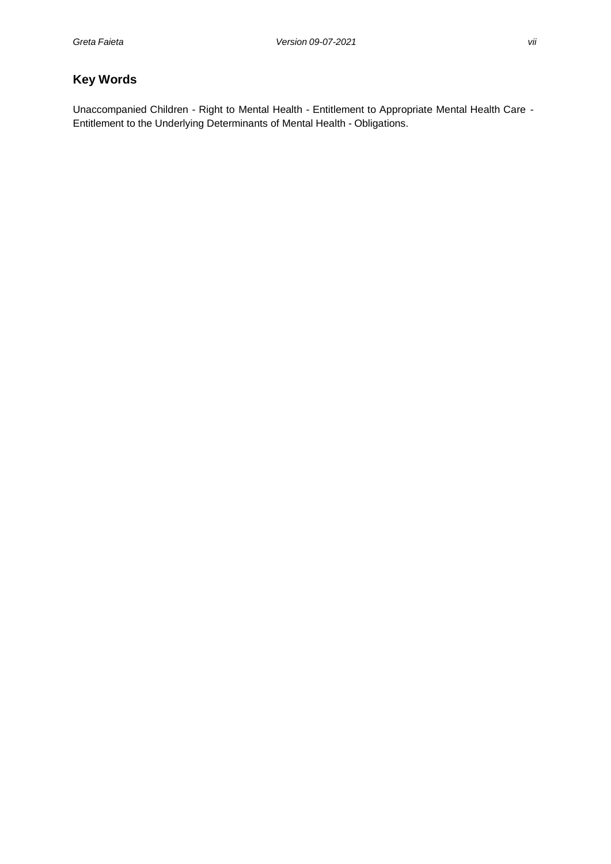## <span id="page-6-0"></span>**Key Words**

Unaccompanied Children - Right to Mental Health - Entitlement to Appropriate Mental Health Care - Entitlement to the Underlying Determinants of Mental Health - Obligations.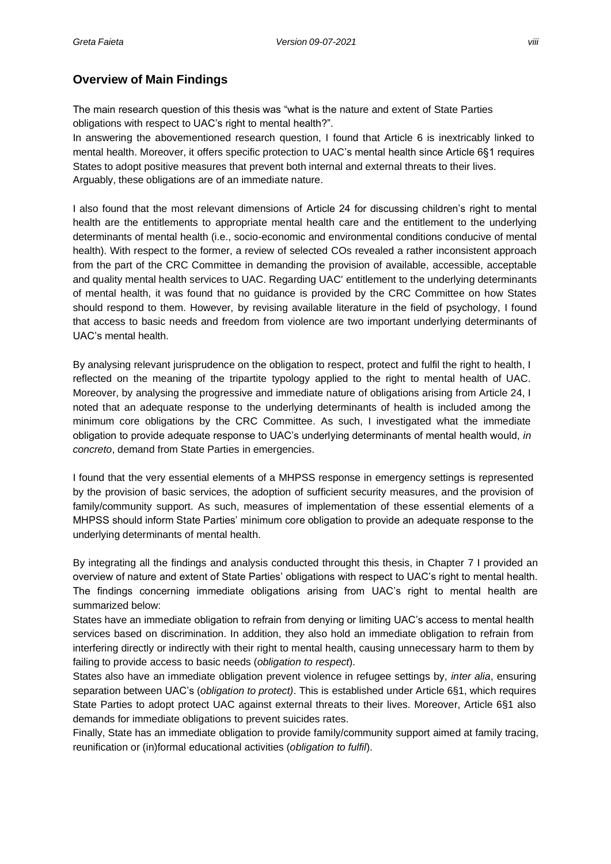## <span id="page-7-0"></span>**Overview of Main Findings**

The main research question of this thesis was "what is the nature and extent of State Parties obligations with respect to UAC's right to mental health?".

In answering the abovementioned research question, I found that Article 6 is inextricably linked to mental health. Moreover, it offers specific protection to UAC's mental health since Article 6§1 requires States to adopt positive measures that prevent both internal and external threats to their lives. Arguably, these obligations are of an immediate nature.

I also found that the most relevant dimensions of Article 24 for discussing children's right to mental health are the entitlements to appropriate mental health care and the entitlement to the underlying determinants of mental health (i.e., socio-economic and environmental conditions conducive of mental health). With respect to the former, a review of selected COs revealed a rather inconsistent approach from the part of the CRC Committee in demanding the provision of available, accessible, acceptable and quality mental health services to UAC. Regarding UAC' entitlement to the underlying determinants of mental health, it was found that no guidance is provided by the CRC Committee on how States should respond to them. However, by revising available literature in the field of psychology, I found that access to basic needs and freedom from violence are two important underlying determinants of UAC's mental health.

By analysing relevant jurisprudence on the obligation to respect, protect and fulfil the right to health, I reflected on the meaning of the tripartite typology applied to the right to mental health of UAC. Moreover, by analysing the progressive and immediate nature of obligations arising from Article 24, I noted that an adequate response to the underlying determinants of health is included among the minimum core obligations by the CRC Committee. As such, I investigated what the immediate obligation to provide adequate response to UAC's underlying determinants of mental health would, *in concreto*, demand from State Parties in emergencies.

I found that the very essential elements of a MHPSS response in emergency settings is represented by the provision of basic services, the adoption of sufficient security measures, and the provision of family/community support. As such, measures of implementation of these essential elements of a MHPSS should inform State Parties' minimum core obligation to provide an adequate response to the underlying determinants of mental health.

By integrating all the findings and analysis conducted throught this thesis, in Chapter 7 I provided an overview of nature and extent of State Parties' obligations with respect to UAC's right to mental health. The findings concerning immediate obligations arising from UAC's right to mental health are summarized below:

States have an immediate obligation to refrain from denying or limiting UAC's access to mental health services based on discrimination. In addition, they also hold an immediate obligation to refrain from interfering directly or indirectly with their right to mental health, causing unnecessary harm to them by failing to provide access to basic needs (*obligation to respect*).

States also have an immediate obligation prevent violence in refugee settings by, *inter alia*, ensuring separation between UAC's (*obligation to protect)*. This is established under Article 6§1, which requires State Parties to adopt protect UAC against external threats to their lives. Moreover, Article 6§1 also demands for immediate obligations to prevent suicides rates.

Finally, State has an immediate obligation to provide family/community support aimed at family tracing, reunification or (in)formal educational activities (*obligation to fulfil*).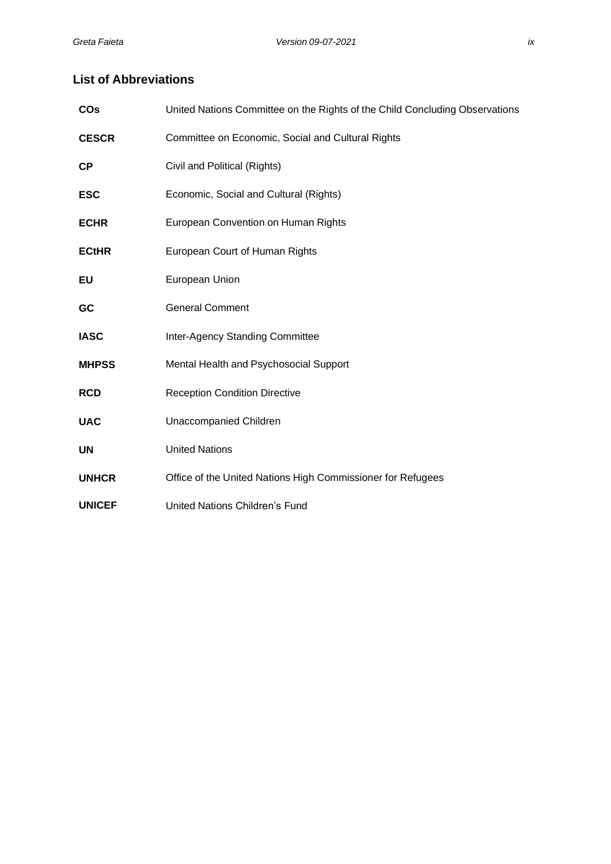## <span id="page-8-0"></span>**List of Abbreviations**

| <b>CO<sub>s</sub></b> | United Nations Committee on the Rights of the Child Concluding Observations |
|-----------------------|-----------------------------------------------------------------------------|
| <b>CESCR</b>          | Committee on Economic, Social and Cultural Rights                           |
| <b>CP</b>             | Civil and Political (Rights)                                                |
| <b>ESC</b>            | Economic, Social and Cultural (Rights)                                      |
| <b>ECHR</b>           | European Convention on Human Rights                                         |
| <b>ECtHR</b>          | European Court of Human Rights                                              |
| EU                    | European Union                                                              |
| GC                    | <b>General Comment</b>                                                      |
| <b>IASC</b>           | Inter-Agency Standing Committee                                             |
| <b>MHPSS</b>          | Mental Health and Psychosocial Support                                      |
| <b>RCD</b>            | <b>Reception Condition Directive</b>                                        |
| <b>UAC</b>            | Unaccompanied Children                                                      |
| <b>UN</b>             | <b>United Nations</b>                                                       |
| <b>UNHCR</b>          | Office of the United Nations High Commissioner for Refugees                 |
| <b>UNICEF</b>         | <b>United Nations Children's Fund</b>                                       |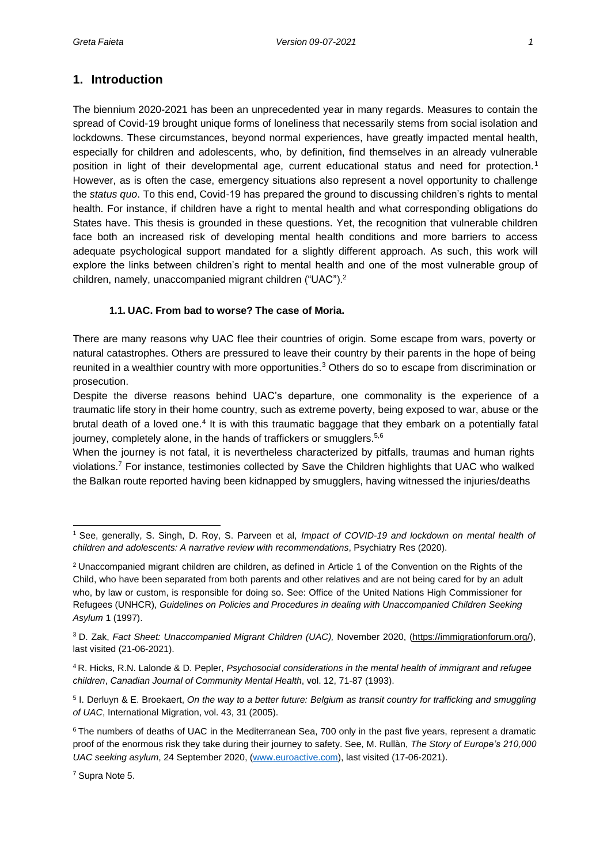### <span id="page-9-0"></span>**1. Introduction**

The biennium 2020-2021 has been an unprecedented year in many regards. Measures to contain the spread of Covid-19 brought unique forms of loneliness that necessarily stems from social isolation and lockdowns. These circumstances, beyond normal experiences, have greatly impacted mental health, especially for children and adolescents, who, by definition, find themselves in an already vulnerable position in light of their developmental age, current educational status and need for protection.<sup>1</sup> However, as is often the case, emergency situations also represent a novel opportunity to challenge the *status quo*. To this end, Covid-19 has prepared the ground to discussing children's rights to mental health. For instance, if children have a right to mental health and what corresponding obligations do States have. This thesis is grounded in these questions. Yet, the recognition that vulnerable children face both an increased risk of developing mental health conditions and more barriers to access adequate psychological support mandated for a slightly different approach. As such, this work will explore the links between children's right to mental health and one of the most vulnerable group of children, namely, unaccompanied migrant children ("UAC").<sup>2</sup>

#### **1.1. UAC. From bad to worse? The case of Moria.**

<span id="page-9-1"></span>There are many reasons why UAC flee their countries of origin. Some escape from wars, poverty or natural catastrophes. Others are pressured to leave their country by their parents in the hope of being reunited in a wealthier country with more opportunities.<sup>3</sup> Others do so to escape from discrimination or prosecution.

Despite the diverse reasons behind UAC's departure, one commonality is the experience of a traumatic life story in their home country, such as extreme poverty, being exposed to war, abuse or the brutal death of a loved one.<sup>4</sup> It is with this traumatic baggage that they embark on a potentially fatal journey, completely alone, in the hands of traffickers or smugglers.<sup>5,6</sup>

When the journey is not fatal, it is nevertheless characterized by pitfalls, traumas and human rights violations.<sup>7</sup> For instance, testimonies collected by Save the Children highlights that UAC who walked the Balkan route reported having been kidnapped by smugglers, having witnessed the injuries/deaths

<sup>1</sup>See, generally, S. Singh, D. Roy, S. Parveen et al, *Impact of COVID-19 and lockdown on mental health of children and adolescents: A narrative review with recommendations*, Psychiatry Res (2020).

<sup>2</sup> Unaccompanied migrant children are children, as defined in Article 1 of the Convention on the Rights of the Child, who have been separated from both parents and other relatives and are not being cared for by an adult who, by law or custom, is responsible for doing so. See: Office of the United Nations High Commissioner for Refugees (UNHCR), *Guidelines on Policies and Procedures in dealing with Unaccompanied Children Seeking Asylum* 1 (1997).

<sup>3</sup>D. Zak, *Fact Sheet: Unaccompanied Migrant Children (UAC),* November 2020, [\(https://immigrationforum.org/\)](https://immigrationforum.org/), last visited (21-06-2021).

<sup>4</sup>R. Hicks, R.N. Lalonde & D. Pepler, *Psychosocial considerations in the mental health of immigrant and refugee children*, *Canadian Journal of Community Mental Health*, vol. 12, 71-87 (1993).

<sup>5</sup> I. Derluyn & E. Broekaert, *On the way to a better future: Belgium as transit country for trafficking and smuggling of UAC*, International Migration, vol. 43, 31 (2005).

<sup>&</sup>lt;sup>6</sup> The numbers of deaths of UAC in the Mediterranean Sea, 700 only in the past five years, represent a dramatic proof of the enormous risk they take during their journey to safety. See, M. Rullàn, *The Story of Europe's 210,000 UAC seeking asylum*, 24 September 2020[, \(www.euroactive.com\)](http://www.euroactive.com/), last visited (17-06-2021).

<sup>7</sup> Supra Note 5.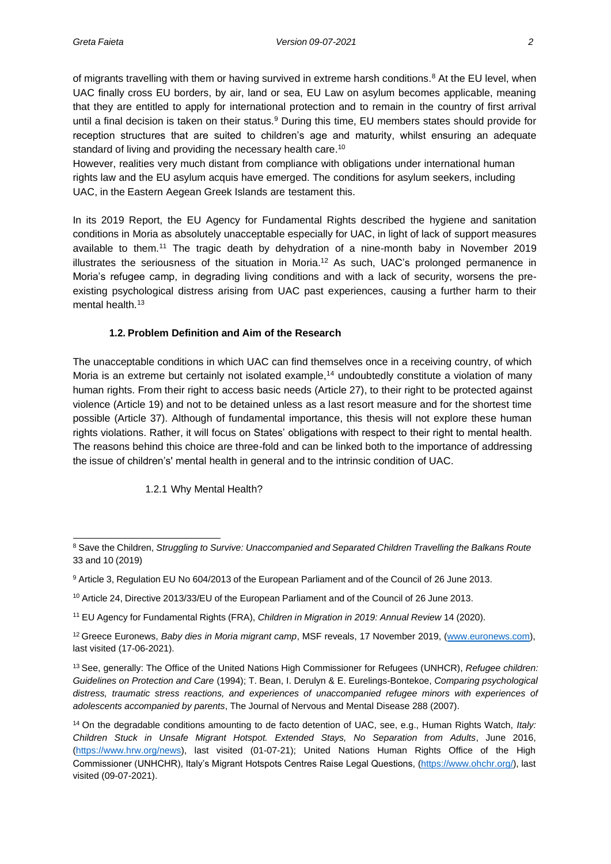of migrants travelling with them or having survived in extreme harsh conditions.<sup>8</sup> At the EU level, when UAC finally cross EU borders, by air, land or sea, EU Law on asylum becomes applicable, meaning that they are entitled to apply for international protection and to remain in the country of first arrival until a final decision is taken on their status.<sup>9</sup> During this time, EU members states should provide for reception structures that are suited to children's age and maturity, whilst ensuring an adequate standard of living and providing the necessary health care.<sup>10</sup>

However, realities very much distant from compliance with obligations under international human rights law and the EU asylum acquis have emerged. The conditions for asylum seekers, including UAC, in the Eastern Aegean Greek Islands are testament this.

In its 2019 Report, the EU Agency for Fundamental Rights described the hygiene and sanitation conditions in Moria as absolutely unacceptable especially for UAC, in light of lack of support measures available to them.<sup>11</sup> The tragic death by dehydration of a nine-month baby in November 2019 illustrates the seriousness of the situation in Moria.<sup>12</sup> As such, UAC's prolonged permanence in Moria's refugee camp, in degrading living conditions and with a lack of security, worsens the preexisting psychological distress arising from UAC past experiences, causing a further harm to their mental health.<sup>13</sup>

#### **1.2. Problem Definition and Aim of the Research**

<span id="page-10-0"></span>The unacceptable conditions in which UAC can find themselves once in a receiving country, of which Moria is an extreme but certainly not isolated example,<sup>14</sup> undoubtedly constitute a violation of many human rights. From their right to access basic needs (Article 27), to their right to be protected against violence (Article 19) and not to be detained unless as a last resort measure and for the shortest time possible (Article 37). Although of fundamental importance, this thesis will not explore these human rights violations. Rather, it will focus on States' obligations with respect to their right to mental health. The reasons behind this choice are three-fold and can be linked both to the importance of addressing the issue of children's' mental health in general and to the intrinsic condition of UAC.

#### 1.2.1 Why Mental Health?

<span id="page-10-1"></span><sup>8</sup> Save the Children, *Struggling to Survive: Unaccompanied and Separated Children Travelling the Balkans Route* 33 and 10 (2019)

<sup>9</sup> Article 3, Regulation EU No 604/2013 of the European Parliament and of the Council of 26 June 2013.

<sup>10</sup> Article 24, Directive 2013/33/EU of the European Parliament and of the Council of 26 June 2013.

<sup>11</sup> EU Agency for Fundamental Rights (FRA), *Children in Migration in 2019: Annual Review* 14 (2020).

<sup>12</sup>Greece Euronews, *Baby dies in Moria migrant camp*, MSF reveals, 17 November 2019, [\(www.euronews.com\)](http://www.euronews.com/), last visited (17-06-2021).

<sup>13</sup>See, generally: The Office of the United Nations High Commissioner for Refugees (UNHCR), *Refugee children: Guidelines on Protection and Care* (1994); T. Bean, I. Derulyn & E. Eurelings-Bontekoe, *Comparing psychological distress, traumatic stress reactions, and experiences of unaccompanied refugee minors with experiences of adolescents accompanied by parents*, The Journal of Nervous and Mental Disease 288 (2007).

<sup>14</sup>On the degradable conditions amounting to de facto detention of UAC, see, e.g., Human Rights Watch, *Italy: Children Stuck in Unsafe Migrant Hotspot. Extended Stays, No Separation from Adults*, June 2016, [\(https://www.hrw.org/news\)](https://www.hrw.org/news), last visited (01-07-21); United Nations Human Rights Office of the High Commissioner (UNHCHR), Italy's Migrant Hotspots Centres Raise Legal Questions, [\(https://www.ohchr.org/\)](https://www.ohchr.org/), last visited (09-07-2021).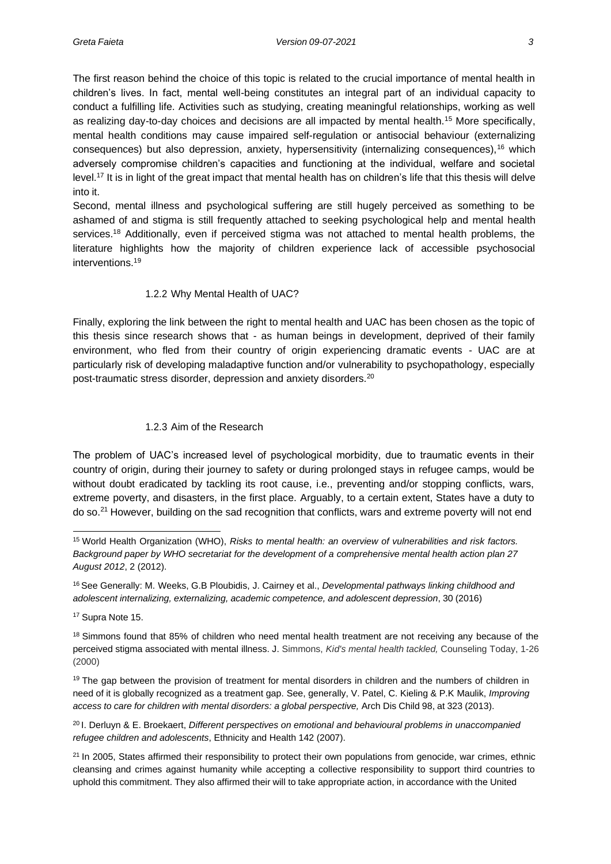The first reason behind the choice of this topic is related to the crucial importance of mental health in children's lives. In fact, mental well-being constitutes an integral part of an individual capacity to conduct a fulfilling life. Activities such as studying, creating meaningful relationships, working as well as realizing day-to-day choices and decisions are all impacted by mental health.<sup>15</sup> More specifically, mental health conditions may cause impaired self-regulation or antisocial behaviour (externalizing consequences) but also depression, anxiety, hypersensitivity (internalizing consequences),<sup>16</sup> which adversely compromise children's capacities and functioning at the individual, welfare and societal level.<sup>17</sup> It is in light of the great impact that mental health has on children's life that this thesis will delve into it.

Second, mental illness and psychological suffering are still hugely perceived as something to be ashamed of and stigma is still frequently attached to seeking psychological help and mental health services.<sup>18</sup> Additionally, even if perceived stigma was not attached to mental health problems, the literature highlights how the majority of children experience lack of accessible psychosocial interventions.<sup>19</sup>

#### 1.2.2 Why Mental Health of UAC?

<span id="page-11-0"></span>Finally, exploring the link between the right to mental health and UAC has been chosen as the topic of this thesis since research shows that - as human beings in development, deprived of their family environment, who fled from their country of origin experiencing dramatic events - UAC are at particularly risk of developing maladaptive function and/or vulnerability to psychopathology, especially post-traumatic stress disorder, depression and anxiety disorders.<sup>20</sup>

#### 1.2.3 Aim of the Research

<span id="page-11-1"></span>The problem of UAC's increased level of psychological morbidity, due to traumatic events in their country of origin, during their journey to safety or during prolonged stays in refugee camps, would be without doubt eradicated by tackling its root cause, i.e., preventing and/or stopping conflicts, wars, extreme poverty, and disasters, in the first place. Arguably, to a certain extent, States have a duty to do so.<sup>21</sup> However, building on the sad recognition that conflicts, wars and extreme poverty will not end

<sup>15</sup>World Health Organization (WHO), *Risks to mental health: an overview of vulnerabilities and risk factors. Background paper by WHO secretariat for the development of a comprehensive mental health action plan 27 August 2012*, 2 (2012).

<sup>&</sup>lt;sup>16</sup> See Generally: M. Weeks, G.B Ploubidis, J. Cairney et al., *Developmental pathways linking childhood and adolescent internalizing, externalizing, academic competence, and adolescent depression*, 30 (2016)

<sup>17</sup> Supra Note 15.

<sup>&</sup>lt;sup>18</sup> Simmons found that 85% of children who need mental health treatment are not receiving any because of the perceived stigma associated with mental illness. J. Simmons, *Kid's mental health tackled,* Counseling Today, 1-26 (2000)

<sup>&</sup>lt;sup>19</sup> The gap between the provision of treatment for mental disorders in children and the numbers of children in need of it is globally recognized as a treatment gap. See, generally, V. Patel, C. Kieling & P.K Maulik, *Improving access to care for children with mental disorders: a global perspective,* Arch Dis Child 98, at 323 (2013).

<sup>20</sup>I. Derluyn & E. Broekaert, *Different perspectives on emotional and behavioural problems in unaccompanied refugee children and adolescents*, Ethnicity and Health 142 (2007).

<sup>&</sup>lt;sup>21</sup> In 2005, States affirmed their responsibility to protect their own populations from genocide, war crimes, ethnic cleansing and crimes against humanity while accepting a collective responsibility to support third countries to uphold this commitment. They also affirmed their will to take appropriate action, in accordance with the United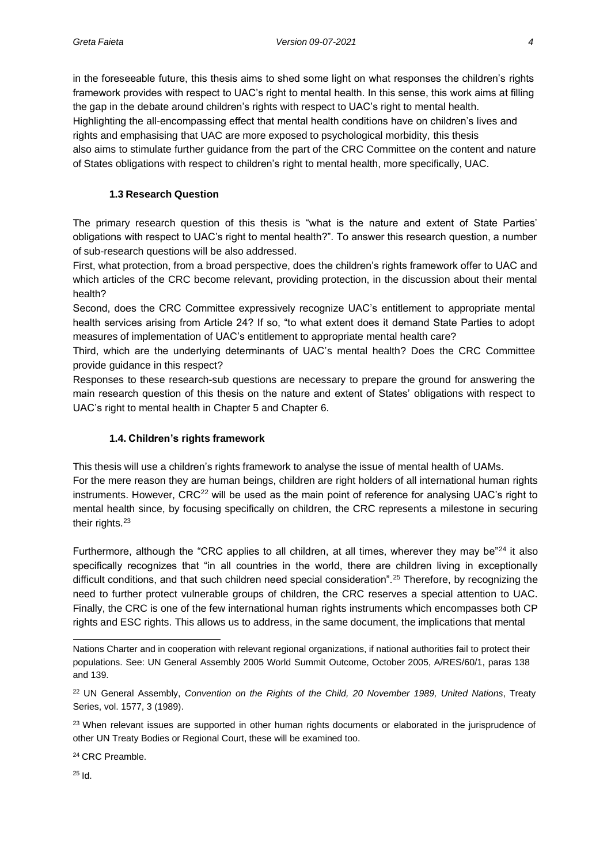in the foreseeable future, this thesis aims to shed some light on what responses the children's rights framework provides with respect to UAC's right to mental health. In this sense, this work aims at filling the gap in the debate around children's rights with respect to UAC's right to mental health. Highlighting the all-encompassing effect that mental health conditions have on children's lives and rights and emphasising that UAC are more exposed to psychological morbidity, this thesis also aims to stimulate further guidance from the part of the CRC Committee on the content and nature of States obligations with respect to children's right to mental health, more specifically, UAC.

#### **1.3 Research Question**

<span id="page-12-0"></span>The primary research question of this thesis is "what is the nature and extent of State Parties' obligations with respect to UAC's right to mental health?". To answer this research question, a number of sub-research questions will be also addressed.

First, what protection, from a broad perspective, does the children's rights framework offer to UAC and which articles of the CRC become relevant, providing protection, in the discussion about their mental health?

Second, does the CRC Committee expressively recognize UAC's entitlement to appropriate mental health services arising from Article 24? If so, "to what extent does it demand State Parties to adopt measures of implementation of UAC's entitlement to appropriate mental health care?

Third, which are the underlying determinants of UAC's mental health? Does the CRC Committee provide guidance in this respect?

Responses to these research-sub questions are necessary to prepare the ground for answering the main research question of this thesis on the nature and extent of States' obligations with respect to UAC's right to mental health in Chapter 5 and Chapter 6.

#### **1.4. Children's rights framework**

<span id="page-12-1"></span>This thesis will use a children's rights framework to analyse the issue of mental health of UAMs. For the mere reason they are human beings, children are right holders of all international human rights instruments. However, CRC<sup>22</sup> will be used as the main point of reference for analysing UAC's right to mental health since, by focusing specifically on children, the CRC represents a milestone in securing their rights.<sup>23</sup>

Furthermore, although the "CRC applies to all children, at all times, wherever they may be" $24$  it also specifically recognizes that "in all countries in the world, there are children living in exceptionally difficult conditions, and that such children need special consideration".<sup>25</sup> Therefore, by recognizing the need to further protect vulnerable groups of children, the CRC reserves a special attention to UAC. Finally, the CRC is one of the few international human rights instruments which encompasses both CP rights and ESC rights. This allows us to address, in the same document, the implications that mental

<sup>24</sup> CRC Preamble.

<sup>25</sup> Id.

Nations Charter and in cooperation with relevant regional organizations, if national authorities fail to protect their populations. See: UN General Assembly 2005 World Summit Outcome, October 2005, A/RES/60/1, paras 138 and 139.

<sup>22</sup> UN General Assembly, *Convention on the Rights of the Child, 20 November 1989, United Nations*, Treaty Series, vol. 1577, 3 (1989).

<sup>&</sup>lt;sup>23</sup> When relevant issues are supported in other human rights documents or elaborated in the jurisprudence of other UN Treaty Bodies or Regional Court, these will be examined too.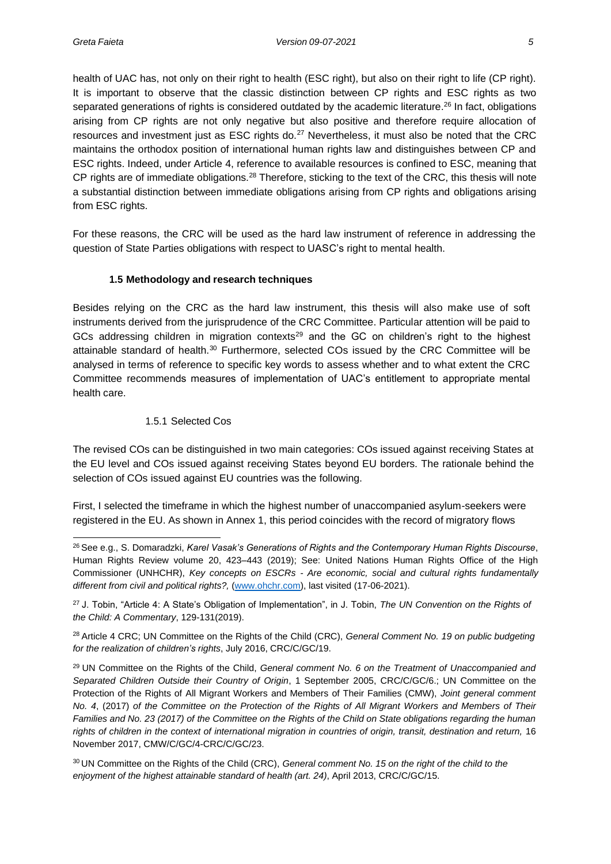health of UAC has, not only on their right to health (ESC right), but also on their right to life (CP right). It is important to observe that the classic distinction between CP rights and ESC rights as two separated generations of rights is considered outdated by the academic literature.<sup>26</sup> In fact, obligations arising from CP rights are not only negative but also positive and therefore require allocation of resources and investment just as ESC rights do.<sup>27</sup> Nevertheless, it must also be noted that the CRC maintains the orthodox position of international human rights law and distinguishes between CP and ESC rights. Indeed, under Article 4, reference to available resources is confined to ESC, meaning that CP rights are of immediate obligations.<sup>28</sup> Therefore, sticking to the text of the CRC, this thesis will note a substantial distinction between immediate obligations arising from CP rights and obligations arising from ESC rights.

For these reasons, the CRC will be used as the hard law instrument of reference in addressing the question of State Parties obligations with respect to UASC's right to mental health.

#### **1.5 Methodology and research techniques**

<span id="page-13-0"></span>Besides relying on the CRC as the hard law instrument, this thesis will also make use of soft instruments derived from the jurisprudence of the CRC Committee. Particular attention will be paid to GCs addressing children in migration contexts<sup>29</sup> and the GC on children's right to the highest attainable standard of health.<sup>30</sup> Furthermore, selected COs issued by the CRC Committee will be analysed in terms of reference to specific key words to assess whether and to what extent the CRC Committee recommends measures of implementation of UAC's entitlement to appropriate mental health care.

#### 1.5.1 Selected Cos

<span id="page-13-1"></span>The revised COs can be distinguished in two main categories: COs issued against receiving States at the EU level and COs issued against receiving States beyond EU borders. The rationale behind the selection of COs issued against EU countries was the following.

First, I selected the timeframe in which the highest number of unaccompanied asylum-seekers were registered in the EU. As shown in Annex 1, this period coincides with the record of migratory flows

<sup>28</sup> Article 4 CRC; UN Committee on the Rights of the Child (CRC), *General Comment No. 19 on public budgeting for the realization of children's rights*, July 2016, CRC/C/GC/19.

<sup>29</sup>UN Committee on the Rights of the Child, *General comment No. 6 on the Treatment of Unaccompanied and Separated Children Outside their Country of Origin*, 1 September 2005, CRC/C/GC/6.; UN Committee on the Protection of the Rights of All Migrant Workers and Members of Their Families (CMW), *Joint general comment No. 4*, (2017) *of the Committee on the Protection of the Rights of All Migrant Workers and Members of Their Families and No. 23 (2017) of the Committee on the Rights of the Child on State obligations regarding the human* rights of children in the context of international migration in countries of origin, transit, destination and return, 16 November 2017, CMW/C/GC/4-CRC/C/GC/23.

<sup>26</sup>See e.g., S. Domaradzki, *Karel Vasak's Generations of Rights and the Contemporary Human Rights Discourse*, Human Rights Review volume 20, 423–443 (2019); See: United Nations Human Rights Office of the High Commissioner (UNHCHR), *Key concepts on ESCRs - Are economic, social and cultural rights fundamentally different from civil and political rights?,* [\(www.ohchr.com\)](http://www.ohchr.com/), last visited (17-06-2021).

<sup>27</sup>J. Tobin, "Article 4: A State's Obligation of Implementation", in J. Tobin, *The UN Convention on the Rights of the Child: A Commentary*, 129-131(2019).

<sup>30</sup>UN Committee on the Rights of the Child (CRC), *General comment No. 15 on the right of the child to the enjoyment of the highest attainable standard of health (art. 24)*, April 2013, CRC/C/GC/15.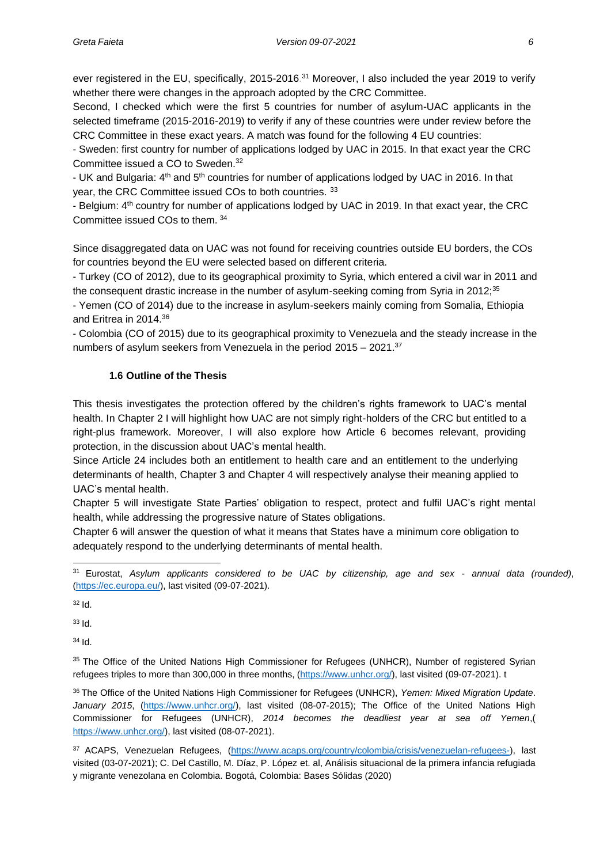ever registered in the EU, specifically, 2015-2016.<sup>31</sup> Moreover, I also included the year 2019 to verify whether there were changes in the approach adopted by the CRC Committee.

Second, I checked which were the first 5 countries for number of asylum-UAC applicants in the selected timeframe (2015-2016-2019) to verify if any of these countries were under review before the CRC Committee in these exact years. A match was found for the following 4 EU countries:

- Sweden: first country for number of applications lodged by UAC in 2015. In that exact year the CRC Committee issued a CO to Sweden.<sup>32</sup>

- UK and Bulgaria: 4th and 5th countries for number of applications lodged by UAC in 2016. In that year, the CRC Committee issued COs to both countries. <sup>33</sup>

- Belgium: 4th country for number of applications lodged by UAC in 2019. In that exact year, the CRC Committee issued COs to them. <sup>34</sup>

Since disaggregated data on UAC was not found for receiving countries outside EU borders, the COs for countries beyond the EU were selected based on different criteria.

- Turkey (CO of 2012), due to its geographical proximity to Syria, which entered a civil war in 2011 and the consequent drastic increase in the number of asylum-seeking coming from Syria in 2012;<sup>35</sup>

- Yemen (CO of 2014) due to the increase in asylum-seekers mainly coming from Somalia, Ethiopia and Eritrea in 2014.<sup>36</sup>

- Colombia (CO of 2015) due to its geographical proximity to Venezuela and the steady increase in the numbers of asylum seekers from Venezuela in the period 2015 – 2021.<sup>37</sup>

#### **1.6 Outline of the Thesis**

<span id="page-14-0"></span>This thesis investigates the protection offered by the children's rights framework to UAC's mental health. In Chapter 2 I will highlight how UAC are not simply right-holders of the CRC but entitled to a right-plus framework. Moreover, I will also explore how Article 6 becomes relevant, providing protection, in the discussion about UAC's mental health.

Since Article 24 includes both an entitlement to health care and an entitlement to the underlying determinants of health, Chapter 3 and Chapter 4 will respectively analyse their meaning applied to UAC's mental health.

Chapter 5 will investigate State Parties' obligation to respect, protect and fulfil UAC's right mental health, while addressing the progressive nature of States obligations.

Chapter 6 will answer the question of what it means that States have a minimum core obligation to adequately respond to the underlying determinants of mental health.

 $32$  Id.

<sup>33</sup> Id.

<sup>34</sup> Id.

35 The Office of the United Nations High Commissioner for Refugees (UNHCR), Number of registered Syrian refugees triples to more than 300,000 in three months, [\(https://www.unhcr.org/\)](https://www.unhcr.org/), last visited (09-07-2021). t

<sup>36</sup>The Office of the United Nations High Commissioner for Refugees (UNHCR), *Yemen: Mixed Migration Update*. *January 2015*, [\(https://www.unhcr.org/\)](https://www.unhcr.org/), last visited (08-07-2015); The Office of the United Nations High Commissioner for Refugees (UNHCR), *2014 becomes the deadliest year at sea off Yemen*,( [https://www.unhcr.org/\)](https://www.unhcr.org/), last visited (08-07-2021).

37 ACAPS, Venezuelan Refugees, [\(https://www.acaps.org/country/colombia/crisis/venezuelan-refugees-\)](https://www.acaps.org/country/colombia/crisis/venezuelan-refugees-), last visited (03-07-2021); C. Del Castillo, M. Díaz, P. López et. al, Análisis situacional de la primera infancia refugiada y migrante venezolana en Colombia. Bogotá, Colombia: Bases Sólidas (2020)

<sup>31</sup>Eurostat, *Asylum applicants considered to be UAC by citizenship, age and sex - annual data (rounded)*, [\(https://ec.europa.eu/\)](https://ec.europa.eu/), last visited (09-07-2021).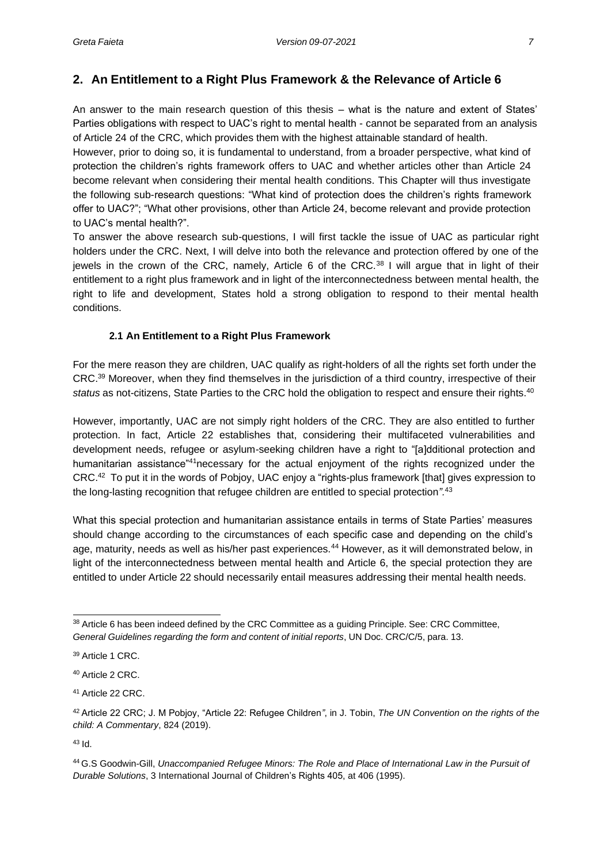## <span id="page-15-0"></span>**2. An Entitlement to a Right Plus Framework & the Relevance of Article 6**

An answer to the main research question of this thesis – what is the nature and extent of States' Parties obligations with respect to UAC's right to mental health - cannot be separated from an analysis of Article 24 of the CRC, which provides them with the highest attainable standard of health.

However, prior to doing so, it is fundamental to understand, from a broader perspective, what kind of protection the children's rights framework offers to UAC and whether articles other than Article 24 become relevant when considering their mental health conditions. This Chapter will thus investigate the following sub-research questions: "What kind of protection does the children's rights framework offer to UAC?"; "What other provisions, other than Article 24, become relevant and provide protection to UAC's mental health?".

To answer the above research sub-questions, I will first tackle the issue of UAC as particular right holders under the CRC. Next, I will delve into both the relevance and protection offered by one of the jewels in the crown of the CRC, namely, Article 6 of the CRC.<sup>38</sup> I will argue that in light of their entitlement to a right plus framework and in light of the interconnectedness between mental health, the right to life and development, States hold a strong obligation to respond to their mental health conditions.

#### **2.1 An Entitlement to a Right Plus Framework**

<span id="page-15-1"></span>For the mere reason they are children, UAC qualify as right-holders of all the rights set forth under the CRC.<sup>39</sup> Moreover, when they find themselves in the jurisdiction of a third country, irrespective of their status as not-citizens, State Parties to the CRC hold the obligation to respect and ensure their rights.<sup>40</sup>

However, importantly, UAC are not simply right holders of the CRC. They are also entitled to further protection. In fact, Article 22 establishes that, considering their multifaceted vulnerabilities and development needs, refugee or asylum-seeking children have a right to "[a]dditional protection and humanitarian assistance<sup>"41</sup>necessary for the actual enjoyment of the rights recognized under the CRC.<sup>42</sup> To put it in the words of Pobjoy, UAC enjoy a "rights-plus framework [that] gives expression to the long-lasting recognition that refugee children are entitled to special protection*".*<sup>43</sup>

What this special protection and humanitarian assistance entails in terms of State Parties' measures should change according to the circumstances of each specific case and depending on the child's age, maturity, needs as well as his/her past experiences.<sup>44</sup> However, as it will demonstrated below, in light of the interconnectedness between mental health and Article 6, the special protection they are entitled to under Article 22 should necessarily entail measures addressing their mental health needs.

<sup>43</sup> Id.

<sup>&</sup>lt;sup>38</sup> Article 6 has been indeed defined by the CRC Committee as a quiding Principle. See: CRC Committee, *General Guidelines regarding the form and content of initial reports*, UN Doc. CRC/C/5, para. 13.

<sup>39</sup> Article 1 CRC.

<sup>40</sup> Article 2 CRC.

<sup>41</sup> Article 22 CRC.

<sup>42</sup>Article 22 CRC; J. M Pobjoy, "Article 22: Refugee Children*"*, in J. Tobin, *The UN Convention on the rights of the child: A Commentary*, 824 (2019).

<sup>44</sup>G.S Goodwin-Gill, *Unaccompanied Refugee Minors: The Role and Place of International Law in the Pursuit of Durable Solutions*, 3 International Journal of Children's Rights 405, at 406 (1995).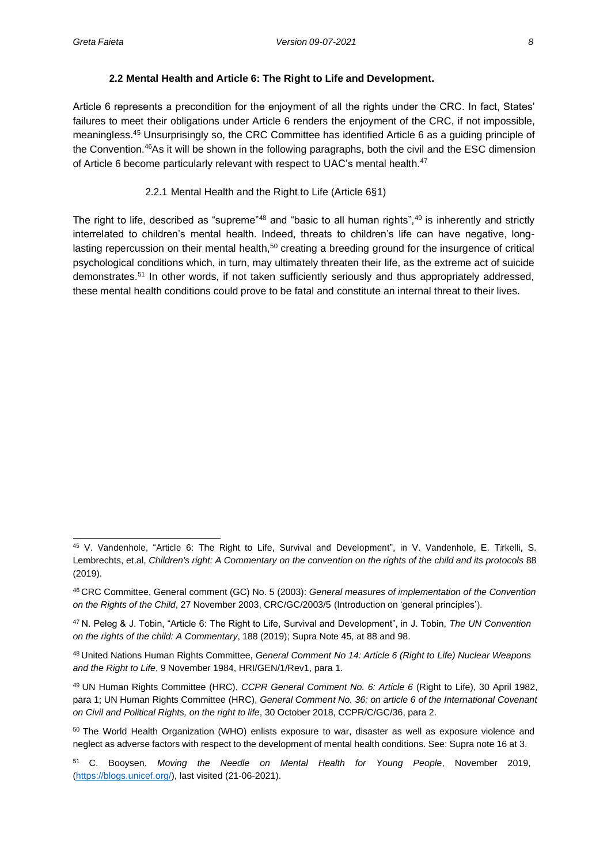#### **2.2 Mental Health and Article 6: The Right to Life and Development.**

<span id="page-16-0"></span>Article 6 represents a precondition for the enjoyment of all the rights under the CRC. In fact, States' failures to meet their obligations under Article 6 renders the enjoyment of the CRC, if not impossible, meaningless.<sup>45</sup> Unsurprisingly so, the CRC Committee has identified Article 6 as a guiding principle of the Convention.<sup>46</sup>As it will be shown in the following paragraphs, both the civil and the ESC dimension of Article 6 become particularly relevant with respect to UAC's mental health.<sup>47</sup>

#### 2.2.1 Mental Health and the Right to Life (Article 6§1)

<span id="page-16-1"></span>The right to life, described as "supreme"<sup>48</sup> and "basic to all human rights",<sup>49</sup> is inherently and strictly interrelated to children's mental health. Indeed, threats to children's life can have negative, longlasting repercussion on their mental health,<sup>50</sup> creating a breeding ground for the insurgence of critical psychological conditions which, in turn, may ultimately threaten their life, as the extreme act of suicide demonstrates.<sup>51</sup> In other words, if not taken sufficiently seriously and thus appropriately addressed, these mental health conditions could prove to be fatal and constitute an internal threat to their lives.

<sup>45</sup> V. Vandenhole, "Article 6: The Right to Life, Survival and Development", in V. Vandenhole, E. Türkelli, S. Lembrechts, et.al, *Children's right: A Commentary on the convention on the rights of the child and its protocols* 88 (2019).

<sup>46</sup>CRC Committee, General comment (GC) No. 5 (2003): *General measures of implementation of the Convention on the Rights of the Child*, 27 November 2003, CRC/GC/2003/5 (Introduction on 'general principles').

<sup>47</sup>N. Peleg & J. Tobin, "Article 6: The Right to Life, Survival and Development", in J. Tobin, *The UN Convention on the rights of the child: A Commentary*, 188 (2019); Supra Note 45, at 88 and 98.

<sup>48</sup>United Nations Human Rights Committee, *General Comment No 14: Article 6 (Right to Life) Nuclear Weapons and the Right to Life*, 9 November 1984, HRI/GEN/1/Rev1, para 1.

<sup>49</sup> UN Human Rights Committee (HRC), *CCPR General Comment No. 6: Article 6* (Right to Life), 30 April 1982, para 1; UN Human Rights Committee (HRC), *General Comment No. 36: on article 6 of the International Covenant on Civil and Political Rights, on the right to life*, 30 October 2018, CCPR/C/GC/36, para 2.

<sup>&</sup>lt;sup>50</sup> The World Health Organization (WHO) enlists exposure to war, disaster as well as exposure violence and neglect as adverse factors with respect to the development of mental health conditions. See: Supra note 16 at 3.

<sup>51</sup>C. Booysen, *Moving the Needle on Mental Health for Young People*, November 2019, [\(https://blogs.unicef.org/\)](https://blogs.unicef.org/), last visited (21-06-2021).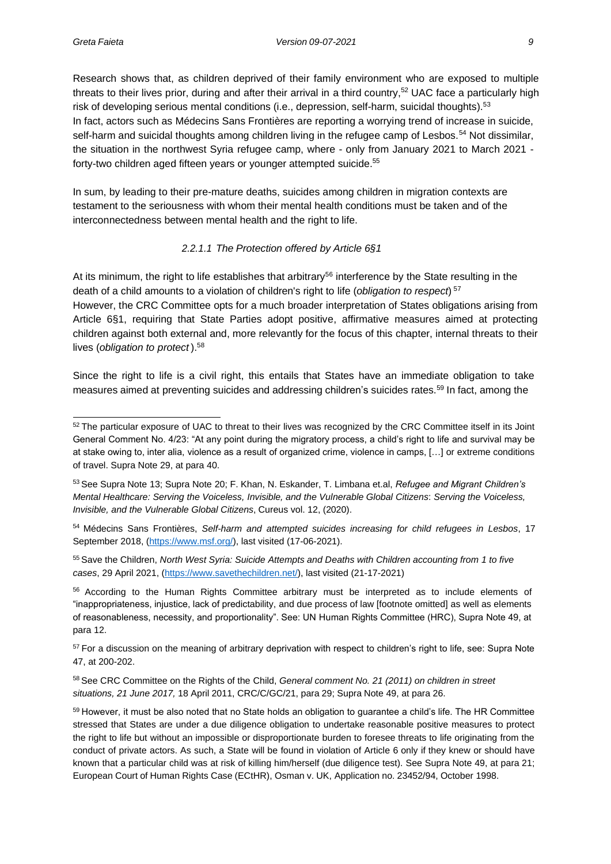Research shows that, as children deprived of their family environment who are exposed to multiple threats to their lives prior, during and after their arrival in a third country,<sup>52</sup> UAC face a particularly high risk of developing serious mental conditions (i.e., depression, self-harm, suicidal thoughts).<sup>53</sup> In fact, actors such as Médecins Sans Frontières are reporting a worrying trend of increase in suicide, self-harm and suicidal thoughts among children living in the refugee camp of Lesbos.<sup>54</sup> Not dissimilar, the situation in the northwest Syria refugee camp, where - only from January 2021 to March 2021 forty-two children aged fifteen years or younger attempted suicide.<sup>55</sup>

In sum, by leading to their pre-mature deaths, suicides among children in migration contexts are testament to the seriousness with whom their mental health conditions must be taken and of the interconnectedness between mental health and the right to life.

#### *2.2.1.1 The Protection offered by Article 6§1*

At its minimum, the right to life establishes that arbitrary<sup>56</sup> interference by the State resulting in the death of a child amounts to a violation of children's right to life (*obligation to respect*) 57 However, the CRC Committee opts for a much broader interpretation of States obligations arising from Article 6§1, requiring that State Parties adopt positive, affirmative measures aimed at protecting children against both external and, more relevantly for the focus of this chapter, internal threats to their lives (*obligation to protect* ).<sup>58</sup>

Since the right to life is a civil right, this entails that States have an immediate obligation to take measures aimed at preventing suicides and addressing children's suicides rates.<sup>59</sup> In fact, among the

<sup>&</sup>lt;sup>52</sup> The particular exposure of UAC to threat to their lives was recognized by the CRC Committee itself in its Joint General Comment No. 4/23: "At any point during the migratory process, a child's right to life and survival may be at stake owing to, inter alia, violence as a result of organized crime, violence in camps, […] or extreme conditions of travel. Supra Note 29, at para 40.

<sup>53</sup>See Supra Note 13; Supra Note 20; F. Khan, N. Eskander, T. Limbana et.al, *Refugee and Migrant Children's Mental Healthcare: Serving the Voiceless, Invisible, and the Vulnerable Global Citizens*: *Serving the Voiceless, Invisible, and the Vulnerable Global Citizens*, Cureus vol. 12, (2020).

<sup>54</sup>Médecins Sans Frontières, *Self-harm and attempted suicides increasing for child refugees in Lesbos*, 17 September 2018, [\(https://www.msf.org/\)](https://www.msf.org/), last visited (17-06-2021).

<sup>55</sup>Save the Children, *North West Syria: Suicide Attempts and Deaths with Children accounting from 1 to five cases*, 29 April 2021, [\(https://www.savethechildren.net/\)](https://www.savethechildren.net/), last visited (21-17-2021)

<sup>56</sup> According to the Human Rights Committee arbitrary must be interpreted as to include elements of "inappropriateness, injustice, lack of predictability, and due process of law [footnote omitted] as well as elements of reasonableness, necessity, and proportionality". See: UN Human Rights Committee (HRC), Supra Note 49, at para 12.

<sup>&</sup>lt;sup>57</sup> For a discussion on the meaning of arbitrary deprivation with respect to children's right to life, see: Supra Note 47, at 200-202.

<sup>58</sup>See CRC Committee on the Rights of the Child, *General comment No. 21 (2011) on children in street situations, 21 June 2017,* 18 April 2011, CRC/C/GC/21, para 29; Supra Note 49, at para 26.

<sup>59</sup> However, it must be also noted that no State holds an obligation to guarantee a child's life. The HR Committee stressed that States are under a due diligence obligation to undertake reasonable positive measures to protect the right to life but without an impossible or disproportionate burden to foresee threats to life originating from the conduct of private actors. As such, a State will be found in violation of Article 6 only if they knew or should have known that a particular child was at risk of killing him/herself (due diligence test). See Supra Note 49, at para 21; European Court of Human Rights Case (ECtHR), Osman v. UK, Application no. 23452/94, October 1998.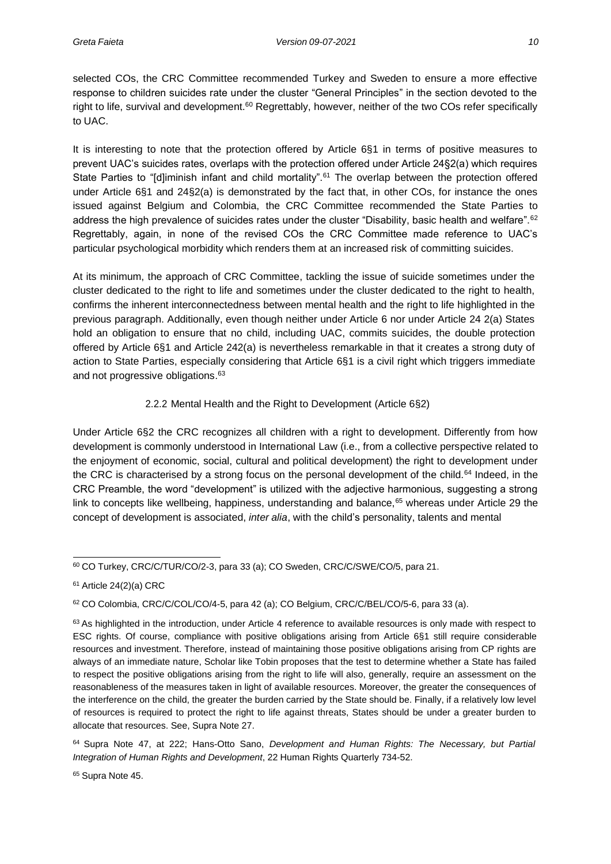selected COs, the CRC Committee recommended Turkey and Sweden to ensure a more effective response to children suicides rate under the cluster "General Principles" in the section devoted to the right to life, survival and development.<sup>60</sup> Regrettably, however, neither of the two COs refer specifically to UAC.

It is interesting to note that the protection offered by Article 6§1 in terms of positive measures to prevent UAC's suicides rates, overlaps with the protection offered under Article 24§2(a) which requires State Parties to "[d]iminish infant and child mortality".<sup>61</sup> The overlap between the protection offered under Article 6§1 and 24§2(a) is demonstrated by the fact that, in other COs, for instance the ones issued against Belgium and Colombia, the CRC Committee recommended the State Parties to address the high prevalence of suicides rates under the cluster "Disability, basic health and welfare".<sup>62</sup> Regrettably, again, in none of the revised COs the CRC Committee made reference to UAC's particular psychological morbidity which renders them at an increased risk of committing suicides.

At its minimum, the approach of CRC Committee, tackling the issue of suicide sometimes under the cluster dedicated to the right to life and sometimes under the cluster dedicated to the right to health, confirms the inherent interconnectedness between mental health and the right to life highlighted in the previous paragraph. Additionally, even though neither under Article 6 nor under Article 24 2(a) States hold an obligation to ensure that no child, including UAC, commits suicides, the double protection offered by Article 6§1 and Article 242(a) is nevertheless remarkable in that it creates a strong duty of action to State Parties, especially considering that Article 6§1 is a civil right which triggers immediate and not progressive obligations.<sup>63</sup>

#### 2.2.2 Mental Health and the Right to Development (Article 6§2)

<span id="page-18-0"></span>Under Article 6§2 the CRC recognizes all children with a right to development. Differently from how development is commonly understood in International Law (i.e., from a collective perspective related to the enjoyment of economic, social, cultural and political development) the right to development under the CRC is characterised by a strong focus on the personal development of the child.<sup>64</sup> Indeed, in the CRC Preamble, the word "development" is utilized with the adjective harmonious, suggesting a strong link to concepts like wellbeing, happiness, understanding and balance,<sup>65</sup> whereas under Article 29 the concept of development is associated, *inter alia*, with the child's personality, talents and mental

 $62$  CO Colombia, CRC/C/COL/CO/4-5, para 42 (a); CO Belgium, CRC/C/BEL/CO/5-6, para 33 (a).

<sup>64</sup> Supra Note 47, at 222; Hans-Otto Sano, *Development and Human Rights: The Necessary, but Partial Integration of Human Rights and Development*, 22 Human Rights Quarterly 734-52.

<sup>65</sup> Supra Note 45.

<sup>60</sup> CO Turkey, CRC/C/TUR/CO/2-3, para 33 (a); CO Sweden, CRC/C/SWE/CO/5, para 21.

 $61$  Article 24(2)(a) CRC

 $63$  As highlighted in the introduction, under Article 4 reference to available resources is only made with respect to ESC rights. Of course, compliance with positive obligations arising from Article 6§1 still require considerable resources and investment. Therefore, instead of maintaining those positive obligations arising from CP rights are always of an immediate nature, Scholar like Tobin proposes that the test to determine whether a State has failed to respect the positive obligations arising from the right to life will also, generally, require an assessment on the reasonableness of the measures taken in light of available resources. Moreover, the greater the consequences of the interference on the child, the greater the burden carried by the State should be. Finally, if a relatively low level of resources is required to protect the right to life against threats, States should be under a greater burden to allocate that resources. See, Supra Note 27.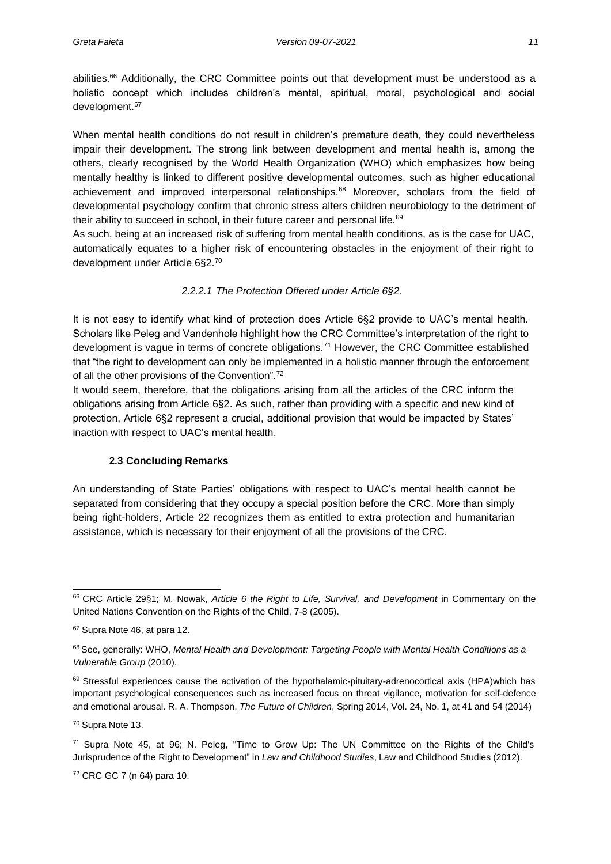abilities.<sup>66</sup> Additionally, the CRC Committee points out that development must be understood as a holistic concept which includes children's mental, spiritual, moral, psychological and social development.<sup>67</sup>

When mental health conditions do not result in children's premature death, they could nevertheless impair their development. The strong link between development and mental health is, among the others, clearly recognised by the World Health Organization (WHO) which emphasizes how being mentally healthy is linked to different positive developmental outcomes, such as higher educational achievement and improved interpersonal relationships.<sup>68</sup> Moreover, scholars from the field of developmental psychology confirm that chronic stress alters children neurobiology to the detriment of their ability to succeed in school, in their future career and personal life.<sup>69</sup>

As such, being at an increased risk of suffering from mental health conditions, as is the case for UAC, automatically equates to a higher risk of encountering obstacles in the enjoyment of their right to development under Article 6§2.<sup>70</sup>

#### *2.2.2.1 The Protection Offered under Article 6§2.*

It is not easy to identify what kind of protection does Article 6§2 provide to UAC's mental health. Scholars like Peleg and Vandenhole highlight how the CRC Committee's interpretation of the right to development is vague in terms of concrete obligations.<sup>71</sup> However, the CRC Committee established that "the right to development can only be implemented in a holistic manner through the enforcement of all the other provisions of the Convention".<sup>72</sup>

It would seem, therefore, that the obligations arising from all the articles of the CRC inform the obligations arising from Article 6§2. As such, rather than providing with a specific and new kind of protection, Article 6§2 represent a crucial, additional provision that would be impacted by States' inaction with respect to UAC's mental health.

#### **2.3 Concluding Remarks**

<span id="page-19-0"></span>An understanding of State Parties' obligations with respect to UAC's mental health cannot be separated from considering that they occupy a special position before the CRC. More than simply being right-holders, Article 22 recognizes them as entitled to extra protection and humanitarian assistance, which is necessary for their enjoyment of all the provisions of the CRC.

<sup>66</sup>CRC Article 29§1; M. Nowak, *Article 6 the Right to Life, Survival, and Development* in Commentary on the United Nations Convention on the Rights of the Child, 7-8 (2005).

<sup>67</sup> Supra Note 46, at para 12.

<sup>68</sup>See, generally: WHO, *Mental Health and Development: Targeting People with Mental Health Conditions as a Vulnerable Group* (2010).

<sup>69</sup> Stressful experiences cause the activation of the hypothalamic-pituitary-adrenocortical axis (HPA)which has important psychological consequences such as increased focus on threat vigilance, motivation for self-defence and emotional arousal. R. A. Thompson, *The Future of Children*, Spring 2014, Vol. 24, No. 1, at 41 and 54 (2014)

<sup>70</sup> Supra Note 13.

<sup>71</sup>Supra Note 45, at 96; N. Peleg, "Time to Grow Up: The UN Committee on the Rights of the Child's Jurisprudence of the Right to Development" in *Law and Childhood Studies*, Law and Childhood Studies (2012).

<sup>72</sup> CRC GC 7 (n 64) para 10.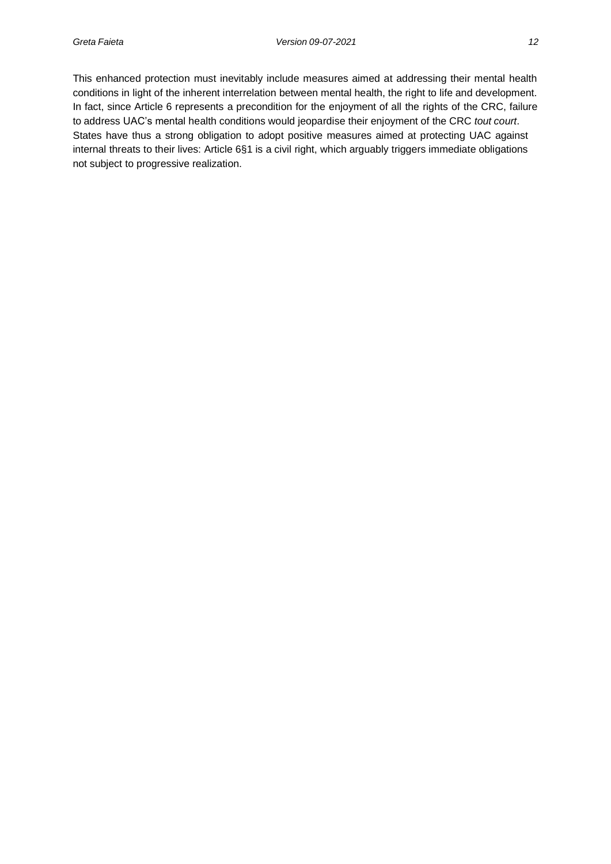This enhanced protection must inevitably include measures aimed at addressing their mental health conditions in light of the inherent interrelation between mental health, the right to life and development. In fact, since Article 6 represents a precondition for the enjoyment of all the rights of the CRC, failure to address UAC's mental health conditions would jeopardise their enjoyment of the CRC *tout court*. States have thus a strong obligation to adopt positive measures aimed at protecting UAC against internal threats to their lives: Article 6§1 is a civil right, which arguably triggers immediate obligations not subject to progressive realization.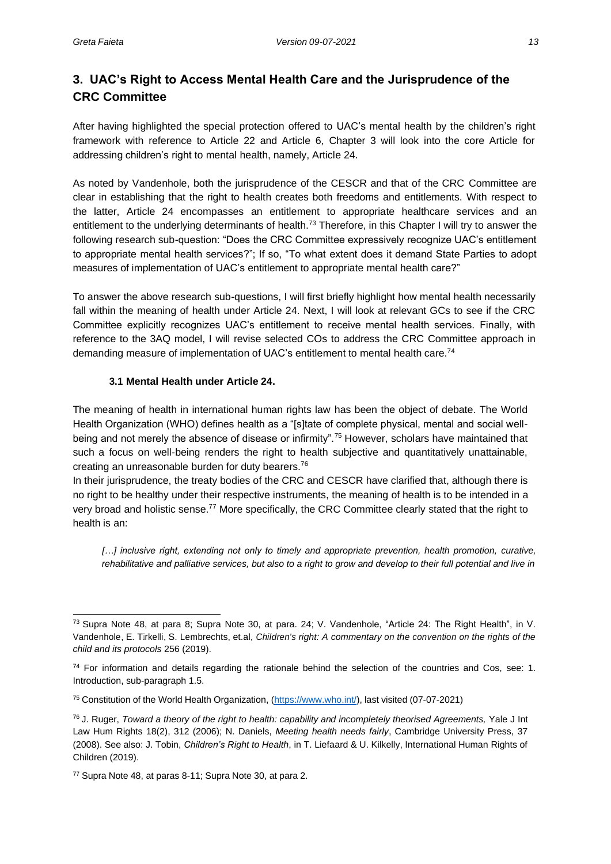## <span id="page-21-0"></span>**3. UAC's Right to Access Mental Health Care and the Jurisprudence of the CRC Committee**

After having highlighted the special protection offered to UAC's mental health by the children's right framework with reference to Article 22 and Article 6, Chapter 3 will look into the core Article for addressing children's right to mental health, namely, Article 24.

As noted by Vandenhole, both the jurisprudence of the CESCR and that of the CRC Committee are clear in establishing that the right to health creates both freedoms and entitlements. With respect to the latter, Article 24 encompasses an entitlement to appropriate healthcare services and an entitlement to the underlying determinants of health.<sup>73</sup> Therefore, in this Chapter I will try to answer the following research sub-question: "Does the CRC Committee expressively recognize UAC's entitlement to appropriate mental health services?"; If so, "To what extent does it demand State Parties to adopt measures of implementation of UAC's entitlement to appropriate mental health care?"

To answer the above research sub-questions, I will first briefly highlight how mental health necessarily fall within the meaning of health under Article 24. Next, I will look at relevant GCs to see if the CRC Committee explicitly recognizes UAC's entitlement to receive mental health services. Finally, with reference to the 3AQ model, I will revise selected COs to address the CRC Committee approach in demanding measure of implementation of UAC's entitlement to mental health care.<sup>74</sup>

#### **3.1 Mental Health under Article 24.**

<span id="page-21-1"></span>The meaning of health in international human rights law has been the object of debate. The World Health Organization (WHO) defines health as a "[s]tate of complete physical, mental and social wellbeing and not merely the absence of disease or infirmity".<sup>75</sup> However, scholars have maintained that such a focus on well-being renders the right to health subjective and quantitatively unattainable, creating an unreasonable burden for duty bearers.<sup>76</sup>

In their jurisprudence, the treaty bodies of the CRC and CESCR have clarified that, although there is no right to be healthy under their respective instruments, the meaning of health is to be intended in a very broad and holistic sense.<sup>77</sup> More specifically, the CRC Committee clearly stated that the right to health is an:

*[…] inclusive right, extending not only to timely and appropriate prevention, health promotion, curative, rehabilitative and palliative services, but also to a right to grow and develop to their full potential and live in*

<sup>73</sup>Supra Note 48, at para 8; Supra Note 30, at para. 24; V. Vandenhole, "Article 24: The Right Health", in V. Vandenhole, E. Türkelli, S. Lembrechts, et.al, *Children's right: A commentary on the convention on the rights of the child and its protocols* 256 (2019).

 $74$  For information and details regarding the rationale behind the selection of the countries and Cos, see: 1. Introduction, sub-paragraph 1.5.

<sup>75</sup> Constitution of the World Health Organization, [\(https://www.who.int/\)](https://www.who.int/), last visited (07-07-2021)

<sup>76</sup> J. Ruger, *Toward a theory of the right to health: capability and incompletely theorised Agreements,* Yale J Int Law Hum Rights 18(2), 312 (2006); N. Daniels, *Meeting health needs fairly*, Cambridge University Press, 37 (2008). See also: J. Tobin, *Children's Right to Health*, in T. Liefaard & U. Kilkelly, International Human Rights of Children (2019).

<sup>77</sup> Supra Note 48, at paras 8-11; Supra Note 30, at para 2.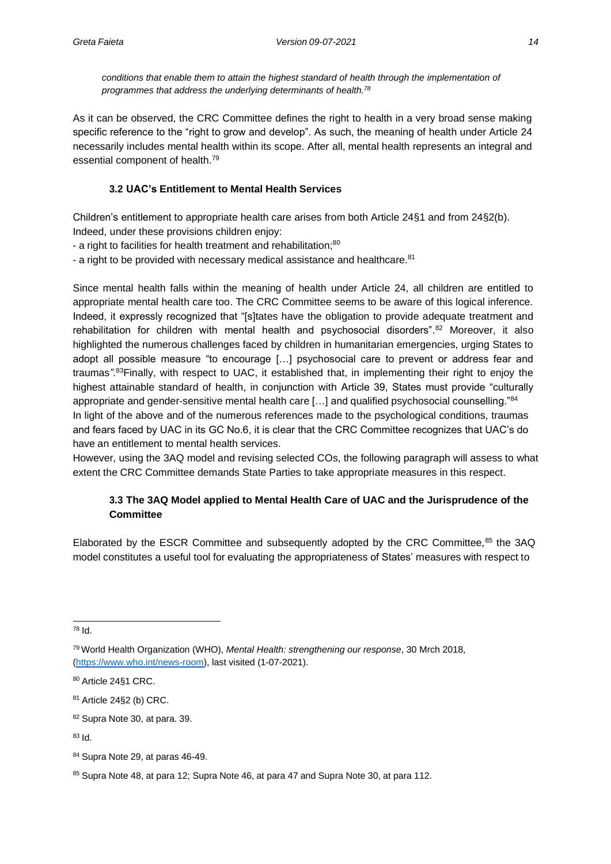*conditions that enable them to attain the highest standard of health through the implementation of programmes that address the underlying determinants of health.<sup>78</sup>*

As it can be observed, the CRC Committee defines the right to health in a very broad sense making specific reference to the "right to grow and develop". As such, the meaning of health under Article 24 necessarily includes mental health within its scope. After all, mental health represents an integral and essential component of health.<sup>79</sup>

### **3.2 UAC's Entitlement to Mental Health Services**

<span id="page-22-0"></span>Children's entitlement to appropriate health care arises from both Article 24§1 and from 24§2(b). Indeed, under these provisions children enjoy:

- a right to facilities for health treatment and rehabilitation;<sup>80</sup>

- a right to be provided with necessary medical assistance and healthcare.<sup>81</sup>

Since mental health falls within the meaning of health under Article 24, all children are entitled to appropriate mental health care too. The CRC Committee seems to be aware of this logical inference. Indeed, it expressly recognized that "[s]tates have the obligation to provide adequate treatment and rehabilitation for children with mental health and psychosocial disorders".<sup>82</sup> Moreover, it also highlighted the numerous challenges faced by children in humanitarian emergencies, urging States to adopt all possible measure "to encourage […] psychosocial care to prevent or address fear and traumas*".*<sup>83</sup>Finally, with respect to UAC, it established that, in implementing their right to enjoy the highest attainable standard of health, in conjunction with Article 39, States must provide "culturally appropriate and gender-sensitive mental health care [...] and qualified psychosocial counselling."84 In light of the above and of the numerous references made to the psychological conditions, traumas and fears faced by UAC in its GC No.6, it is clear that the CRC Committee recognizes that UAC's do have an entitlement to mental health services.

However, using the 3AQ model and revising selected COs, the following paragraph will assess to what extent the CRC Committee demands State Parties to take appropriate measures in this respect.

### **3.3 The 3AQ Model applied to Mental Health Care of UAC and the Jurisprudence of the Committee**

<span id="page-22-1"></span>Elaborated by the ESCR Committee and subsequently adopted by the CRC Committee, 85 the 3AQ model constitutes a useful tool for evaluating the appropriateness of States' measures with respect to

<sup>78</sup> Id.

<sup>79</sup>World Health Organization (WHO), *Mental Health: strengthening our response*, 30 Mrch 2018, [\(https://www.who.int/news-room\)](https://www.who.int/news-room), last visited (1-07-2021).

<sup>80</sup> Article 24§1 CRC.

<sup>81</sup> Article 24§2 (b) CRC.

<sup>82</sup> Supra Note 30, at para. 39.

<sup>83</sup> Id.

<sup>84</sup> Supra Note 29, at paras 46-49.

<sup>85</sup> Supra Note 48, at para 12; Supra Note 46, at para 47 and Supra Note 30, at para 112.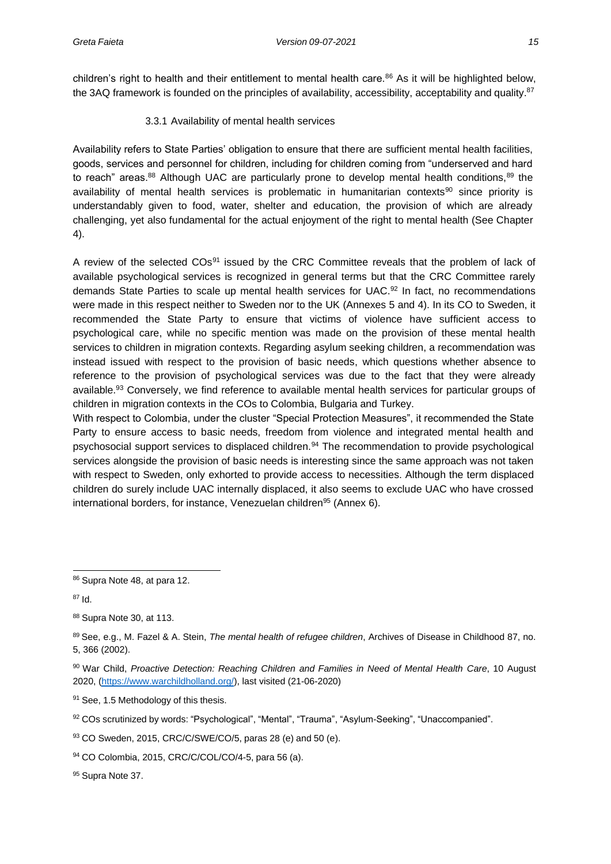children's right to health and their entitlement to mental health care.<sup>86</sup> As it will be highlighted below, the 3AQ framework is founded on the principles of availability, accessibility, acceptability and quality.<sup>87</sup>

#### 3.3.1 Availability of mental health services

<span id="page-23-0"></span>Availability refers to State Parties' obligation to ensure that there are sufficient mental health facilities, goods, services and personnel for children, including for children coming from "underserved and hard to reach" areas.<sup>88</sup> Although UAC are particularly prone to develop mental health conditions,<sup>89</sup> the availability of mental health services is problematic in humanitarian contexts<sup>90</sup> since priority is understandably given to food, water, shelter and education, the provision of which are already challenging, yet also fundamental for the actual enjoyment of the right to mental health (See Chapter 4).

A review of the selected COs<sup>91</sup> issued by the CRC Committee reveals that the problem of lack of available psychological services is recognized in general terms but that the CRC Committee rarely demands State Parties to scale up mental health services for UAC.<sup>92</sup> In fact, no recommendations were made in this respect neither to Sweden nor to the UK (Annexes 5 and 4). In its CO to Sweden, it recommended the State Party to ensure that victims of violence have sufficient access to psychological care, while no specific mention was made on the provision of these mental health services to children in migration contexts. Regarding asylum seeking children, a recommendation was instead issued with respect to the provision of basic needs, which questions whether absence to reference to the provision of psychological services was due to the fact that they were already available.<sup>93</sup> Conversely, we find reference to available mental health services for particular groups of children in migration contexts in the COs to Colombia, Bulgaria and Turkey.

With respect to Colombia, under the cluster "Special Protection Measures", it recommended the State Party to ensure access to basic needs, freedom from violence and integrated mental health and psychosocial support services to displaced children.<sup>94</sup> The recommendation to provide psychological services alongside the provision of basic needs is interesting since the same approach was not taken with respect to Sweden, only exhorted to provide access to necessities. Although the term displaced children do surely include UAC internally displaced, it also seems to exclude UAC who have crossed international borders, for instance, Venezuelan children<sup>95</sup> (Annex 6).

91 See, 1.5 Methodology of this thesis.

95 Supra Note 37.

<sup>86</sup> Supra Note 48, at para 12.

<sup>87</sup> Id.

<sup>88</sup> Supra Note 30, at 113.

<sup>89</sup> See, e.g., M. Fazel & A. Stein, *The mental health of refugee children*, Archives of Disease in Childhood 87, no. 5, 366 (2002).

<sup>90</sup> War Child, Proactive Detection: Reaching Children and Families in Need of Mental Health Care, 10 August 2020, [\(https://www.warchildholland.org/\)](https://www.warchildholland.org/), last visited (21-06-2020)

<sup>92</sup> COs scrutinized by words: "Psychological", "Mental", "Trauma", "Asylum-Seeking", "Unaccompanied".

<sup>93</sup> CO Sweden, 2015, CRC/C/SWE/CO/5, paras 28 (e) and 50 (e).

<sup>94</sup> CO Colombia, 2015, CRC/C/COL/CO/4-5, para 56 (a).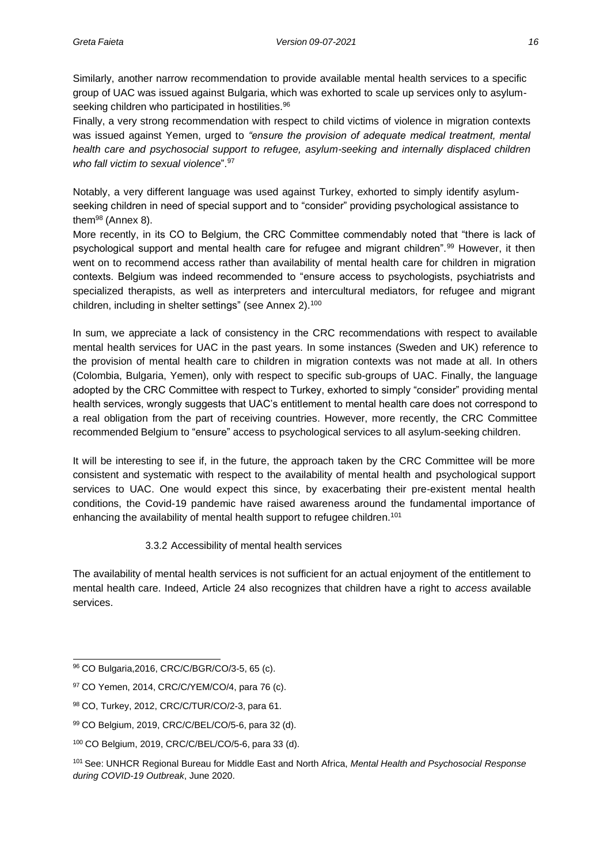Similarly, another narrow recommendation to provide available mental health services to a specific group of UAC was issued against Bulgaria, which was exhorted to scale up services only to asylumseeking children who participated in hostilities.<sup>96</sup>

Finally, a very strong recommendation with respect to child victims of violence in migration contexts was issued against Yemen, urged to *"ensure the provision of adequate medical treatment, mental health care and psychosocial support to refugee, asylum-seeking and internally displaced children who fall victim to sexual violence*".<sup>97</sup>

Notably, a very different language was used against Turkey, exhorted to simply identify asylumseeking children in need of special support and to "consider" providing psychological assistance to them<sup>98</sup> (Annex 8).

More recently, in its CO to Belgium, the CRC Committee commendably noted that "there is lack of psychological support and mental health care for refugee and migrant children".<sup>99</sup> However, it then went on to recommend access rather than availability of mental health care for children in migration contexts. Belgium was indeed recommended to "ensure access to psychologists, psychiatrists and specialized therapists, as well as interpreters and intercultural mediators, for refugee and migrant children, including in shelter settings" (see Annex 2).<sup>100</sup>

In sum, we appreciate a lack of consistency in the CRC recommendations with respect to available mental health services for UAC in the past years. In some instances (Sweden and UK) reference to the provision of mental health care to children in migration contexts was not made at all. In others (Colombia, Bulgaria, Yemen), only with respect to specific sub-groups of UAC. Finally, the language adopted by the CRC Committee with respect to Turkey, exhorted to simply "consider" providing mental health services, wrongly suggests that UAC's entitlement to mental health care does not correspond to a real obligation from the part of receiving countries. However, more recently, the CRC Committee recommended Belgium to "ensure" access to psychological services to all asylum-seeking children.

It will be interesting to see if, in the future, the approach taken by the CRC Committee will be more consistent and systematic with respect to the availability of mental health and psychological support services to UAC. One would expect this since, by exacerbating their pre-existent mental health conditions, the Covid-19 pandemic have raised awareness around the fundamental importance of enhancing the availability of mental health support to refugee children.<sup>101</sup>

#### 3.3.2 Accessibility of mental health services

<span id="page-24-0"></span>The availability of mental health services is not sufficient for an actual enjoyment of the entitlement to mental health care. Indeed, Article 24 also recognizes that children have a right to *access* available services.

<sup>96</sup> CO Bulgaria,2016, CRC/C/BGR/CO/3-5, 65 (c).

<sup>97</sup> CO Yemen, 2014, CRC/C/YEM/CO/4, para 76 (c).

<sup>98</sup> CO, Turkey, 2012, CRC/C/TUR/CO/2-3, para 61.

<sup>99</sup> CO Belgium, 2019, CRC/C/BEL/CO/5-6, para 32 (d).

<sup>100</sup> CO Belgium, 2019, CRC/C/BEL/CO/5-6, para 33 (d).

<sup>101</sup>See: UNHCR Regional Bureau for Middle East and North Africa, *Mental Health and Psychosocial Response during COVID-19 Outbreak*, June 2020.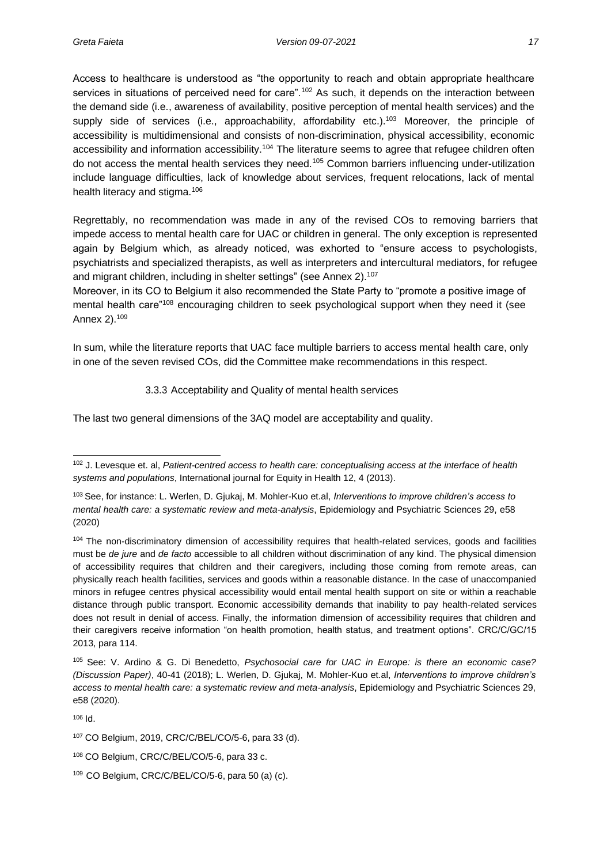Access to healthcare is understood as "the opportunity to reach and obtain appropriate healthcare services in situations of perceived need for care".<sup>102</sup> As such, it depends on the interaction between the demand side (i.e., awareness of availability, positive perception of mental health services) and the supply side of services (i.e., approachability, affordability etc.).<sup>103</sup> Moreover, the principle of accessibility is multidimensional and consists of non-discrimination, physical accessibility, economic accessibility and information accessibility.<sup>104</sup> The literature seems to agree that refugee children often do not access the mental health services they need.<sup>105</sup> Common barriers influencing under-utilization include language difficulties, lack of knowledge about services, frequent relocations, lack of mental health literacy and stigma.<sup>106</sup>

Regrettably, no recommendation was made in any of the revised COs to removing barriers that impede access to mental health care for UAC or children in general. The only exception is represented again by Belgium which, as already noticed, was exhorted to "ensure access to psychologists, psychiatrists and specialized therapists, as well as interpreters and intercultural mediators, for refugee and migrant children, including in shelter settings" (see Annex 2).<sup>107</sup>

Moreover, in its CO to Belgium it also recommended the State Party to "promote a positive image of mental health care<sup>"108</sup> encouraging children to seek psychological support when they need it (see Annex 2).<sup>109</sup>

In sum, while the literature reports that UAC face multiple barriers to access mental health care, only in one of the seven revised COs, did the Committee make recommendations in this respect.

3.3.3 Acceptability and Quality of mental health services

<span id="page-25-0"></span>The last two general dimensions of the 3AQ model are acceptability and quality.

<sup>106</sup> Id.

<sup>102</sup> J. Levesque et. al, *Patient-centred access to health care: conceptualising access at the interface of health systems and populations*, International journal for Equity in Health 12, 4 (2013).

<sup>103</sup>See, for instance: L. Werlen, D. Gjukaj, M. Mohler-Kuo et.al, *Interventions to improve children's access to mental health care: a systematic review and meta-analysis*, Epidemiology and Psychiatric Sciences 29, e58 (2020)

<sup>&</sup>lt;sup>104</sup> The non-discriminatory dimension of accessibility requires that health-related services, goods and facilities must be *de jure* and *de facto* accessible to all children without discrimination of any kind. The physical dimension of accessibility requires that children and their caregivers, including those coming from remote areas, can physically reach health facilities, services and goods within a reasonable distance. In the case of unaccompanied minors in refugee centres physical accessibility would entail mental health support on site or within a reachable distance through public transport. Economic accessibility demands that inability to pay health-related services does not result in denial of access. Finally, the information dimension of accessibility requires that children and their caregivers receive information "on health promotion, health status, and treatment options". CRC/C/GC/15 2013, para 114.

<sup>105</sup>See: V. Ardino & G. Di Benedetto, *Psychosocial care for UAC in Europe: is there an economic case? (Discussion Paper)*, 40-41 (2018); L. Werlen, D. Gjukaj, M. Mohler-Kuo et.al, *Interventions to improve children's access to mental health care: a systematic review and meta-analysis*, Epidemiology and Psychiatric Sciences 29, e58 (2020).

<sup>107</sup> CO Belgium, 2019, CRC/C/BEL/CO/5-6, para 33 (d).

<sup>108</sup> CO Belgium, CRC/C/BEL/CO/5-6, para 33 c.

<sup>109</sup> CO Belgium, CRC/C/BEL/CO/5-6, para 50 (a) (c).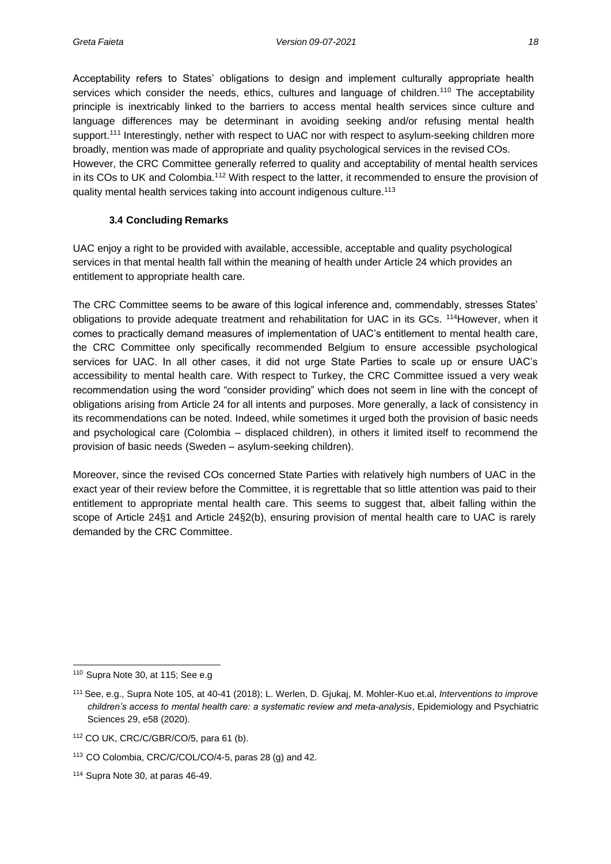Acceptability refers to States' obligations to design and implement culturally appropriate health services which consider the needs, ethics, cultures and language of children.<sup>110</sup> The acceptability principle is inextricably linked to the barriers to access mental health services since culture and language differences may be determinant in avoiding seeking and/or refusing mental health support.<sup>111</sup> Interestingly, nether with respect to UAC nor with respect to asylum-seeking children more broadly, mention was made of appropriate and quality psychological services in the revised COs. However, the CRC Committee generally referred to quality and acceptability of mental health services in its COs to UK and Colombia.<sup>112</sup> With respect to the latter, it recommended to ensure the provision of quality mental health services taking into account indigenous culture.<sup>113</sup>

#### **3.4 Concluding Remarks**

<span id="page-26-0"></span>UAC enjoy a right to be provided with available, accessible, acceptable and quality psychological services in that mental health fall within the meaning of health under Article 24 which provides an entitlement to appropriate health care.

The CRC Committee seems to be aware of this logical inference and, commendably, stresses States' obligations to provide adequate treatment and rehabilitation for UAC in its GCs. <sup>114</sup>However, when it comes to practically demand measures of implementation of UAC's entitlement to mental health care, the CRC Committee only specifically recommended Belgium to ensure accessible psychological services for UAC. In all other cases, it did not urge State Parties to scale up or ensure UAC's accessibility to mental health care. With respect to Turkey, the CRC Committee issued a very weak recommendation using the word "consider providing" which does not seem in line with the concept of obligations arising from Article 24 for all intents and purposes. More generally, a lack of consistency in its recommendations can be noted. Indeed, while sometimes it urged both the provision of basic needs and psychological care (Colombia – displaced children), in others it limited itself to recommend the provision of basic needs (Sweden – asylum-seeking children).

Moreover, since the revised COs concerned State Parties with relatively high numbers of UAC in the exact year of their review before the Committee, it is regrettable that so little attention was paid to their entitlement to appropriate mental health care. This seems to suggest that, albeit falling within the scope of Article 24§1 and Article 24§2(b), ensuring provision of mental health care to UAC is rarely demanded by the CRC Committee.

<sup>110</sup> Supra Note 30, at 115; See e.g

<sup>111</sup>See, e.g., Supra Note 105, at 40-41 (2018); L. Werlen, D. Gjukaj, M. Mohler-Kuo et.al, *Interventions to improve children's access to mental health care: a systematic review and meta-analysis*, Epidemiology and Psychiatric Sciences 29, e58 (2020).

<sup>112</sup> CO UK, CRC/C/GBR/CO/5, para 61 (b).

<sup>113</sup> CO Colombia, CRC/C/COL/CO/4-5, paras 28 (g) and 42.

<sup>114</sup> Supra Note 30, at paras 46-49.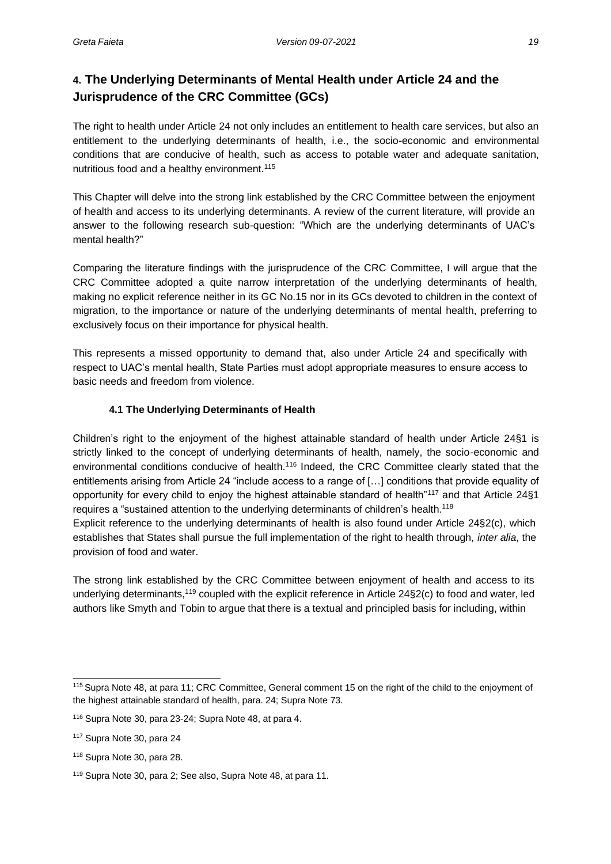## <span id="page-27-0"></span>**4. The Underlying Determinants of Mental Health under Article 24 and the Jurisprudence of the CRC Committee (GCs)**

The right to health under Article 24 not only includes an entitlement to health care services, but also an entitlement to the underlying determinants of health, i.e., the socio-economic and environmental conditions that are conducive of health, such as access to potable water and adequate sanitation, nutritious food and a healthy environment.<sup>115</sup>

This Chapter will delve into the strong link established by the CRC Committee between the enjoyment of health and access to its underlying determinants. A review of the current literature, will provide an answer to the following research sub-question: "Which are the underlying determinants of UAC's mental health?"

Comparing the literature findings with the jurisprudence of the CRC Committee, I will argue that the CRC Committee adopted a quite narrow interpretation of the underlying determinants of health, making no explicit reference neither in its GC No.15 nor in its GCs devoted to children in the context of migration, to the importance or nature of the underlying determinants of mental health, preferring to exclusively focus on their importance for physical health.

This represents a missed opportunity to demand that, also under Article 24 and specifically with respect to UAC's mental health, State Parties must adopt appropriate measures to ensure access to basic needs and freedom from violence.

#### **4.1 The Underlying Determinants of Health**

<span id="page-27-1"></span>Children's right to the enjoyment of the highest attainable standard of health under Article 24§1 is strictly linked to the concept of underlying determinants of health, namely, the socio-economic and environmental conditions conducive of health.<sup>116</sup> Indeed, the CRC Committee clearly stated that the entitlements arising from Article 24 "include access to a range of […] conditions that provide equality of opportunity for every child to enjoy the highest attainable standard of health"<sup>117</sup> and that Article 24§1 requires a "sustained attention to the underlying determinants of children's health.<sup>118</sup>

Explicit reference to the underlying determinants of health is also found under Article 24§2(c), which establishes that States shall pursue the full implementation of the right to health through, *inter alia*, the provision of food and water.

The strong link established by the CRC Committee between enjoyment of health and access to its underlying determinants,<sup>119</sup> coupled with the explicit reference in Article 24§2(c) to food and water, led authors like Smyth and Tobin to argue that there is a textual and principled basis for including, within

<sup>115</sup>Supra Note 48, at para 11; CRC Committee, General comment 15 on the right of the child to the enjoyment of the highest attainable standard of health, para. 24; Supra Note 73.

<sup>116</sup> Supra Note 30, para 23-24; Supra Note 48, at para 4.

<sup>117</sup> Supra Note 30, para 24

<sup>118</sup> Supra Note 30, para 28.

<sup>119</sup> Supra Note 30, para 2; See also, Supra Note 48, at para 11.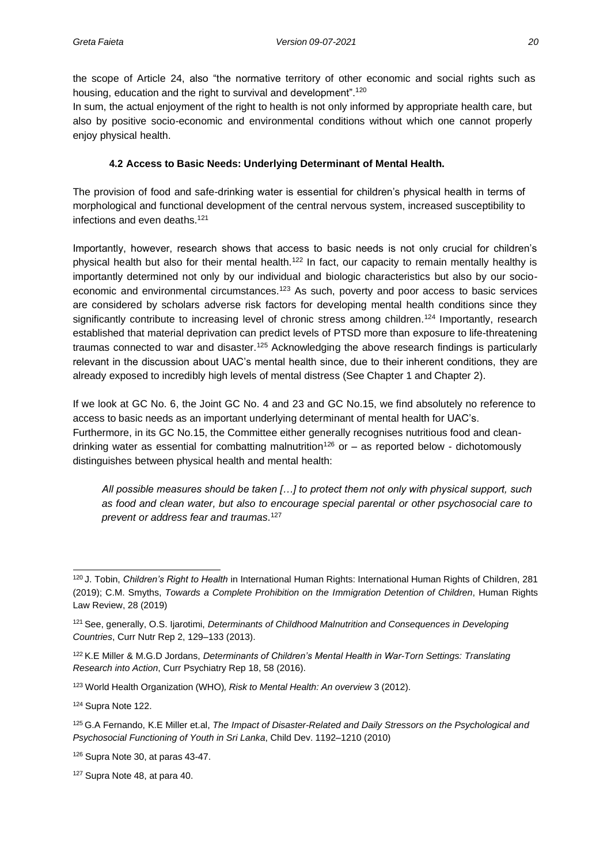the scope of Article 24, also "the normative territory of other economic and social rights such as housing, education and the right to survival and development".<sup>120</sup>

In sum, the actual enjoyment of the right to health is not only informed by appropriate health care, but also by positive socio-economic and environmental conditions without which one cannot properly enjoy physical health.

#### **4.2 Access to Basic Needs: Underlying Determinant of Mental Health.**

<span id="page-28-0"></span>The provision of food and safe-drinking water is essential for children's physical health in terms of morphological and functional development of the central nervous system, increased susceptibility to infections and even deaths.<sup>121</sup>

Importantly, however, research shows that access to basic needs is not only crucial for children's physical health but also for their mental health.<sup>122</sup> In fact, our capacity to remain mentally healthy is importantly determined not only by our individual and biologic characteristics but also by our socioeconomic and environmental circumstances.<sup>123</sup> As such, poverty and poor access to basic services are considered by scholars adverse risk factors for developing mental health conditions since they significantly contribute to increasing level of chronic stress among children.<sup>124</sup> Importantly, research established that material deprivation can predict levels of PTSD more than exposure to life-threatening traumas connected to war and disaster.<sup>125</sup> Acknowledging the above research findings is particularly relevant in the discussion about UAC's mental health since, due to their inherent conditions, they are already exposed to incredibly high levels of mental distress (See Chapter 1 and Chapter 2).

If we look at GC No. 6, the Joint GC No. 4 and 23 and GC No.15, we find absolutely no reference to access to basic needs as an important underlying determinant of mental health for UAC's. Furthermore, in its GC No.15, the Committee either generally recognises nutritious food and cleandrinking water as essential for combatting malnutrition<sup>126</sup> or  $-$  as reported below - dichotomously distinguishes between physical health and mental health:

*All possible measures should be taken […] to protect them not only with physical support, such as food and clean water, but also to encourage special parental or other psychosocial care to prevent or address fear and traumas*. 127

<sup>120</sup>J. Tobin, *Children's Right to Health* in International Human Rights: International Human Rights of Children, 281 (2019); C.M. Smyths, *Towards a Complete Prohibition on the Immigration Detention of Children*, Human Rights Law Review, 28 (2019)

<sup>121</sup>See, generally, O.S. Ijarotimi, *Determinants of Childhood Malnutrition and Consequences in Developing Countries*, Curr Nutr Rep 2, 129–133 (2013).

<sup>122</sup>K.E Miller & M.G.D Jordans, *Determinants of Children's Mental Health in War-Torn Settings: Translating Research into Action*, Curr Psychiatry Rep 18, 58 (2016).

<sup>123</sup> World Health Organization (WHO)*, Risk to Mental Health: An overview* 3 (2012).

<sup>124</sup> Supra Note 122.

<sup>125</sup>G.A Fernando, K.E Miller et.al, *The Impact of Disaster-Related and Daily Stressors on the Psychological and Psychosocial Functioning of Youth in Sri Lanka*, Child Dev. 1192–1210 (2010)

<sup>126</sup> Supra Note 30, at paras 43-47.

<sup>127</sup> Supra Note 48, at para 40.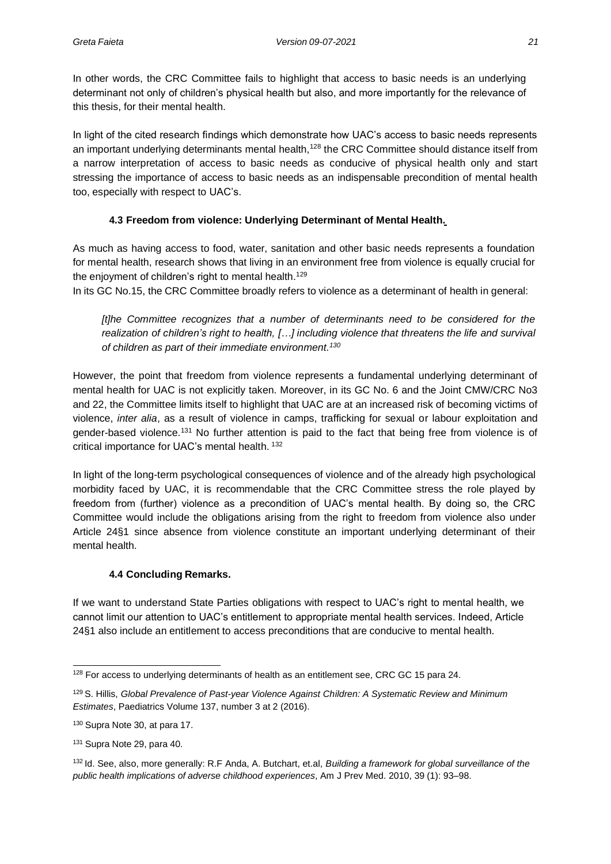In other words, the CRC Committee fails to highlight that access to basic needs is an underlying determinant not only of children's physical health but also, and more importantly for the relevance of this thesis, for their mental health.

In light of the cited research findings which demonstrate how UAC's access to basic needs represents an important underlying determinants mental health,<sup>128</sup> the CRC Committee should distance itself from a narrow interpretation of access to basic needs as conducive of physical health only and start stressing the importance of access to basic needs as an indispensable precondition of mental health too, especially with respect to UAC's.

### <span id="page-29-0"></span>**4.3 Freedom from violence: Underlying Determinant of Mental Health.**

As much as having access to food, water, sanitation and other basic needs represents a foundation for mental health, research shows that living in an environment free from violence is equally crucial for the enjoyment of children's right to mental health.<sup>129</sup>

In its GC No.15, the CRC Committee broadly refers to violence as a determinant of health in general:

*[t]he Committee recognizes that a number of determinants need to be considered for the realization of children's right to health, […] including violence that threatens the life and survival of children as part of their immediate environment.<sup>130</sup>*

However, the point that freedom from violence represents a fundamental underlying determinant of mental health for UAC is not explicitly taken. Moreover, in its GC No. 6 and the Joint CMW/CRC No3 and 22, the Committee limits itself to highlight that UAC are at an increased risk of becoming victims of violence, *inter alia*, as a result of violence in camps, trafficking for sexual or labour exploitation and gender-based violence.<sup>131</sup> No further attention is paid to the fact that being free from violence is of critical importance for UAC's mental health. <sup>132</sup>

In light of the long-term psychological consequences of violence and of the already high psychological morbidity faced by UAC, it is recommendable that the CRC Committee stress the role played by freedom from (further) violence as a precondition of UAC's mental health. By doing so, the CRC Committee would include the obligations arising from the right to freedom from violence also under Article 24§1 since absence from violence constitute an important underlying determinant of their mental health.

#### **4.4 Concluding Remarks.**

<span id="page-29-1"></span>If we want to understand State Parties obligations with respect to UAC's right to mental health, we cannot limit our attention to UAC's entitlement to appropriate mental health services. Indeed, Article 24§1 also include an entitlement to access preconditions that are conducive to mental health.

<sup>&</sup>lt;sup>128</sup> For access to underlying determinants of health as an entitlement see, CRC GC 15 para 24.

<sup>129</sup>S. Hillis, *Global Prevalence of Past-year Violence Against Children: A Systematic Review and Minimum Estimates*, Paediatrics Volume 137, number 3 at 2 (2016).

<sup>130</sup> Supra Note 30, at para 17.

<sup>131</sup> Supra Note 29, para 40.

<sup>132</sup>Id. See, also, more generally: R.F Anda, A. Butchart, et.al, *Building a framework for global surveillance of the public health implications of adverse childhood experiences*, Am J Prev Med. 2010, 39 (1): 93–98.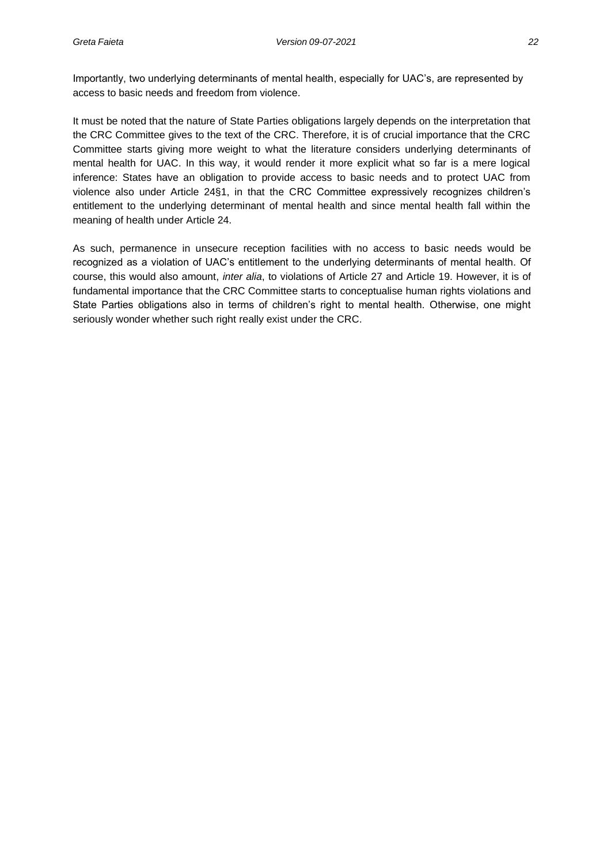Importantly, two underlying determinants of mental health, especially for UAC's, are represented by access to basic needs and freedom from violence.

It must be noted that the nature of State Parties obligations largely depends on the interpretation that the CRC Committee gives to the text of the CRC. Therefore, it is of crucial importance that the CRC Committee starts giving more weight to what the literature considers underlying determinants of mental health for UAC. In this way, it would render it more explicit what so far is a mere logical inference: States have an obligation to provide access to basic needs and to protect UAC from violence also under Article 24§1, in that the CRC Committee expressively recognizes children's entitlement to the underlying determinant of mental health and since mental health fall within the meaning of health under Article 24.

As such, permanence in unsecure reception facilities with no access to basic needs would be recognized as a violation of UAC's entitlement to the underlying determinants of mental health. Of course, this would also amount, *inter alia*, to violations of Article 27 and Article 19. However, it is of fundamental importance that the CRC Committee starts to conceptualise human rights violations and State Parties obligations also in terms of children's right to mental health. Otherwise, one might seriously wonder whether such right really exist under the CRC.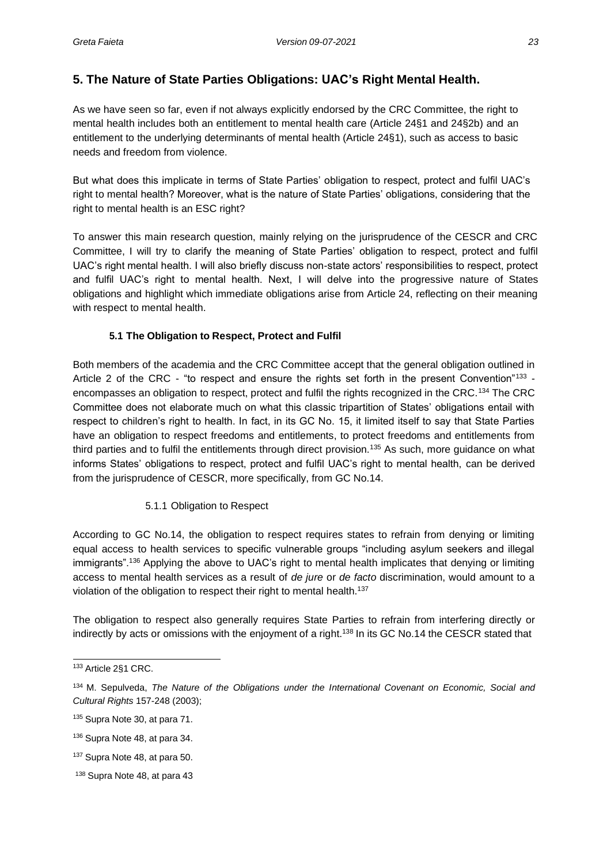## <span id="page-31-0"></span>**5. The Nature of State Parties Obligations: UAC's Right Mental Health.**

As we have seen so far, even if not always explicitly endorsed by the CRC Committee, the right to mental health includes both an entitlement to mental health care (Article 24§1 and 24§2b) and an entitlement to the underlying determinants of mental health (Article 24§1), such as access to basic needs and freedom from violence.

But what does this implicate in terms of State Parties' obligation to respect, protect and fulfil UAC's right to mental health? Moreover, what is the nature of State Parties' obligations, considering that the right to mental health is an ESC right?

To answer this main research question, mainly relying on the jurisprudence of the CESCR and CRC Committee, I will try to clarify the meaning of State Parties' obligation to respect, protect and fulfil UAC's right mental health. I will also briefly discuss non-state actors' responsibilities to respect, protect and fulfil UAC's right to mental health. Next, I will delve into the progressive nature of States obligations and highlight which immediate obligations arise from Article 24, reflecting on their meaning with respect to mental health.

#### **5.1 The Obligation to Respect, Protect and Fulfil**

<span id="page-31-1"></span>Both members of the academia and the CRC Committee accept that the general obligation outlined in Article 2 of the CRC - "to respect and ensure the rights set forth in the present Convention"<sup>133</sup> encompasses an obligation to respect, protect and fulfil the rights recognized in the CRC.<sup>134</sup> The CRC Committee does not elaborate much on what this classic tripartition of States' obligations entail with respect to children's right to health. In fact, in its GC No. 15, it limited itself to say that State Parties have an obligation to respect freedoms and entitlements, to protect freedoms and entitlements from third parties and to fulfil the entitlements through direct provision.<sup>135</sup> As such, more guidance on what informs States' obligations to respect, protect and fulfil UAC's right to mental health, can be derived from the jurisprudence of CESCR, more specifically, from GC No.14.

#### 5.1.1 Obligation to Respect

<span id="page-31-2"></span>According to GC No.14, the obligation to respect requires states to refrain from denying or limiting equal access to health services to specific vulnerable groups "including asylum seekers and illegal immigrants".<sup>136</sup> Applying the above to UAC's right to mental health implicates that denying or limiting access to mental health services as a result of *de jure* or *de facto* discrimination, would amount to a violation of the obligation to respect their right to mental health.<sup>137</sup>

The obligation to respect also generally requires State Parties to refrain from interfering directly or indirectly by acts or omissions with the enjoyment of a right.<sup>138</sup> In its GC No.14 the CESCR stated that

<sup>133</sup> Article 2§1 CRC.

<sup>134</sup>M. Sepulveda, *The Nature of the Obligations under the International Covenant on Economic, Social and Cultural Rights* 157-248 (2003);

<sup>135</sup> Supra Note 30, at para 71.

<sup>136</sup> Supra Note 48, at para 34.

<sup>137</sup> Supra Note 48, at para 50.

<sup>138</sup> Supra Note 48, at para 43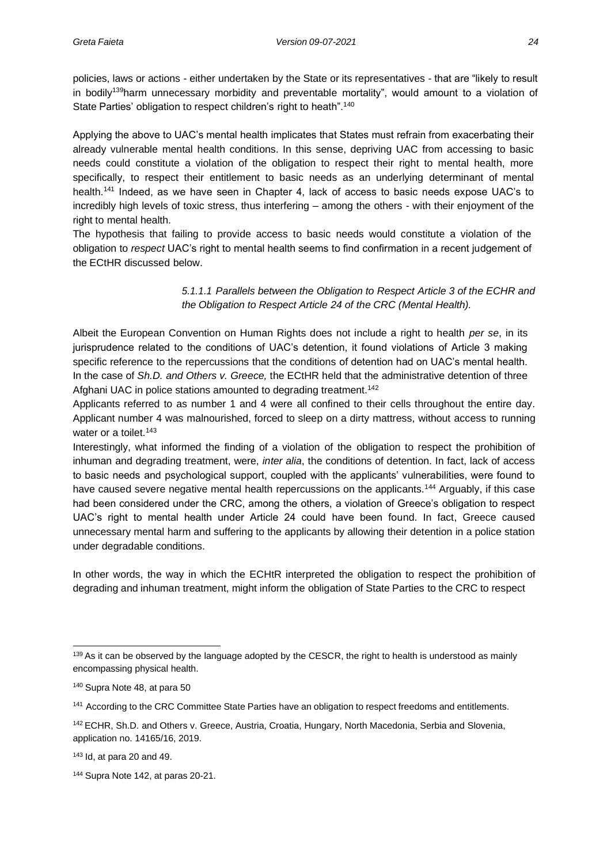policies, laws or actions - either undertaken by the State or its representatives - that are "likely to result in bodily<sup>139</sup>harm unnecessary morbidity and preventable mortality", would amount to a violation of State Parties' obligation to respect children's right to heath".<sup>140</sup>

Applying the above to UAC's mental health implicates that States must refrain from exacerbating their already vulnerable mental health conditions. In this sense, depriving UAC from accessing to basic needs could constitute a violation of the obligation to respect their right to mental health, more specifically, to respect their entitlement to basic needs as an underlying determinant of mental health.<sup>141</sup> Indeed, as we have seen in Chapter 4, lack of access to basic needs expose UAC's to incredibly high levels of toxic stress, thus interfering – among the others - with their enjoyment of the right to mental health.

The hypothesis that failing to provide access to basic needs would constitute a violation of the obligation to *respect* UAC's right to mental health seems to find confirmation in a recent judgement of the ECtHR discussed below.

#### *5.1.1.1 Parallels between the Obligation to Respect Article 3 of the ECHR and the Obligation to Respect Article 24 of the CRC (Mental Health).*

Albeit the European Convention on Human Rights does not include a right to health *per se*, in its jurisprudence related to the conditions of UAC's detention, it found violations of Article 3 making specific reference to the repercussions that the conditions of detention had on UAC's mental health. In the case of *Sh.D. and Others v. Greece,* the ECtHR held that the administrative detention of three Afghani UAC in police stations amounted to degrading treatment.<sup>142</sup>

Applicants referred to as number 1 and 4 were all confined to their cells throughout the entire day. Applicant number 4 was malnourished, forced to sleep on a dirty mattress, without access to running water or a toilet.<sup>143</sup>

Interestingly, what informed the finding of a violation of the obligation to respect the prohibition of inhuman and degrading treatment, were, *inter alia*, the conditions of detention. In fact, lack of access to basic needs and psychological support, coupled with the applicants' vulnerabilities, were found to have caused severe negative mental health repercussions on the applicants.<sup>144</sup> Arguably, if this case had been considered under the CRC, among the others, a violation of Greece's obligation to respect UAC's right to mental health under Article 24 could have been found. In fact, Greece caused unnecessary mental harm and suffering to the applicants by allowing their detention in a police station under degradable conditions.

In other words, the way in which the ECHtR interpreted the obligation to respect the prohibition of degrading and inhuman treatment, might inform the obligation of State Parties to the CRC to respect

<sup>139</sup> As it can be observed by the language adopted by the CESCR, the right to health is understood as mainly encompassing physical health.

<sup>140</sup> Supra Note 48, at para 50

<sup>&</sup>lt;sup>141</sup> According to the CRC Committee State Parties have an obligation to respect freedoms and entitlements.

<sup>142</sup> ECHR, Sh.D. and Others v. Greece, Austria, Croatia, Hungary, North Macedonia, Serbia and Slovenia, application no. 14165/16, 2019.

<sup>143</sup> Id, at para 20 and 49.

<sup>144</sup> Supra Note 142, at paras 20-21.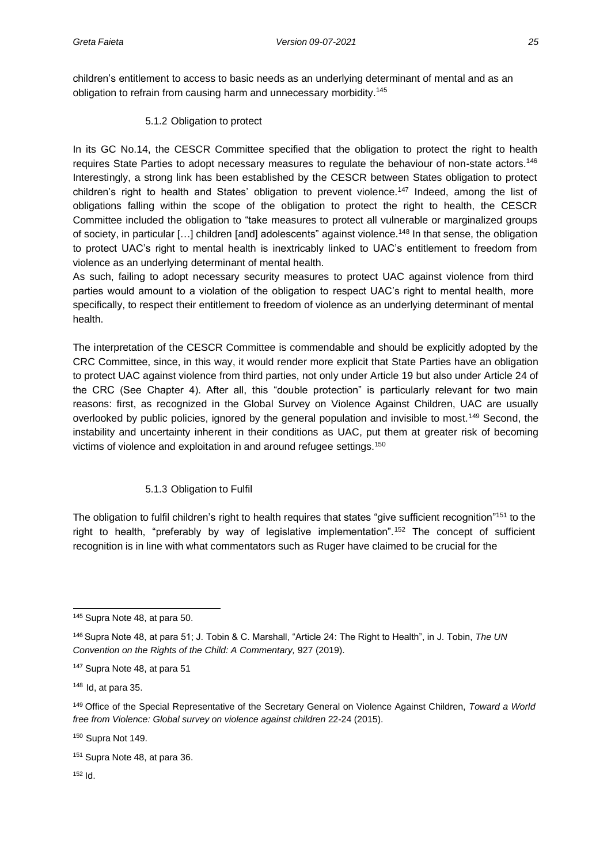children's entitlement to access to basic needs as an underlying determinant of mental and as an obligation to refrain from causing harm and unnecessary morbidity.<sup>145</sup>

5.1.2 Obligation to protect

<span id="page-33-0"></span>In its GC No.14, the CESCR Committee specified that the obligation to protect the right to health requires State Parties to adopt necessary measures to regulate the behaviour of non-state actors.<sup>146</sup> Interestingly, a strong link has been established by the CESCR between States obligation to protect children's right to health and States' obligation to prevent violence.<sup>147</sup> Indeed, among the list of obligations falling within the scope of the obligation to protect the right to health, the CESCR Committee included the obligation to "take measures to protect all vulnerable or marginalized groups of society, in particular [...] children [and] adolescents" against violence.<sup>148</sup> In that sense, the obligation to protect UAC's right to mental health is inextricably linked to UAC's entitlement to freedom from violence as an underlying determinant of mental health.

As such, failing to adopt necessary security measures to protect UAC against violence from third parties would amount to a violation of the obligation to respect UAC's right to mental health, more specifically, to respect their entitlement to freedom of violence as an underlying determinant of mental health.

The interpretation of the CESCR Committee is commendable and should be explicitly adopted by the CRC Committee, since, in this way, it would render more explicit that State Parties have an obligation to protect UAC against violence from third parties, not only under Article 19 but also under Article 24 of the CRC (See Chapter 4). After all, this "double protection" is particularly relevant for two main reasons: first, as recognized in the Global Survey on Violence Against Children, UAC are usually overlooked by public policies, ignored by the general population and invisible to most.<sup>149</sup> Second, the instability and uncertainty inherent in their conditions as UAC, put them at greater risk of becoming victims of violence and exploitation in and around refugee settings.<sup>150</sup>

#### 5.1.3 Obligation to Fulfil

<span id="page-33-1"></span>The obligation to fulfil children's right to health requires that states "give sufficient recognition"<sup>151</sup> to the right to health, "preferably by way of legislative implementation".<sup>152</sup> The concept of sufficient recognition is in line with what commentators such as Ruger have claimed to be crucial for the

<sup>150</sup> Supra Not 149.

 $152$  Id.

<sup>145</sup> Supra Note 48, at para 50.

<sup>146</sup>Supra Note 48, at para 51; J. Tobin & C. Marshall, "Article 24: The Right to Health", in J. Tobin, *The UN Convention on the Rights of the Child: A Commentary,* 927 (2019).

<sup>147</sup> Supra Note 48, at para 51

<sup>148</sup> Id, at para 35.

<sup>149</sup>Office of the Special Representative of the Secretary General on Violence Against Children, *Toward a World free from Violence: Global survey on violence against children* 22-24 (2015).

<sup>151</sup> Supra Note 48, at para 36.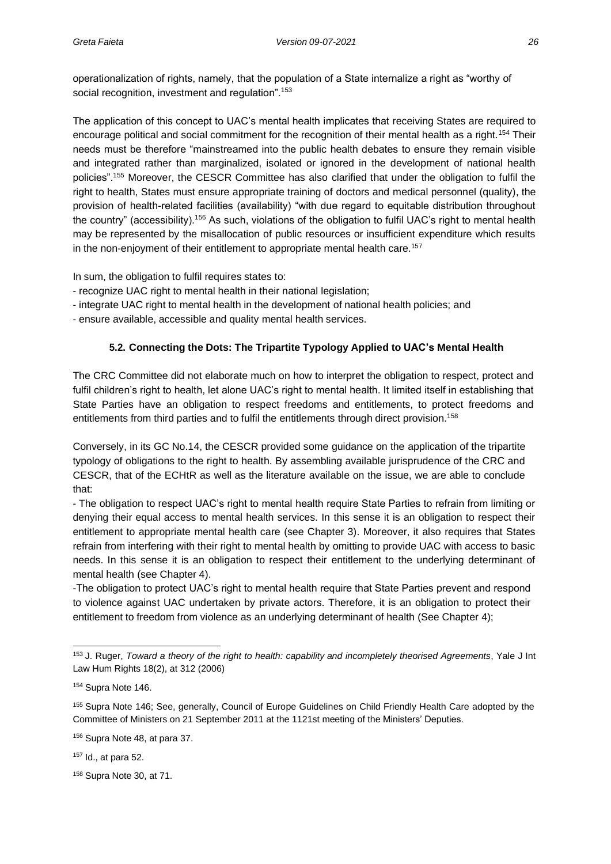operationalization of rights, namely, that the population of a State internalize a right as "worthy of social recognition, investment and regulation".<sup>153</sup>

The application of this concept to UAC's mental health implicates that receiving States are required to encourage political and social commitment for the recognition of their mental health as a right.<sup>154</sup> Their needs must be therefore "mainstreamed into the public health debates to ensure they remain visible and integrated rather than marginalized, isolated or ignored in the development of national health policies".<sup>155</sup> Moreover, the CESCR Committee has also clarified that under the obligation to fulfil the right to health, States must ensure appropriate training of doctors and medical personnel (quality), the provision of health-related facilities (availability) "with due regard to equitable distribution throughout the country" (accessibility).<sup>156</sup> As such, violations of the obligation to fulfil UAC's right to mental health may be represented by the misallocation of public resources or insufficient expenditure which results in the non-enjoyment of their entitlement to appropriate mental health care.<sup>157</sup>

In sum, the obligation to fulfil requires states to:

- recognize UAC right to mental health in their national legislation;
- integrate UAC right to mental health in the development of national health policies; and
- <span id="page-34-0"></span>- ensure available, accessible and quality mental health services.

#### **5.2. Connecting the Dots: The Tripartite Typology Applied to UAC's Mental Health**

The CRC Committee did not elaborate much on how to interpret the obligation to respect, protect and fulfil children's right to health, let alone UAC's right to mental health. It limited itself in establishing that State Parties have an obligation to respect freedoms and entitlements, to protect freedoms and entitlements from third parties and to fulfil the entitlements through direct provision.<sup>158</sup>

Conversely, in its GC No.14, the CESCR provided some guidance on the application of the tripartite typology of obligations to the right to health. By assembling available jurisprudence of the CRC and CESCR, that of the ECHtR as well as the literature available on the issue, we are able to conclude that:

- The obligation to respect UAC's right to mental health require State Parties to refrain from limiting or denying their equal access to mental health services. In this sense it is an obligation to respect their entitlement to appropriate mental health care (see Chapter 3). Moreover, it also requires that States refrain from interfering with their right to mental health by omitting to provide UAC with access to basic needs. In this sense it is an obligation to respect their entitlement to the underlying determinant of mental health (see Chapter 4).

-The obligation to protect UAC's right to mental health require that State Parties prevent and respond to violence against UAC undertaken by private actors. Therefore, it is an obligation to protect their entitlement to freedom from violence as an underlying determinant of health (See Chapter 4);

<sup>153</sup> J. Ruger, *Toward a theory of the right to health: capability and incompletely theorised Agreements*, Yale J Int Law Hum Rights 18(2), at 312 (2006)

<sup>154</sup> Supra Note 146.

<sup>155</sup>Supra Note 146; See, generally, Council of Europe Guidelines on Child Friendly Health Care adopted by the Committee of Ministers on 21 September 2011 at the 1121st meeting of the Ministers' Deputies.

<sup>156</sup> Supra Note 48, at para 37.

<sup>157</sup> Id., at para 52.

<sup>158</sup> Supra Note 30, at 71.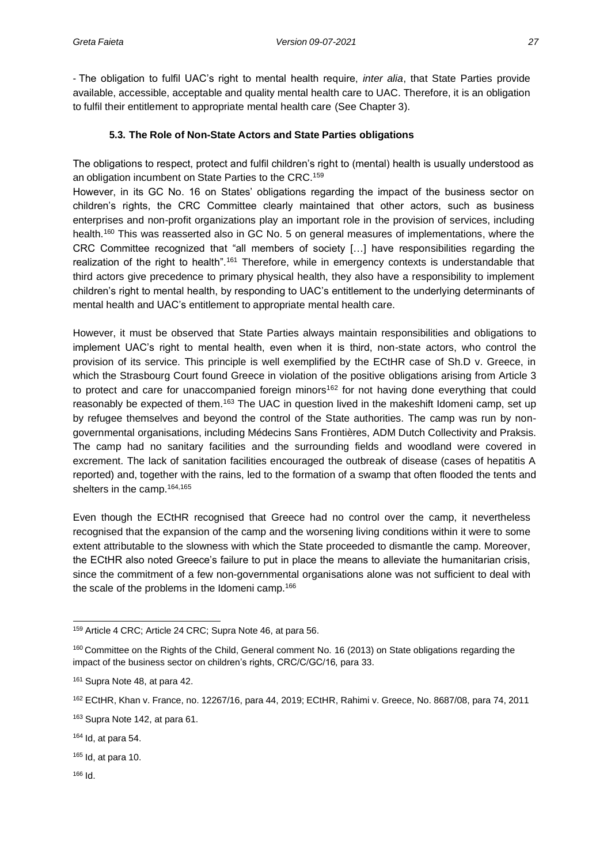- The obligation to fulfil UAC's right to mental health require, *inter alia*, that State Parties provide available, accessible, acceptable and quality mental health care to UAC. Therefore, it is an obligation to fulfil their entitlement to appropriate mental health care (See Chapter 3).

#### **5.3. The Role of Non-State Actors and State Parties obligations**

<span id="page-35-0"></span>The obligations to respect, protect and fulfil children's right to (mental) health is usually understood as an obligation incumbent on State Parties to the CRC.<sup>159</sup>

However, in its GC No. 16 on States' obligations regarding the impact of the business sector on children's rights, the CRC Committee clearly maintained that other actors, such as business enterprises and non-profit organizations play an important role in the provision of services, including health.<sup>160</sup> This was reasserted also in GC No. 5 on general measures of implementations, where the CRC Committee recognized that "all members of society […] have responsibilities regarding the realization of the right to health".<sup>161</sup> Therefore, while in emergency contexts is understandable that third actors give precedence to primary physical health, they also have a responsibility to implement children's right to mental health, by responding to UAC's entitlement to the underlying determinants of mental health and UAC's entitlement to appropriate mental health care.

However, it must be observed that State Parties always maintain responsibilities and obligations to implement UAC's right to mental health, even when it is third, non-state actors, who control the provision of its service. This principle is well exemplified by the ECtHR case of Sh.D v. Greece, in which the Strasbourg Court found Greece in violation of the positive obligations arising from Article 3 to protect and care for unaccompanied foreign minors<sup>162</sup> for not having done everything that could reasonably be expected of them.<sup>163</sup> The UAC in question lived in the makeshift Idomeni camp, set up by refugee themselves and beyond the control of the State authorities. The camp was run by nongovernmental organisations, including Médecins Sans Frontières, ADM Dutch Collectivity and Praksis. The camp had no sanitary facilities and the surrounding fields and woodland were covered in excrement. The lack of sanitation facilities encouraged the outbreak of disease (cases of hepatitis A reported) and, together with the rains, led to the formation of a swamp that often flooded the tents and shelters in the camp.<sup>164,165</sup>

Even though the ECtHR recognised that Greece had no control over the camp, it nevertheless recognised that the expansion of the camp and the worsening living conditions within it were to some extent attributable to the slowness with which the State proceeded to dismantle the camp. Moreover, the ECtHR also noted Greece's failure to put in place the means to alleviate the humanitarian crisis, since the commitment of a few non-governmental organisations alone was not sufficient to deal with the scale of the problems in the Idomeni camp.<sup>166</sup>

<sup>159</sup> Article 4 CRC; Article 24 CRC; Supra Note 46, at para 56.

<sup>160</sup> Committee on the Rights of the Child, General comment No. 16 (2013) on State obligations regarding the impact of the business sector on children's rights, CRC/C/GC/16, para 33.

<sup>161</sup> Supra Note 48, at para 42.

<sup>162</sup> ECtHR, Khan v. France, no. 12267/16, para 44, 2019; ECtHR, Rahimi v. Greece, No. 8687/08, para 74, 2011

<sup>&</sup>lt;sup>163</sup> Supra Note 142, at para 61.

 $164$  Id, at para 54.

 $165$  Id, at para 10.

<sup>166</sup> Id.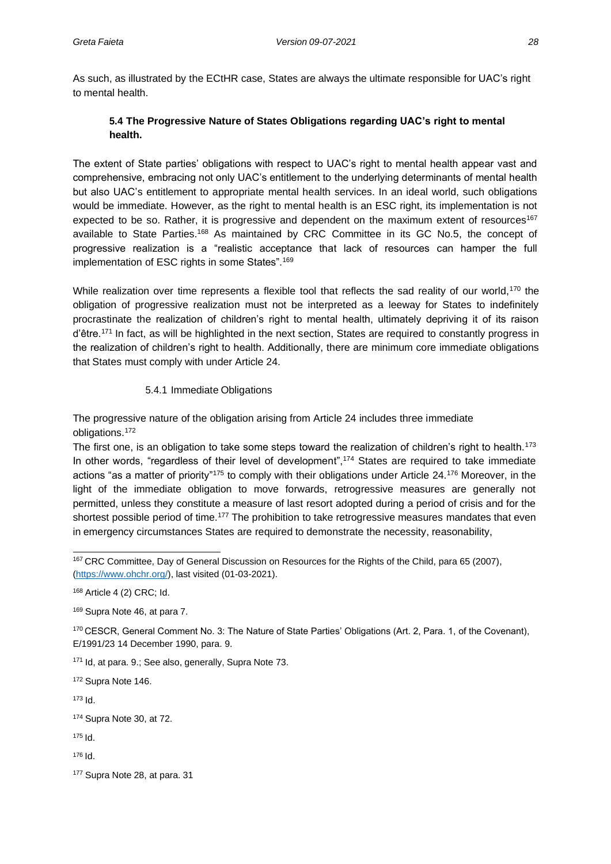As such, as illustrated by the ECtHR case, States are always the ultimate responsible for UAC's right to mental health.

### **5.4 The Progressive Nature of States Obligations regarding UAC's right to mental health.**

The extent of State parties' obligations with respect to UAC's right to mental health appear vast and comprehensive, embracing not only UAC's entitlement to the underlying determinants of mental health but also UAC's entitlement to appropriate mental health services. In an ideal world, such obligations would be immediate. However, as the right to mental health is an ESC right, its implementation is not expected to be so. Rather, it is progressive and dependent on the maximum extent of resources<sup>167</sup> available to State Parties.<sup>168</sup> As maintained by CRC Committee in its GC No.5, the concept of progressive realization is a "realistic acceptance that lack of resources can hamper the full implementation of ESC rights in some States".<sup>169</sup>

While realization over time represents a flexible tool that reflects the sad reality of our world,<sup>170</sup> the obligation of progressive realization must not be interpreted as a leeway for States to indefinitely procrastinate the realization of children's right to mental health, ultimately depriving it of its raison d'être.<sup>171</sup> In fact, as will be highlighted in the next section, States are required to constantly progress in the realization of children's right to health. Additionally, there are minimum core immediate obligations that States must comply with under Article 24.

#### 5.4.1 Immediate Obligations

The progressive nature of the obligation arising from Article 24 includes three immediate obligations.<sup>172</sup>

The first one, is an obligation to take some steps toward the realization of children's right to health.<sup>173</sup> In other words, "regardless of their level of development",<sup>174</sup> States are required to take immediate actions "as a matter of priority"<sup>175</sup> to comply with their obligations under Article 24.<sup>176</sup> Moreover, in the light of the immediate obligation to move forwards, retrogressive measures are generally not permitted, unless they constitute a measure of last resort adopted during a period of crisis and for the shortest possible period of time.<sup>177</sup> The prohibition to take retrogressive measures mandates that even in emergency circumstances States are required to demonstrate the necessity, reasonability,

171 Id, at para. 9.; See also, generally, Supra Note 73.

<sup>172</sup> Supra Note 146.

<sup>173</sup> Id.

<sup>174</sup> Supra Note 30, at 72.

 $175$   $\text{Id}$ .

<sup>176</sup> Id.

<sup>167</sup>CRC Committee, Day of General Discussion on Resources for the Rights of the Child, para 65 (2007), [\(https://www.ohchr.org/\)](https://www.ohchr.org/), last visited (01-03-2021).

<sup>168</sup> Article 4 (2) CRC; Id.

<sup>169</sup> Supra Note 46, at para 7.

<sup>170</sup>CESCR, General Comment No. 3: The Nature of State Parties' Obligations (Art. 2, Para. 1, of the Covenant), E/1991/23 14 December 1990, para. 9.

<sup>177</sup> Supra Note 28, at para. 31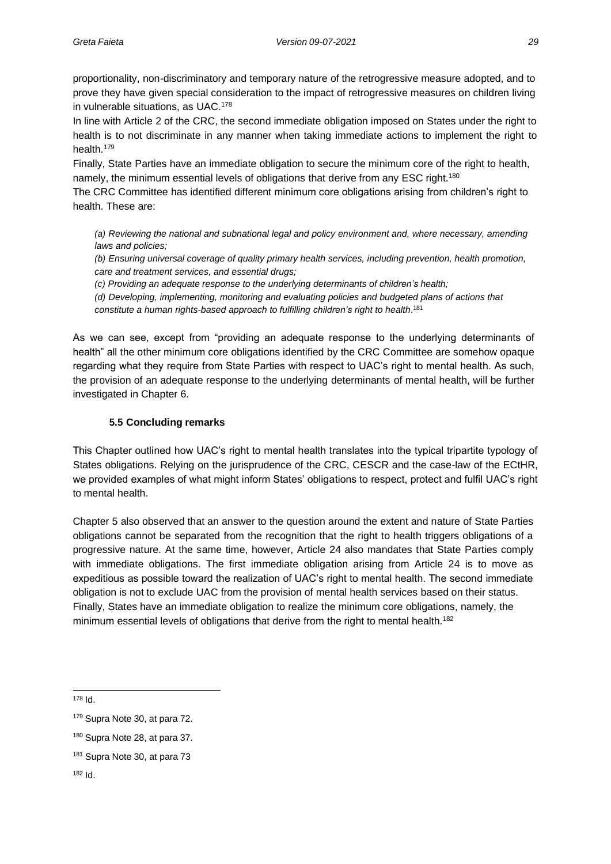proportionality, non-discriminatory and temporary nature of the retrogressive measure adopted, and to prove they have given special consideration to the impact of retrogressive measures on children living in vulnerable situations, as UAC.<sup>178</sup>

In line with Article 2 of the CRC, the second immediate obligation imposed on States under the right to health is to not discriminate in any manner when taking immediate actions to implement the right to health.<sup>179</sup>

Finally, State Parties have an immediate obligation to secure the minimum core of the right to health, namely, the minimum essential levels of obligations that derive from any ESC right.<sup>180</sup>

The CRC Committee has identified different minimum core obligations arising from children's right to health. These are:

*(a) Reviewing the national and subnational legal and policy environment and, where necessary, amending laws and policies;*

*(b) Ensuring universal coverage of quality primary health services, including prevention, health promotion, care and treatment services, and essential drugs;*

*(c) Providing an adequate response to the underlying determinants of children's health;*

*(d) Developing, implementing, monitoring and evaluating policies and budgeted plans of actions that constitute a human rights-based approach to fulfilling children's right to health*. 181

As we can see, except from "providing an adequate response to the underlying determinants of health" all the other minimum core obligations identified by the CRC Committee are somehow opaque regarding what they require from State Parties with respect to UAC's right to mental health. As such, the provision of an adequate response to the underlying determinants of mental health, will be further investigated in Chapter 6.

#### **5.5 Concluding remarks**

This Chapter outlined how UAC's right to mental health translates into the typical tripartite typology of States obligations. Relying on the jurisprudence of the CRC, CESCR and the case-law of the ECtHR, we provided examples of what might inform States' obligations to respect, protect and fulfil UAC's right to mental health.

Chapter 5 also observed that an answer to the question around the extent and nature of State Parties obligations cannot be separated from the recognition that the right to health triggers obligations of a progressive nature. At the same time, however, Article 24 also mandates that State Parties comply with immediate obligations. The first immediate obligation arising from Article 24 is to move as expeditious as possible toward the realization of UAC's right to mental health. The second immediate obligation is not to exclude UAC from the provision of mental health services based on their status. Finally, States have an immediate obligation to realize the minimum core obligations, namely, the minimum essential levels of obligations that derive from the right to mental health.<sup>182</sup>

<sup>178</sup> Id.

<sup>179</sup> Supra Note 30, at para 72.

<sup>180</sup> Supra Note 28, at para 37.

<sup>181</sup> Supra Note 30, at para 73

<sup>182</sup> Id.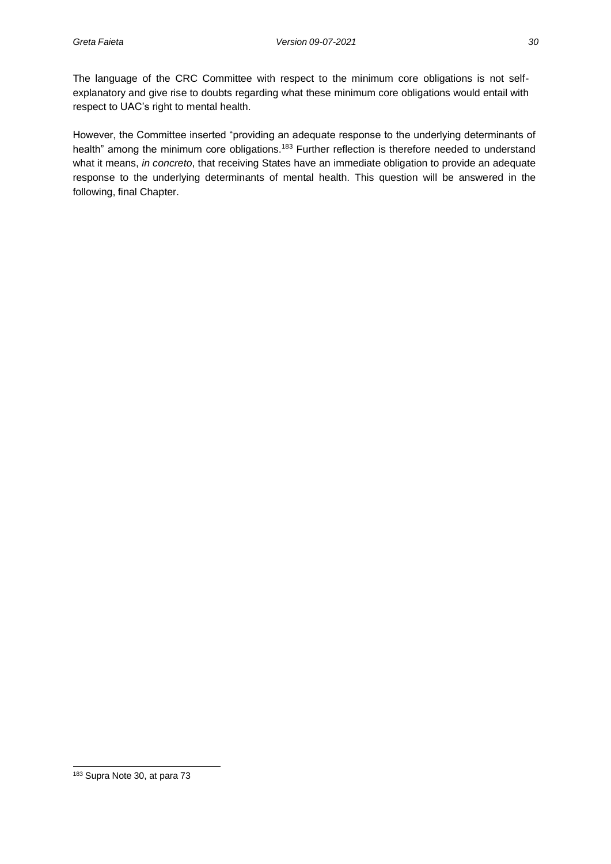The language of the CRC Committee with respect to the minimum core obligations is not selfexplanatory and give rise to doubts regarding what these minimum core obligations would entail with respect to UAC's right to mental health.

However, the Committee inserted "providing an adequate response to the underlying determinants of health" among the minimum core obligations.<sup>183</sup> Further reflection is therefore needed to understand what it means, *in concreto*, that receiving States have an immediate obligation to provide an adequate response to the underlying determinants of mental health. This question will be answered in the following, final Chapter.

<sup>183</sup> Supra Note 30, at para 73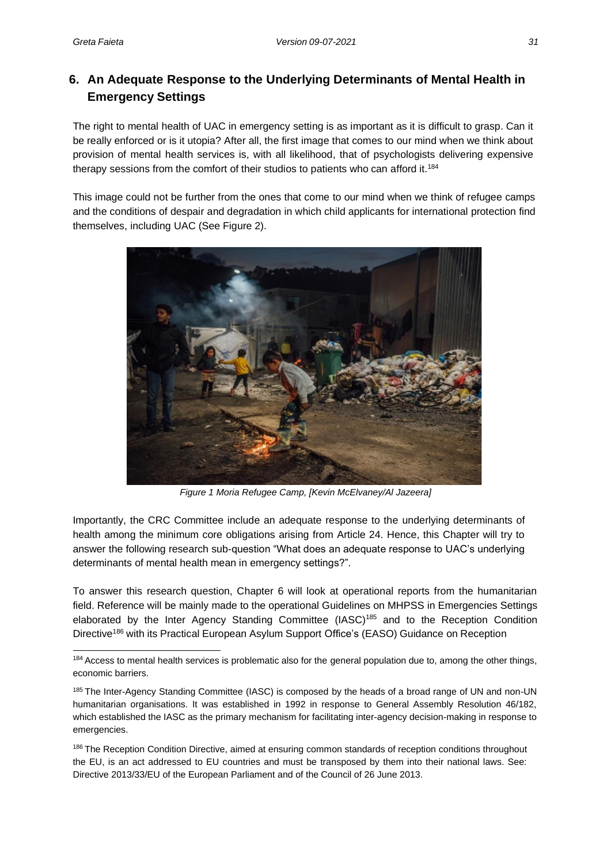## **6. An Adequate Response to the Underlying Determinants of Mental Health in Emergency Settings**

The right to mental health of UAC in emergency setting is as important as it is difficult to grasp. Can it be really enforced or is it utopia? After all, the first image that comes to our mind when we think about provision of mental health services is, with all likelihood, that of psychologists delivering expensive therapy sessions from the comfort of their studios to patients who can afford it.<sup>184</sup>

This image could not be further from the ones that come to our mind when we think of refugee camps and the conditions of despair and degradation in which child applicants for international protection find themselves, including UAC (See Figure 2).



*Figure 1 Moria Refugee Camp, [Kevin McElvaney/Al Jazeera]*

Importantly, the CRC Committee include an adequate response to the underlying determinants of health among the minimum core obligations arising from Article 24. Hence, this Chapter will try to answer the following research sub-question "What does an adequate response to UAC's underlying determinants of mental health mean in emergency settings?".

To answer this research question, Chapter 6 will look at operational reports from the humanitarian field. Reference will be mainly made to the operational Guidelines on MHPSS in Emergencies Settings elaborated by the Inter Agency Standing Committee (IASC)<sup>185</sup> and to the Reception Condition Directive<sup>186</sup> with its Practical European Asylum Support Office's (EASO) Guidance on Reception

<sup>&</sup>lt;sup>184</sup> Access to mental health services is problematic also for the general population due to, among the other things, economic barriers.

<sup>185</sup> The Inter-Agency Standing Committee (IASC) is composed by the heads of a broad range of UN and non-UN humanitarian organisations. It was established in 1992 in response to General Assembly Resolution 46/182, which established the IASC as the primary mechanism for facilitating inter-agency decision-making in response to emergencies.

<sup>&</sup>lt;sup>186</sup> The Reception Condition Directive, aimed at ensuring common standards of reception conditions throughout the EU, is an act addressed to EU countries and must be transposed by them into their national laws. See: Directive 2013/33/EU of the European Parliament and of the Council of 26 June 2013.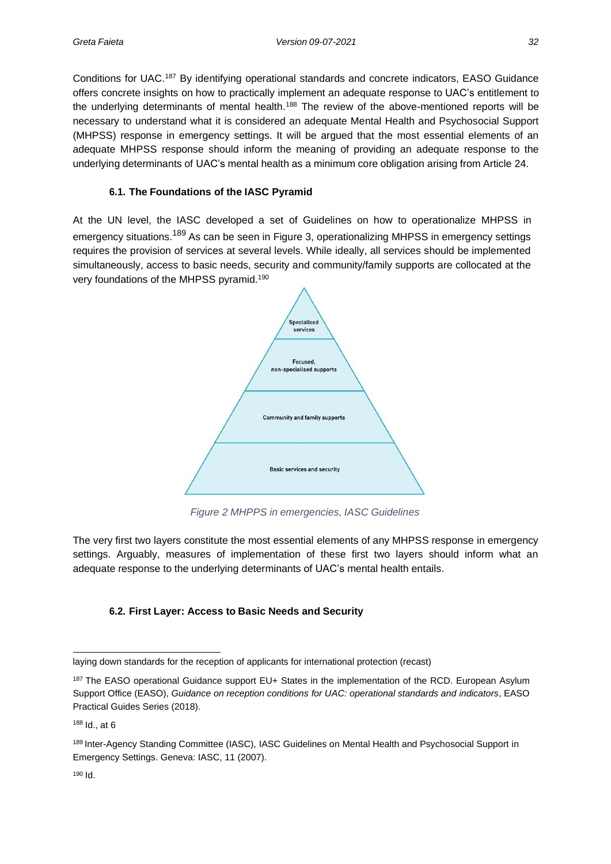Conditions for UAC.<sup>187</sup> By identifying operational standards and concrete indicators, EASO Guidance offers concrete insights on how to practically implement an adequate response to UAC's entitlement to the underlying determinants of mental health.<sup>188</sup> The review of the above-mentioned reports will be necessary to understand what it is considered an adequate Mental Health and Psychosocial Support (MHPSS) response in emergency settings. It will be argued that the most essential elements of an adequate MHPSS response should inform the meaning of providing an adequate response to the underlying determinants of UAC's mental health as a minimum core obligation arising from Article 24.

#### **6.1. The Foundations of the IASC Pyramid**

At the UN level, the IASC developed a set of Guidelines on how to operationalize MHPSS in emergency situations.<sup>189</sup> As can be seen in Figure 3, operationalizing MHPSS in emergency settings requires the provision of services at several levels. While ideally, all services should be implemented simultaneously, access to basic needs, security and community/family supports are collocated at the very foundations of the MHPSS pyramid.<sup>190</sup>



*Figure 2 MHPPS in emergencies, IASC Guidelines*

The very first two layers constitute the most essential elements of any MHPSS response in emergency settings. Arguably, measures of implementation of these first two layers should inform what an adequate response to the underlying determinants of UAC's mental health entails.

### **6.2. First Layer: Access to Basic Needs and Security**

laying down standards for the reception of applicants for international protection (recast)

<sup>&</sup>lt;sup>187</sup> The EASO operational Guidance support EU+ States in the implementation of the RCD. European Asylum Support Office (EASO), *Guidance on reception conditions for UAC: operational standards and indicators*, EASO Practical Guides Series (2018).

<sup>188</sup> Id., at 6

<sup>189</sup> Inter-Agency Standing Committee (IASC), IASC Guidelines on Mental Health and Psychosocial Support in Emergency Settings. Geneva: IASC, 11 (2007).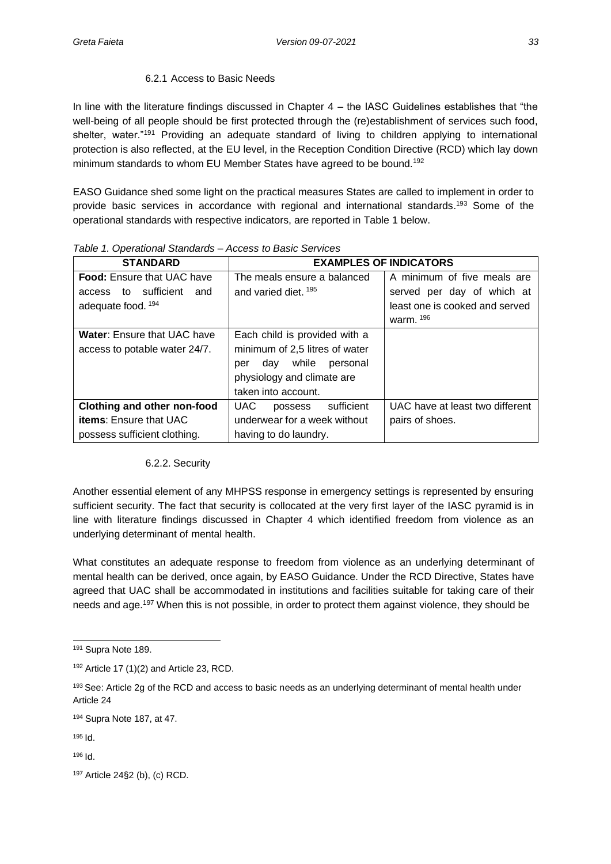#### 6.2.1 Access to Basic Needs

In line with the literature findings discussed in Chapter 4 – the IASC Guidelines establishes that "the well-being of all people should be first protected through the (re)establishment of services such food, shelter, water."<sup>191</sup> Providing an adequate standard of living to children applying to international protection is also reflected, at the EU level, in the Reception Condition Directive (RCD) which lay down minimum standards to whom EU Member States have agreed to be bound.<sup>192</sup>

EASO Guidance shed some light on the practical measures States are called to implement in order to provide basic services in accordance with regional and international standards.<sup>193</sup> Some of the operational standards with respective indicators, are reported in Table 1 below.

| <b>STANDARD</b>                    | <b>EXAMPLES OF INDICATORS</b>  |                                 |  |  |
|------------------------------------|--------------------------------|---------------------------------|--|--|
| <b>Food:</b> Ensure that UAC have  | The meals ensure a balanced    | A minimum of five meals are     |  |  |
| access to sufficient<br>and        | and varied diet. 195           | served per day of which at      |  |  |
| adequate food. 194                 |                                | least one is cooked and served  |  |  |
|                                    |                                | warm. 196                       |  |  |
| <b>Water:</b> Ensure that UAC have | Each child is provided with a  |                                 |  |  |
| access to potable water 24/7.      | minimum of 2,5 litres of water |                                 |  |  |
|                                    | day while personal<br>per      |                                 |  |  |
|                                    | physiology and climate are     |                                 |  |  |
|                                    | taken into account.            |                                 |  |  |
| Clothing and other non-food        | sufficient<br>UAC.<br>possess  | UAC have at least two different |  |  |
| <b>items:</b> Ensure that UAC      | underwear for a week without   | pairs of shoes.                 |  |  |
| possess sufficient clothing.       | having to do laundry.          |                                 |  |  |

*Table 1. Operational Standards – Access to Basic Services*

#### 6.2.2. Security

Another essential element of any MHPSS response in emergency settings is represented by ensuring sufficient security. The fact that security is collocated at the very first layer of the IASC pyramid is in line with literature findings discussed in Chapter 4 which identified freedom from violence as an underlying determinant of mental health.

What constitutes an adequate response to freedom from violence as an underlying determinant of mental health can be derived, once again, by EASO Guidance. Under the RCD Directive, States have agreed that UAC shall be accommodated in institutions and facilities suitable for taking care of their needs and age.<sup>197</sup> When this is not possible, in order to protect them against violence, they should be

<sup>191</sup> Supra Note 189.

 $192$  Article 17 (1)(2) and Article 23, RCD.

<sup>193</sup> See: Article 2g of the RCD and access to basic needs as an underlying determinant of mental health under Article 24

<sup>194</sup> Supra Note 187, at 47.

<sup>195</sup> Id.

<sup>196</sup> Id.

<sup>197</sup> Article 24§2 (b), (c) RCD.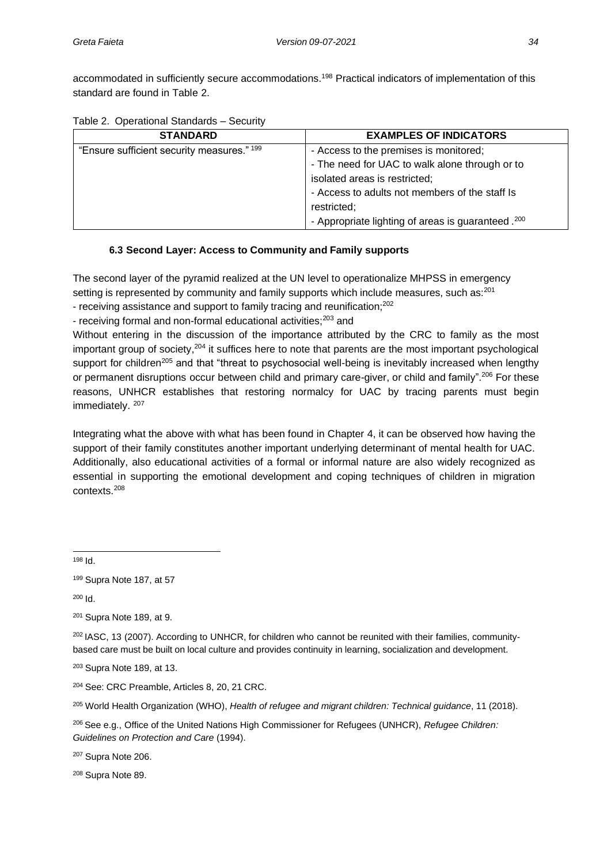accommodated in sufficiently secure accommodations.<sup>198</sup> Practical indicators of implementation of this standard are found in Table 2.

|  | Table 2. Operational Standards - Security |  |  |
|--|-------------------------------------------|--|--|
|--|-------------------------------------------|--|--|

| <b>STANDARD</b>                            | <b>EXAMPLES OF INDICATORS</b>                       |
|--------------------------------------------|-----------------------------------------------------|
| "Ensure sufficient security measures." 199 | - Access to the premises is monitored;              |
|                                            | - The need for UAC to walk alone through or to      |
|                                            | isolated areas is restricted;                       |
|                                            | - Access to adults not members of the staff Is      |
|                                            | restricted;                                         |
|                                            | - Appropriate lighting of areas is guaranteed . 200 |

#### **6.3 Second Layer: Access to Community and Family supports**

The second layer of the pyramid realized at the UN level to operationalize MHPSS in emergency setting is represented by community and family supports which include measures, such as:<sup>201</sup>

- receiving assistance and support to family tracing and reunification;<sup>202</sup>

- receiving formal and non-formal educational activities;<sup>203</sup> and

Without entering in the discussion of the importance attributed by the CRC to family as the most important group of society, $204$  it suffices here to note that parents are the most important psychological support for children<sup>205</sup> and that "threat to psychosocial well-being is inevitably increased when lengthy or permanent disruptions occur between child and primary care-giver, or child and family".<sup>206</sup> For these reasons, UNHCR establishes that restoring normalcy for UAC by tracing parents must begin immediately. 207

Integrating what the above with what has been found in Chapter 4, it can be observed how having the support of their family constitutes another important underlying determinant of mental health for UAC. Additionally, also educational activities of a formal or informal nature are also widely recognized as essential in supporting the emotional development and coping techniques of children in migration contexts.<sup>208</sup>

<sup>198</sup> Id.

<sup>200</sup> Id.

<sup>201</sup> Supra Note 189, at 9.

<sup>202</sup> IASC, 13 (2007). According to UNHCR, for children who cannot be reunited with their families, communitybased care must be built on local culture and provides continuity in learning, socialization and development.

<sup>203</sup> Supra Note 189, at 13.

<sup>204</sup> See: CRC Preamble, Articles 8, 20, 21 CRC.

<sup>205</sup> World Health Organization (WHO), *Health of refugee and migrant children: Technical guidance*, 11 (2018).

<sup>206</sup>See e.g., Office of the United Nations High Commissioner for Refugees (UNHCR), *Refugee Children: Guidelines on Protection and Care* (1994).

<sup>207</sup> Supra Note 206.

<sup>208</sup> Supra Note 89.

<sup>199</sup> Supra Note 187, at 57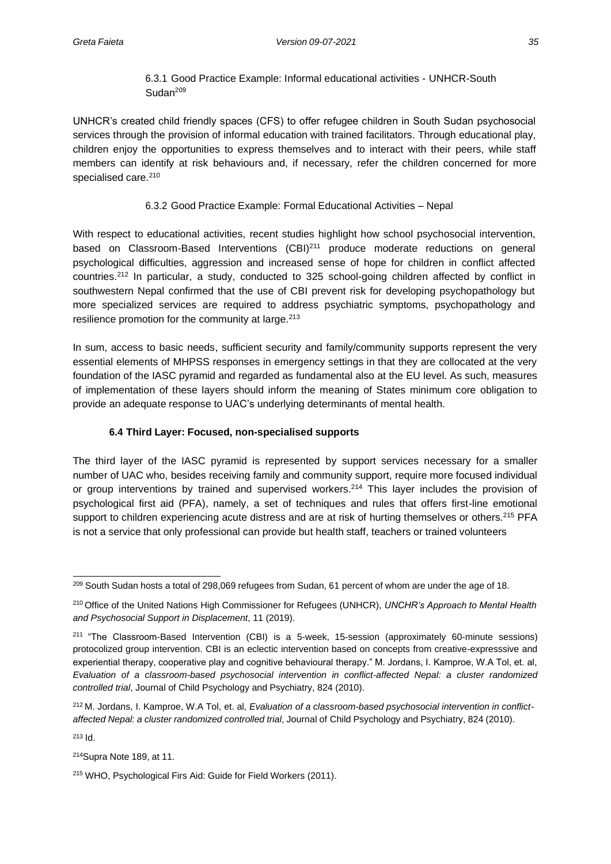### 6.3.1 Good Practice Example: Informal educational activities - UNHCR-South Sudan<sup>209</sup>

UNHCR's created child friendly spaces (CFS) to offer refugee children in South Sudan psychosocial services through the provision of informal education with trained facilitators. Through educational play, children enjoy the opportunities to express themselves and to interact with their peers, while staff members can identify at risk behaviours and, if necessary, refer the children concerned for more specialised care.<sup>210</sup>

#### 6.3.2 Good Practice Example: Formal Educational Activities – Nepal

With respect to educational activities, recent studies highlight how school psychosocial intervention, based on Classroom-Based Interventions (CBI)<sup>211</sup> produce moderate reductions on general psychological difficulties, aggression and increased sense of hope for children in conflict affected countries.<sup>212</sup> In particular, a study, conducted to 325 school-going children affected by conflict in southwestern Nepal confirmed that the use of CBI prevent risk for developing psychopathology but more specialized services are required to address psychiatric symptoms, psychopathology and resilience promotion for the community at large.<sup>213</sup>

In sum, access to basic needs, sufficient security and family/community supports represent the very essential elements of MHPSS responses in emergency settings in that they are collocated at the very foundation of the IASC pyramid and regarded as fundamental also at the EU level. As such, measures of implementation of these layers should inform the meaning of States minimum core obligation to provide an adequate response to UAC's underlying determinants of mental health.

#### **6.4 Third Layer: Focused, non-specialised supports**

The third layer of the IASC pyramid is represented by support services necessary for a smaller number of UAC who, besides receiving family and community support, require more focused individual or group interventions by trained and supervised workers.<sup>214</sup> This layer includes the provision of psychological first aid (PFA), namely, a set of techniques and rules that offers first-line emotional support to children experiencing acute distress and are at risk of hurting themselves or others.<sup>215</sup> PFA is not a service that only professional can provide but health staff, teachers or trained volunteers

<sup>213</sup> Id.

<sup>214</sup>Supra Note 189, at 11.

<sup>&</sup>lt;sup>209</sup> South Sudan hosts a total of 298,069 refugees from Sudan, 61 percent of whom are under the age of 18.

<sup>210</sup>Office of the United Nations High Commissioner for Refugees (UNHCR), *UNCHR's Approach to Mental Health and Psychosocial Support in Displacement*, 11 (2019).

 $211$  "The Classroom-Based Intervention (CBI) is a 5-week, 15-session (approximately 60-minute sessions) protocolized group intervention. CBI is an eclectic intervention based on concepts from creative-expresssive and experiential therapy, cooperative play and cognitive behavioural therapy." M. Jordans, I. Kamproe, W.A Tol, et. al, *Evaluation of a classroom-based psychosocial intervention in conflict-affected Nepal: a cluster randomized controlled trial*, Journal of Child Psychology and Psychiatry, 824 (2010).

<sup>212</sup> M. Jordans, I. Kamproe, W.A Tol, et. al, *Evaluation of a classroom-based psychosocial intervention in conflictaffected Nepal: a cluster randomized controlled trial*, Journal of Child Psychology and Psychiatry, 824 (2010).

<sup>215</sup> WHO, Psychological Firs Aid: Guide for Field Workers (2011).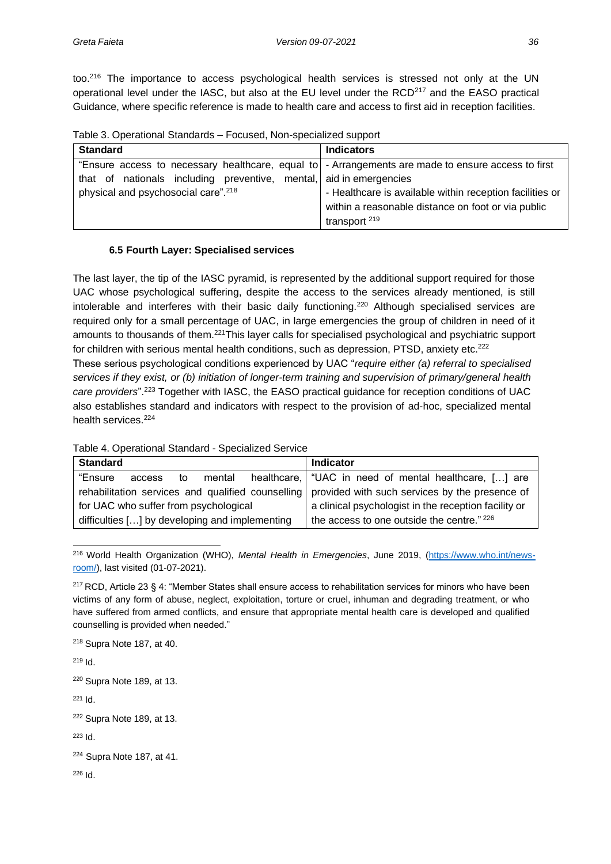too.<sup>216</sup> The importance to access psychological health services is stressed not only at the UN operational level under the IASC, but also at the EU level under the  $RCD<sup>217</sup>$  and the EASO practical Guidance, where specific reference is made to health care and access to first aid in reception facilities.

|  | Table 3. Operational Standards - Focused, Non-specialized support |  |  |
|--|-------------------------------------------------------------------|--|--|
|  |                                                                   |  |  |

| <b>Standard</b>                                                                                    | <b>Indicators</b>                                        |
|----------------------------------------------------------------------------------------------------|----------------------------------------------------------|
| "Ensure access to necessary healthcare, equal to - Arrangements are made to ensure access to first |                                                          |
| that of nationals including preventive, mental, aid in emergencies                                 |                                                          |
| physical and psychosocial care". <sup>218</sup>                                                    | - Healthcare is available within reception facilities or |
|                                                                                                    | within a reasonable distance on foot or via public       |
|                                                                                                    | transport <sup>219</sup>                                 |

#### **6.5 Fourth Layer: Specialised services**

The last layer, the tip of the IASC pyramid, is represented by the additional support required for those UAC whose psychological suffering, despite the access to the services already mentioned, is still intolerable and interferes with their basic daily functioning.<sup>220</sup> Although specialised services are required only for a small percentage of UAC, in large emergencies the group of children in need of it amounts to thousands of them.<sup>221</sup>This layer calls for specialised psychological and psychiatric support for children with serious mental health conditions, such as depression, PTSD, anxiety etc.<sup>222</sup> These serious psychological conditions experienced by UAC "*require either (a) referral to specialised services if they exist, or (b) initiation of longer-term training and supervision of primary/general health care providers*".<sup>223</sup> Together with IASC, the EASO practical guidance for reception conditions of UAC also establishes standard and indicators with respect to the provision of ad-hoc, specialized mental health services.<sup>224</sup>

|  | Table 4. Operational Standard - Specialized Service |  |
|--|-----------------------------------------------------|--|
|  |                                                     |  |

| <b>Standard</b>                                                                                  | <b>Indicator</b>                                        |
|--------------------------------------------------------------------------------------------------|---------------------------------------------------------|
| "Ensure<br>mental<br>access<br>to                                                                | healthcare,   "UAC in need of mental healthcare, [] are |
| rehabilitation services and qualified counselling provided with such services by the presence of |                                                         |
| for UAC who suffer from psychological                                                            | a clinical psychologist in the reception facility or    |
| difficulties [] by developing and implementing                                                   | the access to one outside the centre." 226              |

216 World Health Organization (WHO), *Mental Health in Emergencies*, June 2019, [\(https://www.who.int/news](https://www.who.int/news-room/)[room/\)](https://www.who.int/news-room/), last visited (01-07-2021).

<sup>218</sup> Supra Note 187, at 40.

<sup>219</sup> Id. <sup>220</sup> Supra Note 189, at 13. <sup>221</sup> Id. <sup>222</sup> Supra Note 189, at 13. <sup>223</sup> Id. <sup>224</sup> Supra Note 187, at 41. <sup>226</sup> Id.

<sup>217</sup>RCD, Article 23 § 4: "Member States shall ensure access to rehabilitation services for minors who have been victims of any form of abuse, neglect, exploitation, torture or cruel, inhuman and degrading treatment, or who have suffered from armed conflicts, and ensure that appropriate mental health care is developed and qualified counselling is provided when needed."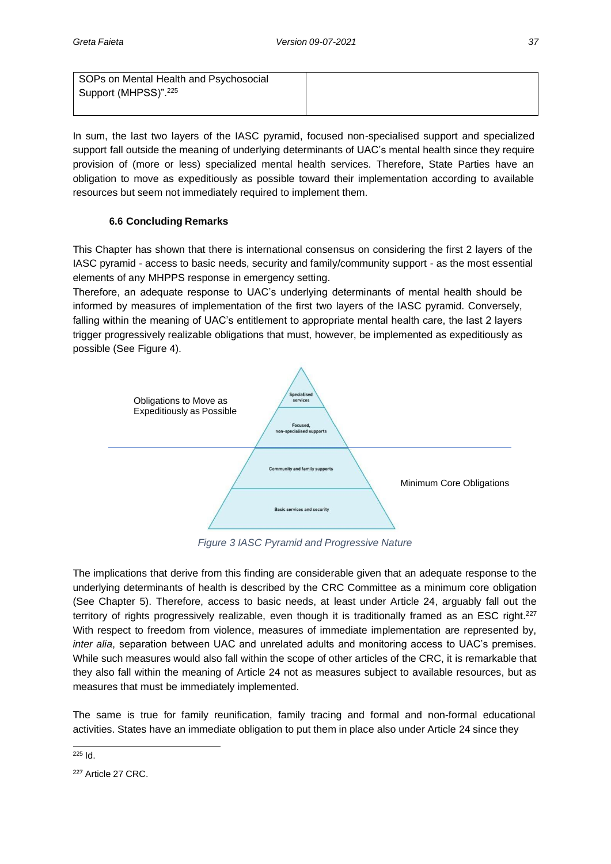SOPs on Mental Health and Psychosocial Support (MHPSS)".<sup>225</sup>

In sum, the last two layers of the IASC pyramid, focused non-specialised support and specialized support fall outside the meaning of underlying determinants of UAC's mental health since they require provision of (more or less) specialized mental health services. Therefore, State Parties have an obligation to move as expeditiously as possible toward their implementation according to available resources but seem not immediately required to implement them.

### **6.6 Concluding Remarks**

This Chapter has shown that there is international consensus on considering the first 2 layers of the IASC pyramid - access to basic needs, security and family/community support - as the most essential elements of any MHPPS response in emergency setting.

Therefore, an adequate response to UAC's underlying determinants of mental health should be informed by measures of implementation of the first two layers of the IASC pyramid. Conversely, falling within the meaning of UAC's entitlement to appropriate mental health care, the last 2 layers trigger progressively realizable obligations that must, however, be implemented as expeditiously as possible (See Figure 4).



*Figure 3 IASC Pyramid and Progressive Nature*

The implications that derive from this finding are considerable given that an adequate response to the underlying determinants of health is described by the CRC Committee as a minimum core obligation (See Chapter 5). Therefore, access to basic needs, at least under Article 24, arguably fall out the territory of rights progressively realizable, even though it is traditionally framed as an ESC right.<sup>227</sup> With respect to freedom from violence, measures of immediate implementation are represented by, *inter alia*, separation between UAC and unrelated adults and monitoring access to UAC's premises. While such measures would also fall within the scope of other articles of the CRC, it is remarkable that they also fall within the meaning of Article 24 not as measures subject to available resources, but as measures that must be immediately implemented.

The same is true for family reunification, family tracing and formal and non-formal educational activities. States have an immediate obligation to put them in place also under Article 24 since they

<sup>225</sup> Id.

<sup>&</sup>lt;sup>227</sup> Article 27 CRC.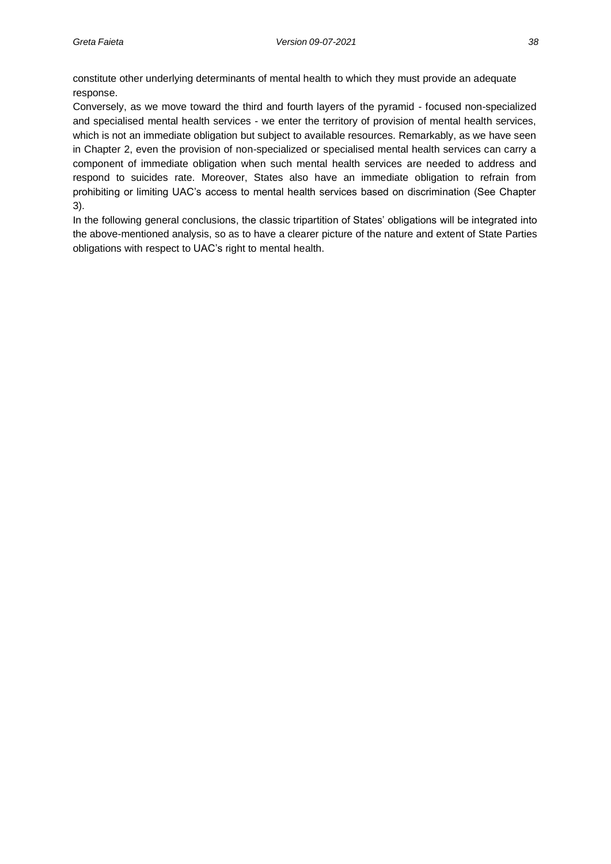constitute other underlying determinants of mental health to which they must provide an adequate response.

Conversely, as we move toward the third and fourth layers of the pyramid - focused non-specialized and specialised mental health services - we enter the territory of provision of mental health services, which is not an immediate obligation but subject to available resources. Remarkably, as we have seen in Chapter 2, even the provision of non-specialized or specialised mental health services can carry a component of immediate obligation when such mental health services are needed to address and respond to suicides rate. Moreover, States also have an immediate obligation to refrain from prohibiting or limiting UAC's access to mental health services based on discrimination (See Chapter 3).

In the following general conclusions, the classic tripartition of States' obligations will be integrated into the above-mentioned analysis, so as to have a clearer picture of the nature and extent of State Parties obligations with respect to UAC's right to mental health.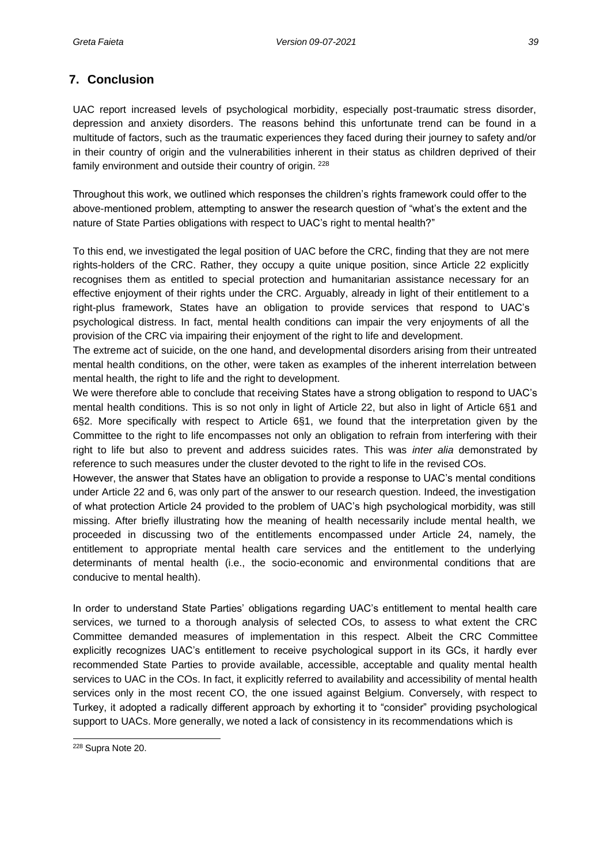## **7. Conclusion**

UAC report increased levels of psychological morbidity, especially post-traumatic stress disorder, depression and anxiety disorders. The reasons behind this unfortunate trend can be found in a multitude of factors, such as the traumatic experiences they faced during their journey to safety and/or in their country of origin and the vulnerabilities inherent in their status as children deprived of their family environment and outside their country of origin. <sup>228</sup>

Throughout this work, we outlined which responses the children's rights framework could offer to the above-mentioned problem, attempting to answer the research question of "what's the extent and the nature of State Parties obligations with respect to UAC's right to mental health?"

To this end, we investigated the legal position of UAC before the CRC, finding that they are not mere rights-holders of the CRC. Rather, they occupy a quite unique position, since Article 22 explicitly recognises them as entitled to special protection and humanitarian assistance necessary for an effective enjoyment of their rights under the CRC. Arguably, already in light of their entitlement to a right-plus framework, States have an obligation to provide services that respond to UAC's psychological distress. In fact, mental health conditions can impair the very enjoyments of all the provision of the CRC via impairing their enjoyment of the right to life and development.

The extreme act of suicide, on the one hand, and developmental disorders arising from their untreated mental health conditions, on the other, were taken as examples of the inherent interrelation between mental health, the right to life and the right to development.

We were therefore able to conclude that receiving States have a strong obligation to respond to UAC's mental health conditions. This is so not only in light of Article 22, but also in light of Article 6§1 and 6§2. More specifically with respect to Article 6§1, we found that the interpretation given by the Committee to the right to life encompasses not only an obligation to refrain from interfering with their right to life but also to prevent and address suicides rates. This was *inter alia* demonstrated by reference to such measures under the cluster devoted to the right to life in the revised COs.

However, the answer that States have an obligation to provide a response to UAC's mental conditions under Article 22 and 6, was only part of the answer to our research question. Indeed, the investigation of what protection Article 24 provided to the problem of UAC's high psychological morbidity, was still missing. After briefly illustrating how the meaning of health necessarily include mental health, we proceeded in discussing two of the entitlements encompassed under Article 24, namely, the entitlement to appropriate mental health care services and the entitlement to the underlying determinants of mental health (i.e., the socio-economic and environmental conditions that are conducive to mental health).

In order to understand State Parties' obligations regarding UAC's entitlement to mental health care services, we turned to a thorough analysis of selected COs, to assess to what extent the CRC Committee demanded measures of implementation in this respect. Albeit the CRC Committee explicitly recognizes UAC's entitlement to receive psychological support in its GCs, it hardly ever recommended State Parties to provide available, accessible, acceptable and quality mental health services to UAC in the COs. In fact, it explicitly referred to availability and accessibility of mental health services only in the most recent CO, the one issued against Belgium. Conversely, with respect to Turkey, it adopted a radically different approach by exhorting it to "consider" providing psychological support to UACs. More generally, we noted a lack of consistency in its recommendations which is

<sup>228</sup> Supra Note 20.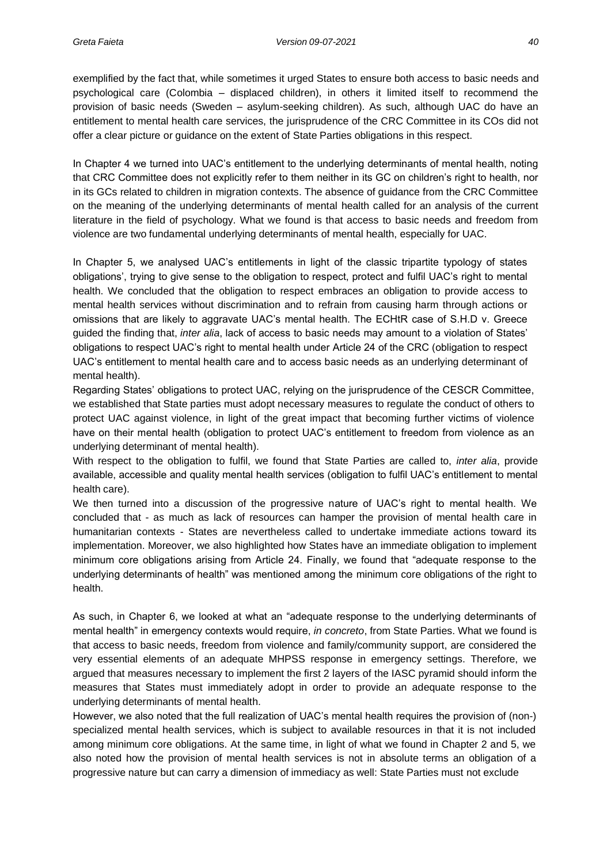exemplified by the fact that, while sometimes it urged States to ensure both access to basic needs and psychological care (Colombia – displaced children), in others it limited itself to recommend the provision of basic needs (Sweden – asylum-seeking children). As such, although UAC do have an entitlement to mental health care services, the jurisprudence of the CRC Committee in its COs did not offer a clear picture or guidance on the extent of State Parties obligations in this respect.

In Chapter 4 we turned into UAC's entitlement to the underlying determinants of mental health, noting that CRC Committee does not explicitly refer to them neither in its GC on children's right to health, nor in its GCs related to children in migration contexts. The absence of guidance from the CRC Committee on the meaning of the underlying determinants of mental health called for an analysis of the current literature in the field of psychology. What we found is that access to basic needs and freedom from violence are two fundamental underlying determinants of mental health, especially for UAC.

In Chapter 5, we analysed UAC's entitlements in light of the classic tripartite typology of states obligations', trying to give sense to the obligation to respect, protect and fulfil UAC's right to mental health. We concluded that the obligation to respect embraces an obligation to provide access to mental health services without discrimination and to refrain from causing harm through actions or omissions that are likely to aggravate UAC's mental health. The ECHtR case of S.H.D v. Greece guided the finding that, *inter alia*, lack of access to basic needs may amount to a violation of States' obligations to respect UAC's right to mental health under Article 24 of the CRC (obligation to respect UAC's entitlement to mental health care and to access basic needs as an underlying determinant of mental health).

Regarding States' obligations to protect UAC, relying on the jurisprudence of the CESCR Committee, we established that State parties must adopt necessary measures to regulate the conduct of others to protect UAC against violence, in light of the great impact that becoming further victims of violence have on their mental health (obligation to protect UAC's entitlement to freedom from violence as an underlying determinant of mental health).

With respect to the obligation to fulfil, we found that State Parties are called to, *inter alia*, provide available, accessible and quality mental health services (obligation to fulfil UAC's entitlement to mental health care).

We then turned into a discussion of the progressive nature of UAC's right to mental health. We concluded that - as much as lack of resources can hamper the provision of mental health care in humanitarian contexts - States are nevertheless called to undertake immediate actions toward its implementation. Moreover, we also highlighted how States have an immediate obligation to implement minimum core obligations arising from Article 24. Finally, we found that "adequate response to the underlying determinants of health" was mentioned among the minimum core obligations of the right to health.

As such, in Chapter 6, we looked at what an "adequate response to the underlying determinants of mental health" in emergency contexts would require, *in concreto*, from State Parties. What we found is that access to basic needs, freedom from violence and family/community support, are considered the very essential elements of an adequate MHPSS response in emergency settings. Therefore, we argued that measures necessary to implement the first 2 layers of the IASC pyramid should inform the measures that States must immediately adopt in order to provide an adequate response to the underlying determinants of mental health.

However, we also noted that the full realization of UAC's mental health requires the provision of (non-) specialized mental health services, which is subject to available resources in that it is not included among minimum core obligations. At the same time, in light of what we found in Chapter 2 and 5, we also noted how the provision of mental health services is not in absolute terms an obligation of a progressive nature but can carry a dimension of immediacy as well: State Parties must not exclude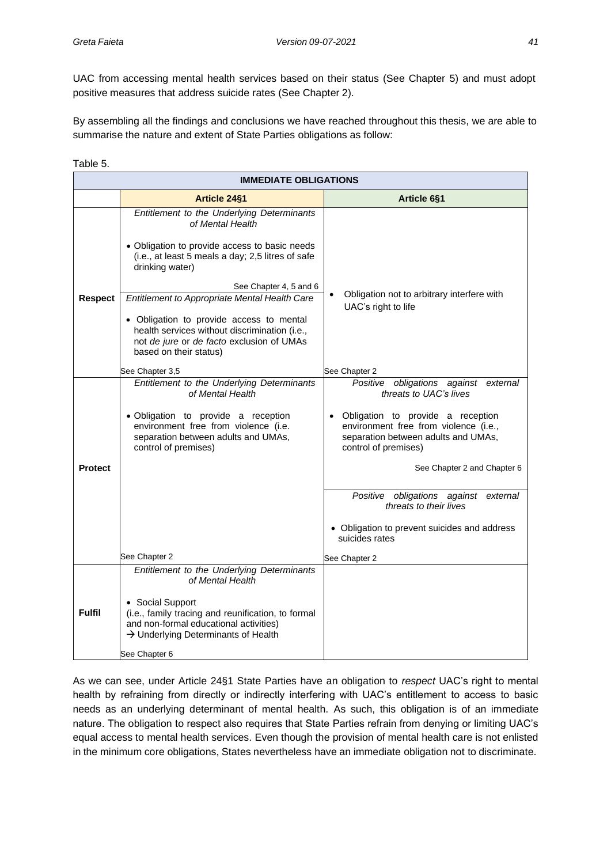UAC from accessing mental health services based on their status (See Chapter 5) and must adopt positive measures that address suicide rates (See Chapter 2).

By assembling all the findings and conclusions we have reached throughout this thesis, we are able to summarise the nature and extent of State Parties obligations as follow:

Table 5.

|                | <b>IMMEDIATE OBLIGATIONS</b>                                                                                                                                                         |                                                                                                                                             |  |  |  |
|----------------|--------------------------------------------------------------------------------------------------------------------------------------------------------------------------------------|---------------------------------------------------------------------------------------------------------------------------------------------|--|--|--|
|                | <b>Article 24§1</b>                                                                                                                                                                  | Article 6§1                                                                                                                                 |  |  |  |
|                | Entitlement to the Underlying Determinants<br>of Mental Health                                                                                                                       |                                                                                                                                             |  |  |  |
|                | • Obligation to provide access to basic needs<br>(i.e., at least 5 meals a day; 2,5 litres of safe<br>drinking water)                                                                |                                                                                                                                             |  |  |  |
|                | See Chapter 4, 5 and 6                                                                                                                                                               |                                                                                                                                             |  |  |  |
| <b>Respect</b> | Entitlement to Appropriate Mental Health Care                                                                                                                                        | Obligation not to arbitrary interfere with<br>$\bullet$<br>UAC's right to life                                                              |  |  |  |
|                | • Obligation to provide access to mental<br>health services without discrimination (i.e.,<br>not de jure or de facto exclusion of UMAs<br>based on their status)                     |                                                                                                                                             |  |  |  |
|                | See Chapter 3,5                                                                                                                                                                      | See Chapter 2                                                                                                                               |  |  |  |
|                | Entitlement to the Underlying Determinants<br>of Mental Health                                                                                                                       | obligations against external<br>Positive<br>threats to UAC's lives                                                                          |  |  |  |
|                | · Obligation to provide a reception<br>environment free from violence (i.e.<br>separation between adults and UMAs,<br>control of premises)                                           | · Obligation to provide a reception<br>environment free from violence (i.e.,<br>separation between adults and UMAs,<br>control of premises) |  |  |  |
| <b>Protect</b> |                                                                                                                                                                                      | See Chapter 2 and Chapter 6                                                                                                                 |  |  |  |
|                |                                                                                                                                                                                      | Positive obligations against external<br>threats to their lives                                                                             |  |  |  |
|                |                                                                                                                                                                                      | • Obligation to prevent suicides and address<br>suicides rates                                                                              |  |  |  |
|                | See Chapter 2                                                                                                                                                                        | See Chapter 2                                                                                                                               |  |  |  |
|                | Entitlement to the Underlying Determinants<br>of Mental Health                                                                                                                       |                                                                                                                                             |  |  |  |
| <b>Fulfil</b>  | • Social Support<br>(i.e., family tracing and reunification, to formal<br>and non-formal educational activities)<br>$\rightarrow$ Underlying Determinants of Health<br>See Chapter 6 |                                                                                                                                             |  |  |  |

As we can see, under Article 24§1 State Parties have an obligation to *respect* UAC's right to mental health by refraining from directly or indirectly interfering with UAC's entitlement to access to basic needs as an underlying determinant of mental health. As such, this obligation is of an immediate nature. The obligation to respect also requires that State Parties refrain from denying or limiting UAC's equal access to mental health services. Even though the provision of mental health care is not enlisted in the minimum core obligations, States nevertheless have an immediate obligation not to discriminate.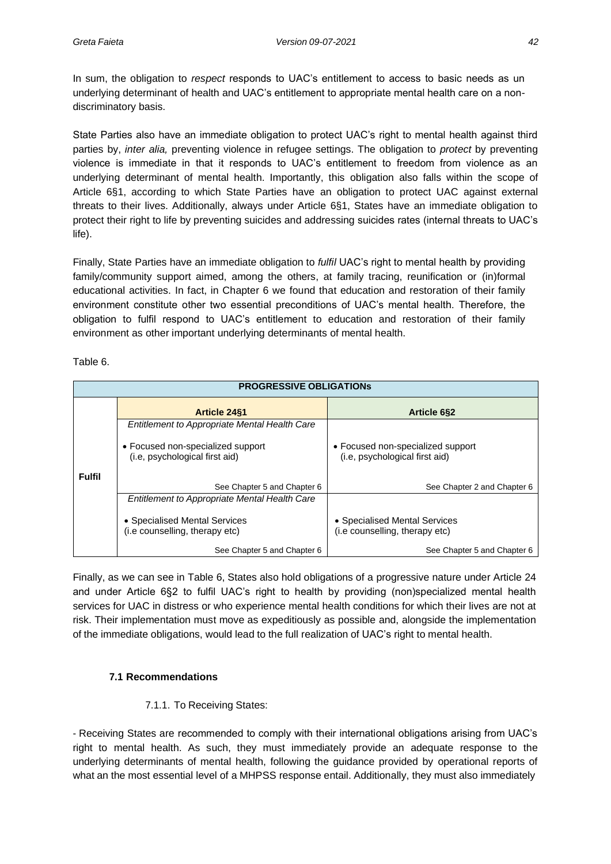In sum, the obligation to *respect* responds to UAC's entitlement to access to basic needs as un underlying determinant of health and UAC's entitlement to appropriate mental health care on a nondiscriminatory basis.

State Parties also have an immediate obligation to protect UAC's right to mental health against third parties by, *inter alia,* preventing violence in refugee settings. The obligation to *protect* by preventing violence is immediate in that it responds to UAC's entitlement to freedom from violence as an underlying determinant of mental health. Importantly, this obligation also falls within the scope of Article 6§1, according to which State Parties have an obligation to protect UAC against external threats to their lives. Additionally, always under Article 6§1, States have an immediate obligation to protect their right to life by preventing suicides and addressing suicides rates (internal threats to UAC's life).

Finally, State Parties have an immediate obligation to *fulfil* UAC's right to mental health by providing family/community support aimed, among the others, at family tracing, reunification or (in)formal educational activities. In fact, in Chapter 6 we found that education and restoration of their family environment constitute other two essential preconditions of UAC's mental health. Therefore, the obligation to fulfil respond to UAC's entitlement to education and restoration of their family environment as other important underlying determinants of mental health.

| able |
|------|
|------|

| <b>PROGRESSIVE OBLIGATIONS</b> |                                                                     |                                                                     |  |  |  |
|--------------------------------|---------------------------------------------------------------------|---------------------------------------------------------------------|--|--|--|
|                                | <b>Article 24§1</b>                                                 | <b>Article 6§2</b>                                                  |  |  |  |
|                                | Entitlement to Appropriate Mental Health Care                       |                                                                     |  |  |  |
|                                | • Focused non-specialized support<br>(i.e, psychological first aid) | • Focused non-specialized support<br>(i.e, psychological first aid) |  |  |  |
| <b>Fulfil</b>                  | See Chapter 5 and Chapter 6                                         | See Chapter 2 and Chapter 6                                         |  |  |  |
|                                | Entitlement to Appropriate Mental Health Care                       |                                                                     |  |  |  |
|                                | • Specialised Mental Services<br>(i.e counselling, therapy etc)     | • Specialised Mental Services<br>(i.e counselling, therapy etc)     |  |  |  |
|                                | See Chapter 5 and Chapter 6                                         | See Chapter 5 and Chapter 6                                         |  |  |  |

Finally, as we can see in Table 6, States also hold obligations of a progressive nature under Article 24 and under Article 6§2 to fulfil UAC's right to health by providing (non)specialized mental health services for UAC in distress or who experience mental health conditions for which their lives are not at risk. Their implementation must move as expeditiously as possible and, alongside the implementation of the immediate obligations, would lead to the full realization of UAC's right to mental health.

### **7.1 Recommendations**

### 7.1.1. To Receiving States:

- Receiving States are recommended to comply with their international obligations arising from UAC's right to mental health. As such, they must immediately provide an adequate response to the underlying determinants of mental health, following the guidance provided by operational reports of what an the most essential level of a MHPSS response entail. Additionally, they must also immediately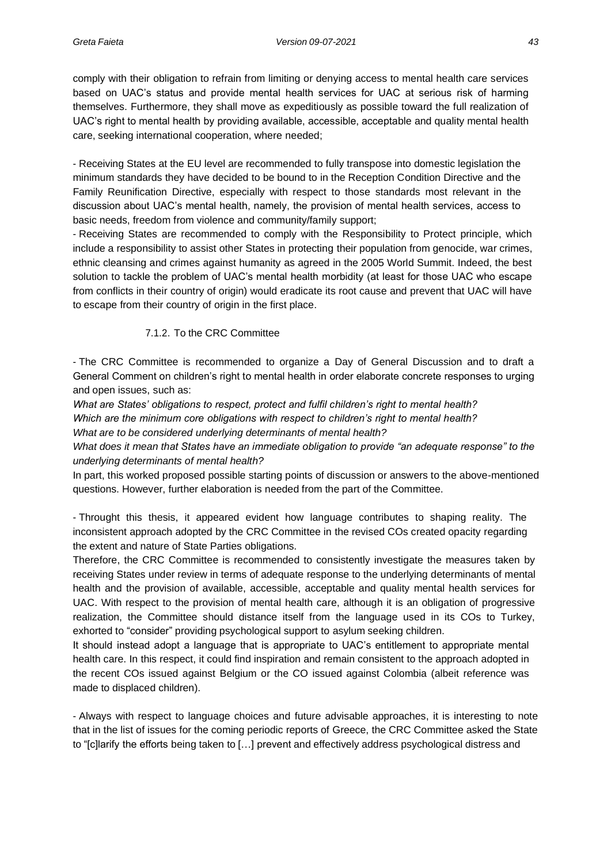comply with their obligation to refrain from limiting or denying access to mental health care services based on UAC's status and provide mental health services for UAC at serious risk of harming themselves. Furthermore, they shall move as expeditiously as possible toward the full realization of UAC's right to mental health by providing available, accessible, acceptable and quality mental health care, seeking international cooperation, where needed;

- Receiving States at the EU level are recommended to fully transpose into domestic legislation the minimum standards they have decided to be bound to in the Reception Condition Directive and the Family Reunification Directive, especially with respect to those standards most relevant in the discussion about UAC's mental health, namely, the provision of mental health services, access to basic needs, freedom from violence and community/family support;

- Receiving States are recommended to comply with the Responsibility to Protect principle, which include a responsibility to assist other States in protecting their population from genocide, war crimes, ethnic cleansing and crimes against humanity as agreed in the 2005 World Summit. Indeed, the best solution to tackle the problem of UAC's mental health morbidity (at least for those UAC who escape from conflicts in their country of origin) would eradicate its root cause and prevent that UAC will have to escape from their country of origin in the first place.

#### 7.1.2. To the CRC Committee

- The CRC Committee is recommended to organize a Day of General Discussion and to draft a General Comment on children's right to mental health in order elaborate concrete responses to urging and open issues, such as:

*What are States' obligations to respect, protect and fulfil children's right to mental health?*

*Which are the minimum core obligations with respect to children's right to mental health?*

*What are to be considered underlying determinants of mental health?*

*What does it mean that States have an immediate obligation to provide "an adequate response" to the underlying determinants of mental health?*

In part, this worked proposed possible starting points of discussion or answers to the above-mentioned questions. However, further elaboration is needed from the part of the Committee.

- Throught this thesis, it appeared evident how language contributes to shaping reality. The inconsistent approach adopted by the CRC Committee in the revised COs created opacity regarding the extent and nature of State Parties obligations.

Therefore, the CRC Committee is recommended to consistently investigate the measures taken by receiving States under review in terms of adequate response to the underlying determinants of mental health and the provision of available, accessible, acceptable and quality mental health services for UAC. With respect to the provision of mental health care, although it is an obligation of progressive realization, the Committee should distance itself from the language used in its COs to Turkey, exhorted to "consider" providing psychological support to asylum seeking children.

It should instead adopt a language that is appropriate to UAC's entitlement to appropriate mental health care. In this respect, it could find inspiration and remain consistent to the approach adopted in the recent COs issued against Belgium or the CO issued against Colombia (albeit reference was made to displaced children).

- Always with respect to language choices and future advisable approaches, it is interesting to note that in the list of issues for the coming periodic reports of Greece, the CRC Committee asked the State to "[c]larify the efforts being taken to […] prevent and effectively address psychological distress and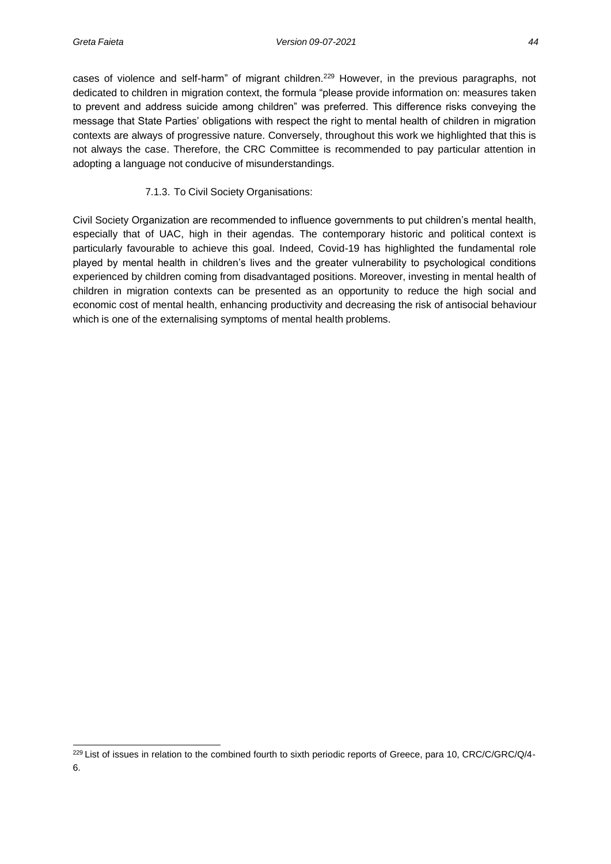cases of violence and self-harm" of migrant children.<sup>229</sup> However, in the previous paragraphs, not dedicated to children in migration context, the formula "please provide information on: measures taken to prevent and address suicide among children" was preferred. This difference risks conveying the message that State Parties' obligations with respect the right to mental health of children in migration contexts are always of progressive nature. Conversely, throughout this work we highlighted that this is not always the case. Therefore, the CRC Committee is recommended to pay particular attention in adopting a language not conducive of misunderstandings.

#### 7.1.3. To Civil Society Organisations:

Civil Society Organization are recommended to influence governments to put children's mental health, especially that of UAC, high in their agendas. The contemporary historic and political context is particularly favourable to achieve this goal. Indeed, Covid-19 has highlighted the fundamental role played by mental health in children's lives and the greater vulnerability to psychological conditions experienced by children coming from disadvantaged positions. Moreover, investing in mental health of children in migration contexts can be presented as an opportunity to reduce the high social and economic cost of mental health, enhancing productivity and decreasing the risk of antisocial behaviour which is one of the externalising symptoms of mental health problems.

<sup>&</sup>lt;sup>229</sup> List of issues in relation to the combined fourth to sixth periodic reports of Greece, para 10, CRC/C/GRC/Q/4-6.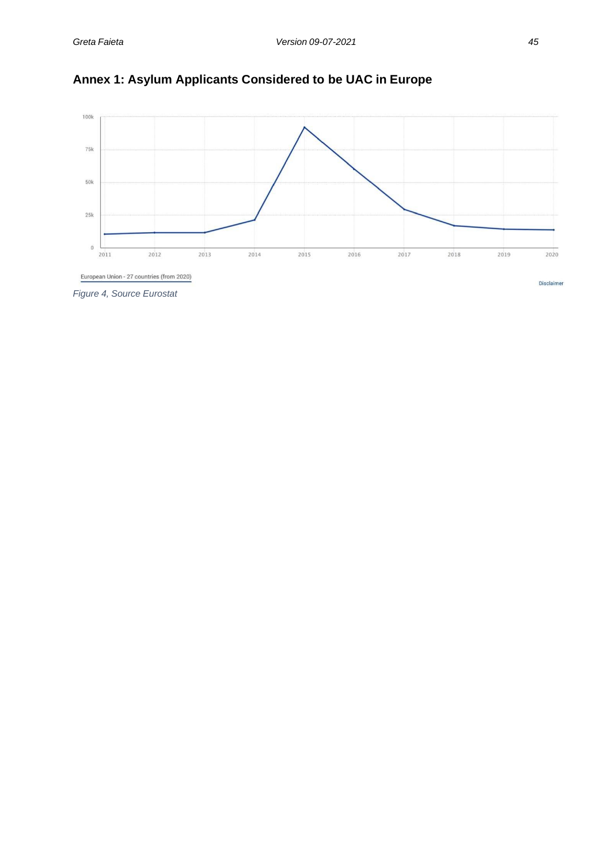



*Figure 4, Source Eurostat*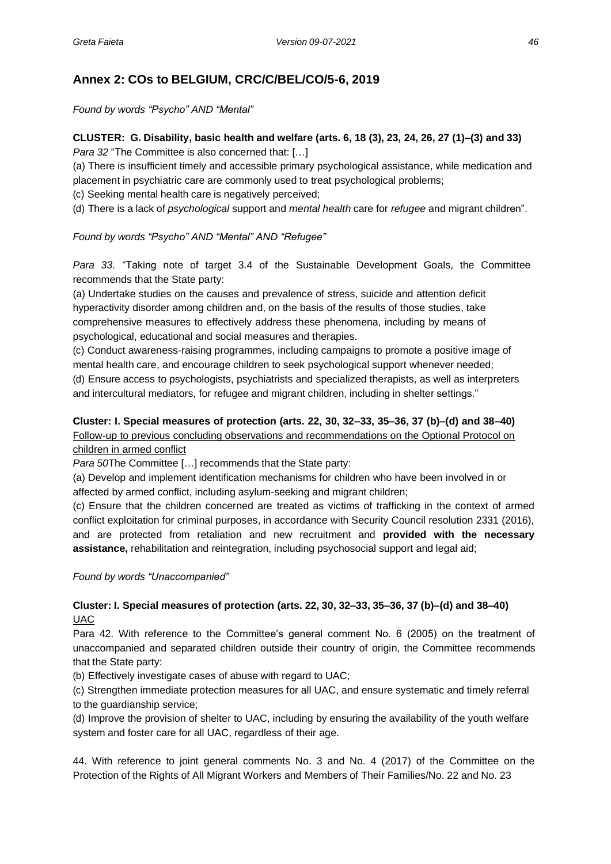## **Annex 2: COs to BELGIUM, CRC/C/BEL/CO/5-6, 2019**

*Found by words "Psycho" AND "Mental"*

### **CLUSTER: G. Disability, basic health and welfare (arts. 6, 18 (3), 23, 24, 26, 27 (1)–(3) and 33)** *Para 32* "The Committee is also concerned that: […]

(a) There is insufficient timely and accessible primary psychological assistance, while medication and placement in psychiatric care are commonly used to treat psychological problems;

(c) Seeking mental health care is negatively perceived;

(d) There is a lack of *psychological* support and *mental health* care for *refugee* and migrant children".

### *Found by words "Psycho" AND "Mental" AND "Refugee"*

*Para 33*. "Taking note of target 3.4 of the Sustainable Development Goals, the Committee recommends that the State party:

(a) Undertake studies on the causes and prevalence of stress, suicide and attention deficit hyperactivity disorder among children and, on the basis of the results of those studies, take comprehensive measures to effectively address these phenomena, including by means of psychological, educational and social measures and therapies.

(c) Conduct awareness-raising programmes, including campaigns to promote a positive image of mental health care, and encourage children to seek psychological support whenever needed; (d) Ensure access to psychologists, psychiatrists and specialized therapists, as well as interpreters and intercultural mediators, for refugee and migrant children, including in shelter settings."

### **Cluster: I. Special measures of protection (arts. 22, 30, 32–33, 35–36, 37 (b)–(d) and 38–40)** Follow-up to previous concluding observations and recommendations on the Optional Protocol on children in armed conflict

*Para 50*The Committee […] recommends that the State party:

(a) Develop and implement identification mechanisms for children who have been involved in or affected by armed conflict, including asylum-seeking and migrant children;

(c) Ensure that the children concerned are treated as victims of trafficking in the context of armed conflict exploitation for criminal purposes, in accordance with Security Council resolution 2331 (2016), and are protected from retaliation and new recruitment and **provided with the necessary assistance,** rehabilitation and reintegration, including psychosocial support and legal aid;

#### *Found by words "Unaccompanied"*

### **Cluster: I. Special measures of protection (arts. 22, 30, 32–33, 35–36, 37 (b)–(d) and 38–40)** UAC

Para 42. With reference to the Committee's general comment No. 6 (2005) on the treatment of unaccompanied and separated children outside their country of origin, the Committee recommends that the State party:

(b) Effectively investigate cases of abuse with regard to UAC;

(c) Strengthen immediate protection measures for all UAC, and ensure systematic and timely referral to the guardianship service;

(d) Improve the provision of shelter to UAC, including by ensuring the availability of the youth welfare system and foster care for all UAC, regardless of their age.

44. With reference to joint general comments No. 3 and No. 4 (2017) of the Committee on the Protection of the Rights of All Migrant Workers and Members of Their Families/No. 22 and No. 23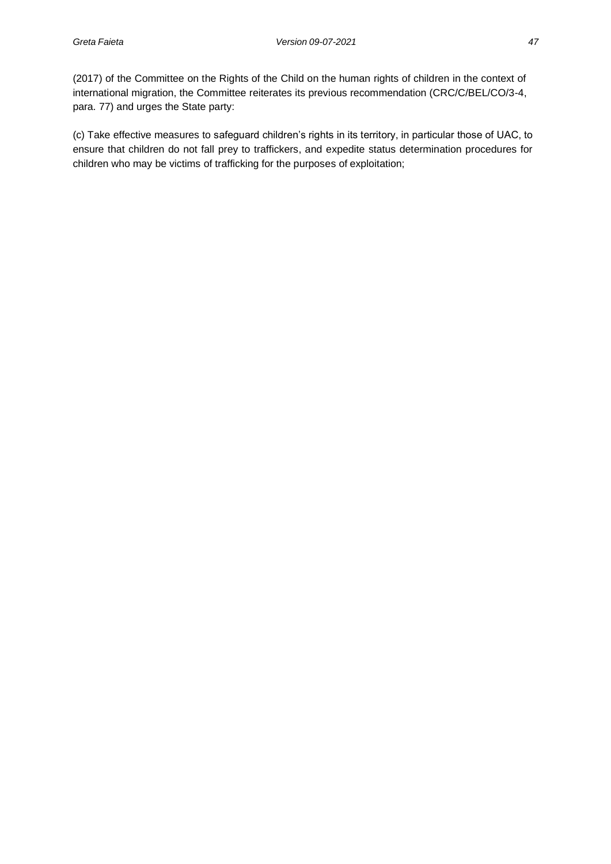(2017) of the Committee on the Rights of the Child on the human rights of children in the context of international migration, the Committee reiterates its previous recommendation (CRC/C/BEL/CO/3-4, para. 77) and urges the State party:

(c) Take effective measures to safeguard children's rights in its territory, in particular those of UAC, to ensure that children do not fall prey to traffickers, and expedite status determination procedures for children who may be victims of trafficking for the purposes of exploitation;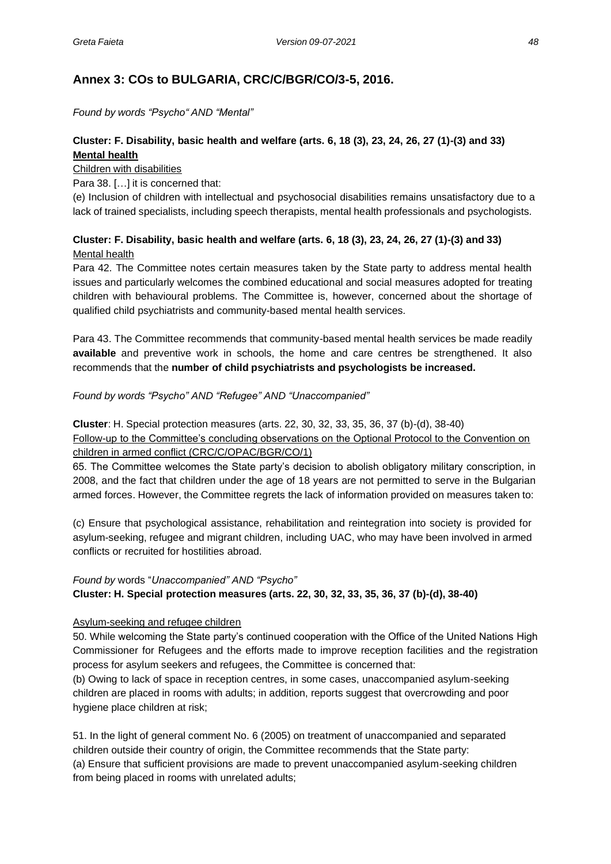## **Annex 3: COs to BULGARIA, CRC/C/BGR/CO/3-5, 2016.**

*Found by words "Psycho" AND "Mental"*

### **Cluster: F. Disability, basic health and welfare (arts. 6, 18 (3), 23, 24, 26, 27 (1)-(3) and 33) Mental health**

Children with disabilities

Para 38. […] it is concerned that:

(e) Inclusion of children with intellectual and psychosocial disabilities remains unsatisfactory due to a lack of trained specialists, including speech therapists, mental health professionals and psychologists.

### **Cluster: F. Disability, basic health and welfare (arts. 6, 18 (3), 23, 24, 26, 27 (1)-(3) and 33)** Mental health

Para 42. The Committee notes certain measures taken by the State party to address mental health issues and particularly welcomes the combined educational and social measures adopted for treating children with behavioural problems. The Committee is, however, concerned about the shortage of qualified child psychiatrists and community-based mental health services.

Para 43. The Committee recommends that community-based mental health services be made readily **available** and preventive work in schools, the home and care centres be strengthened. It also recommends that the **number of child psychiatrists and psychologists be increased.**

#### *Found by words "Psycho" AND "Refugee" AND "Unaccompanied"*

**Cluster**: H. Special protection measures (arts. 22, 30, 32, 33, 35, 36, 37 (b)-(d), 38-40) Follow-up to the Committee's concluding observations on the Optional Protocol to the Convention on children in armed conflict (CRC/C/OPAC/BGR/CO/1)

65. The Committee welcomes the State party's decision to abolish obligatory military conscription, in 2008, and the fact that children under the age of 18 years are not permitted to serve in the Bulgarian armed forces. However, the Committee regrets the lack of information provided on measures taken to:

(c) Ensure that psychological assistance, rehabilitation and reintegration into society is provided for asylum-seeking, refugee and migrant children, including UAC, who may have been involved in armed conflicts or recruited for hostilities abroad.

#### *Found by* words "*Unaccompanied" AND "Psycho"*

### **Cluster: H. Special protection measures (arts. 22, 30, 32, 33, 35, 36, 37 (b)-(d), 38-40)**

#### Asylum-seeking and refugee children

50. While welcoming the State party's continued cooperation with the Office of the United Nations High Commissioner for Refugees and the efforts made to improve reception facilities and the registration process for asylum seekers and refugees, the Committee is concerned that:

(b) Owing to lack of space in reception centres, in some cases, unaccompanied asylum-seeking children are placed in rooms with adults; in addition, reports suggest that overcrowding and poor hygiene place children at risk;

51. In the light of general comment No. 6 (2005) on treatment of unaccompanied and separated children outside their country of origin, the Committee recommends that the State party:

(a) Ensure that sufficient provisions are made to prevent unaccompanied asylum-seeking children from being placed in rooms with unrelated adults;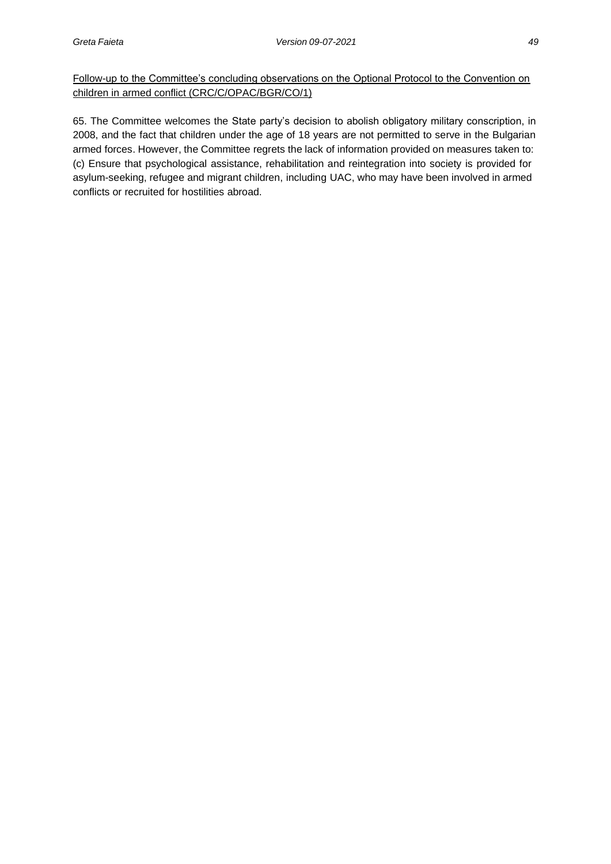Follow-up to the Committee's concluding observations on the Optional Protocol to the Convention on children in armed conflict (CRC/C/OPAC/BGR/CO/1)

65. The Committee welcomes the State party's decision to abolish obligatory military conscription, in 2008, and the fact that children under the age of 18 years are not permitted to serve in the Bulgarian armed forces. However, the Committee regrets the lack of information provided on measures taken to: (c) Ensure that psychological assistance, rehabilitation and reintegration into society is provided for asylum-seeking, refugee and migrant children, including UAC, who may have been involved in armed conflicts or recruited for hostilities abroad.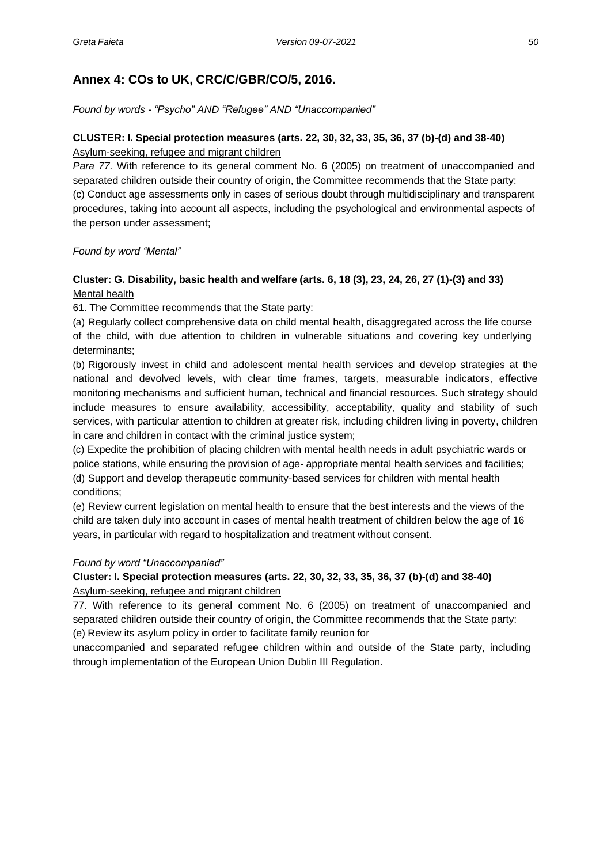## **Annex 4: COs to UK, CRC/C/GBR/CO/5, 2016.**

*Found by words - "Psycho" AND "Refugee" AND "Unaccompanied"*

### **CLUSTER: I. Special protection measures (arts. 22, 30, 32, 33, 35, 36, 37 (b)-(d) and 38-40)** Asylum-seeking, refugee and migrant children

*Para 77.* With reference to its general comment No. 6 (2005) on treatment of unaccompanied and separated children outside their country of origin, the Committee recommends that the State party: (c) Conduct age assessments only in cases of serious doubt through multidisciplinary and transparent procedures, taking into account all aspects, including the psychological and environmental aspects of the person under assessment;

*Found by word "Mental"*

### **Cluster: G. Disability, basic health and welfare (arts. 6, 18 (3), 23, 24, 26, 27 (1)-(3) and 33)** Mental health

61. The Committee recommends that the State party:

(a) Regularly collect comprehensive data on child mental health, disaggregated across the life course of the child, with due attention to children in vulnerable situations and covering key underlying determinants;

(b) Rigorously invest in child and adolescent mental health services and develop strategies at the national and devolved levels, with clear time frames, targets, measurable indicators, effective monitoring mechanisms and sufficient human, technical and financial resources. Such strategy should include measures to ensure availability, accessibility, acceptability, quality and stability of such services, with particular attention to children at greater risk, including children living in poverty, children in care and children in contact with the criminal justice system;

(c) Expedite the prohibition of placing children with mental health needs in adult psychiatric wards or police stations, while ensuring the provision of age- appropriate mental health services and facilities; (d) Support and develop therapeutic community-based services for children with mental health conditions;

(e) Review current legislation on mental health to ensure that the best interests and the views of the child are taken duly into account in cases of mental health treatment of children below the age of 16 years, in particular with regard to hospitalization and treatment without consent.

### *Found by word "Unaccompanied"*

### **Cluster: I. Special protection measures (arts. 22, 30, 32, 33, 35, 36, 37 (b)-(d) and 38-40)** Asylum-seeking, refugee and migrant children

77. With reference to its general comment No. 6 (2005) on treatment of unaccompanied and separated children outside their country of origin, the Committee recommends that the State party: (e) Review its asylum policy in order to facilitate family reunion for

unaccompanied and separated refugee children within and outside of the State party, including through implementation of the European Union Dublin III Regulation.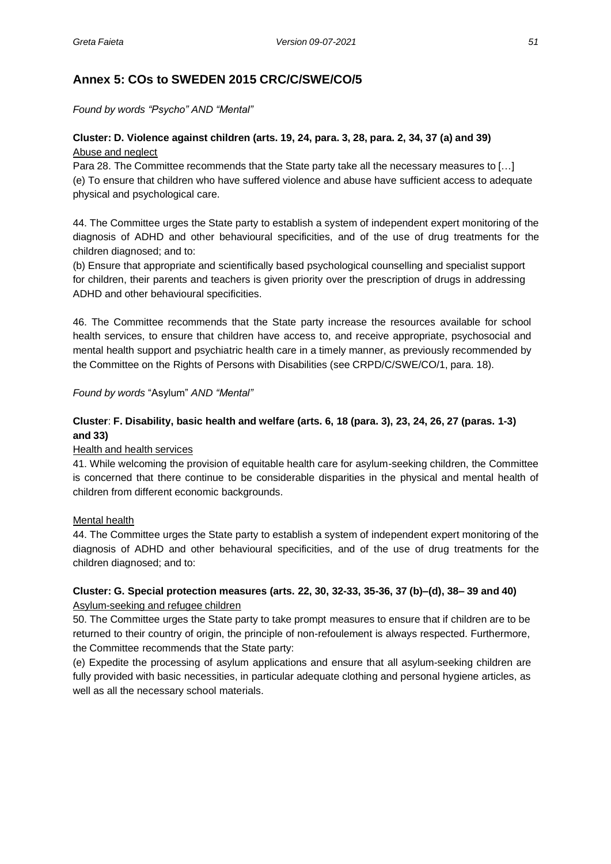## **Annex 5: COs to SWEDEN 2015 CRC/C/SWE/CO/5**

*Found by words "Psycho" AND "Mental"*

### **Cluster: D. Violence against children (arts. 19, 24, para. 3, 28, para. 2, 34, 37 (a) and 39)** Abuse and neglect

Para 28. The Committee recommends that the State party take all the necessary measures to […] (e) To ensure that children who have suffered violence and abuse have sufficient access to adequate physical and psychological care.

44. The Committee urges the State party to establish a system of independent expert monitoring of the diagnosis of ADHD and other behavioural specificities, and of the use of drug treatments for the children diagnosed; and to:

(b) Ensure that appropriate and scientifically based psychological counselling and specialist support for children, their parents and teachers is given priority over the prescription of drugs in addressing ADHD and other behavioural specificities.

46. The Committee recommends that the State party increase the resources available for school health services, to ensure that children have access to, and receive appropriate, psychosocial and mental health support and psychiatric health care in a timely manner, as previously recommended by the Committee on the Rights of Persons with Disabilities (see CRPD/C/SWE/CO/1, para. 18).

#### *Found by words* "Asylum" *AND "Mental"*

### **Cluster**: **F. Disability, basic health and welfare (arts. 6, 18 (para. 3), 23, 24, 26, 27 (paras. 1-3) and 33)**

#### Health and health services

41. While welcoming the provision of equitable health care for asylum-seeking children, the Committee is concerned that there continue to be considerable disparities in the physical and mental health of children from different economic backgrounds.

#### Mental health

44. The Committee urges the State party to establish a system of independent expert monitoring of the diagnosis of ADHD and other behavioural specificities, and of the use of drug treatments for the children diagnosed; and to:

### **Cluster: G. Special protection measures (arts. 22, 30, 32-33, 35-36, 37 (b)–(d), 38– 39 and 40)** Asylum-seeking and refugee children

50. The Committee urges the State party to take prompt measures to ensure that if children are to be returned to their country of origin, the principle of non-refoulement is always respected. Furthermore, the Committee recommends that the State party:

(e) Expedite the processing of asylum applications and ensure that all asylum-seeking children are fully provided with basic necessities, in particular adequate clothing and personal hygiene articles, as well as all the necessary school materials.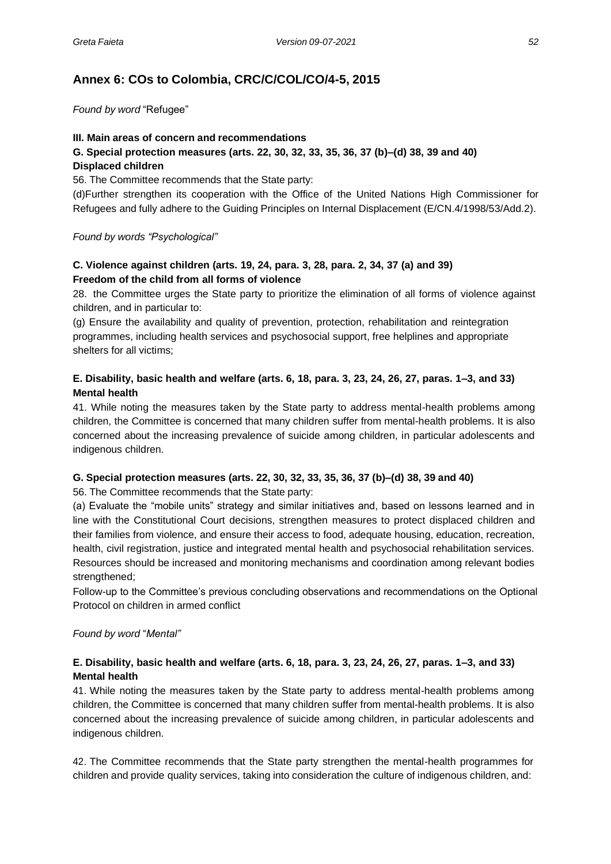## **Annex 6: COs to Colombia, CRC/C/COL/CO/4-5, 2015**

*Found by word* "Refugee"

#### **III. Main areas of concern and recommendations**

# **G. Special protection measures (arts. 22, 30, 32, 33, 35, 36, 37 (b)–(d) 38, 39 and 40)**

#### **Displaced children**

56. The Committee recommends that the State party:

(d)Further strengthen its cooperation with the Office of the United Nations High Commissioner for Refugees and fully adhere to the Guiding Principles on Internal Displacement (E/CN.4/1998/53/Add.2).

*Found by words "Psychological"*

### **C. Violence against children (arts. 19, 24, para. 3, 28, para. 2, 34, 37 (a) and 39) Freedom of the child from all forms of violence**

28. the Committee urges the State party to prioritize the elimination of all forms of violence against children, and in particular to:

(g) Ensure the availability and quality of prevention, protection, rehabilitation and reintegration programmes, including health services and psychosocial support, free helplines and appropriate shelters for all victims;

### **E. Disability, basic health and welfare (arts. 6, 18, para. 3, 23, 24, 26, 27, paras. 1–3, and 33) Mental health**

41. While noting the measures taken by the State party to address mental-health problems among children, the Committee is concerned that many children suffer from mental-health problems. It is also concerned about the increasing prevalence of suicide among children, in particular adolescents and indigenous children.

#### **G. Special protection measures (arts. 22, 30, 32, 33, 35, 36, 37 (b)–(d) 38, 39 and 40)**

56. The Committee recommends that the State party:

(a) Evaluate the "mobile units" strategy and similar initiatives and, based on lessons learned and in line with the Constitutional Court decisions, strengthen measures to protect displaced children and their families from violence, and ensure their access to food, adequate housing, education, recreation, health, civil registration, justice and integrated mental health and psychosocial rehabilitation services. Resources should be increased and monitoring mechanisms and coordination among relevant bodies strengthened;

Follow-up to the Committee's previous concluding observations and recommendations on the Optional Protocol on children in armed conflict

#### *Found by word* "*Mental"*

#### **E. Disability, basic health and welfare (arts. 6, 18, para. 3, 23, 24, 26, 27, paras. 1–3, and 33) Mental health**

41. While noting the measures taken by the State party to address mental-health problems among children, the Committee is concerned that many children suffer from mental-health problems. It is also concerned about the increasing prevalence of suicide among children, in particular adolescents and indigenous children.

42. The Committee recommends that the State party strengthen the mental-health programmes for children and provide quality services, taking into consideration the culture of indigenous children, and: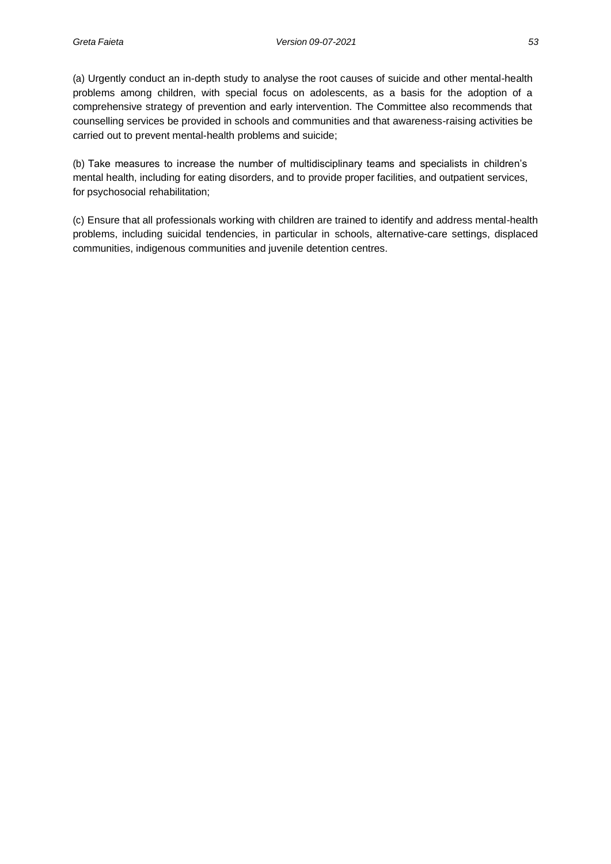(a) Urgently conduct an in-depth study to analyse the root causes of suicide and other mental-health problems among children, with special focus on adolescents, as a basis for the adoption of a comprehensive strategy of prevention and early intervention. The Committee also recommends that counselling services be provided in schools and communities and that awareness-raising activities be carried out to prevent mental-health problems and suicide;

(b) Take measures to increase the number of multidisciplinary teams and specialists in children's mental health, including for eating disorders, and to provide proper facilities, and outpatient services, for psychosocial rehabilitation;

(c) Ensure that all professionals working with children are trained to identify and address mental-health problems, including suicidal tendencies, in particular in schools, alternative-care settings, displaced communities, indigenous communities and juvenile detention centres.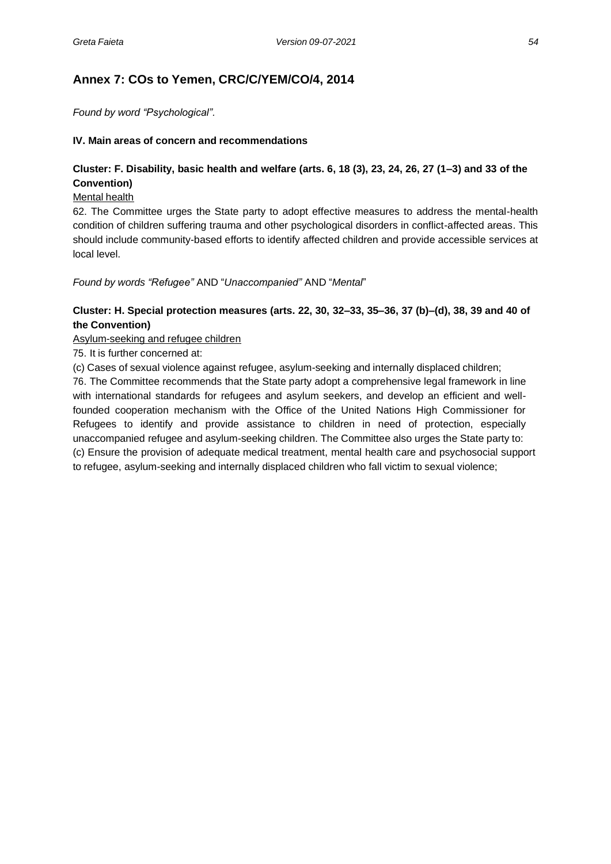## **Annex 7: COs to Yemen, CRC/C/YEM/CO/4, 2014**

*Found by word "Psychological".*

#### **IV. Main areas of concern and recommendations**

### **Cluster: F. Disability, basic health and welfare (arts. 6, 18 (3), 23, 24, 26, 27 (1–3) and 33 of the Convention)**

#### Mental health

62. The Committee urges the State party to adopt effective measures to address the mental-health condition of children suffering trauma and other psychological disorders in conflict-affected areas. This should include community-based efforts to identify affected children and provide accessible services at local level.

*Found by words "Refugee"* AND "*Unaccompanied"* AND "*Mental*"

#### **Cluster: H. Special protection measures (arts. 22, 30, 32–33, 35–36, 37 (b)–(d), 38, 39 and 40 of the Convention)**

Asylum-seeking and refugee children

75. It is further concerned at:

(c) Cases of sexual violence against refugee, asylum-seeking and internally displaced children;

76. The Committee recommends that the State party adopt a comprehensive legal framework in line with international standards for refugees and asylum seekers, and develop an efficient and wellfounded cooperation mechanism with the Office of the United Nations High Commissioner for Refugees to identify and provide assistance to children in need of protection, especially unaccompanied refugee and asylum-seeking children. The Committee also urges the State party to: (c) Ensure the provision of adequate medical treatment, mental health care and psychosocial support to refugee, asylum-seeking and internally displaced children who fall victim to sexual violence;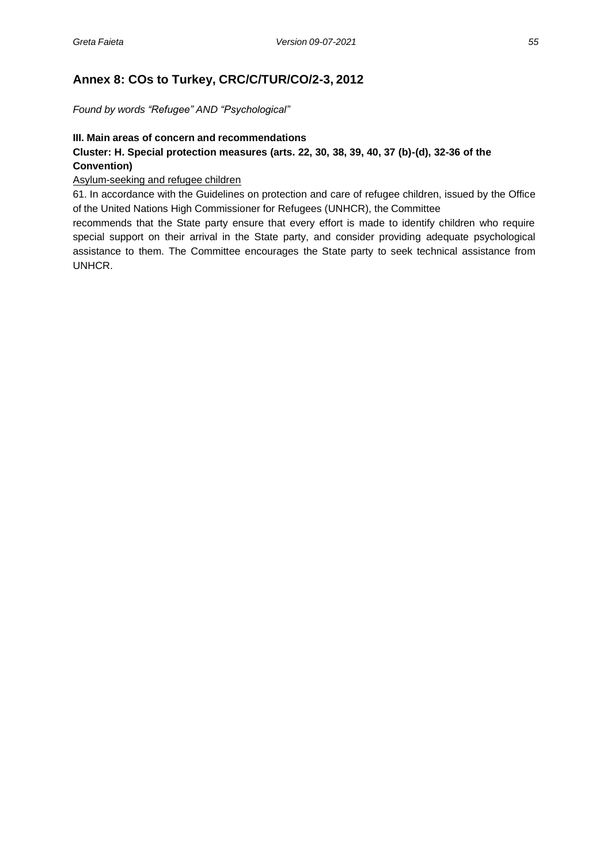## **Annex 8: COs to Turkey, CRC/C/TUR/CO/2-3, 2012**

*Found by words "Refugee" AND "Psychological"*

#### **III. Main areas of concern and recommendations Cluster: H. Special protection measures (arts. 22, 30, 38, 39, 40, 37 (b)-(d), 32-36 of the Convention)**

Asylum-seeking and refugee children

61. In accordance with the Guidelines on protection and care of refugee children, issued by the Office of the United Nations High Commissioner for Refugees (UNHCR), the Committee

recommends that the State party ensure that every effort is made to identify children who require special support on their arrival in the State party, and consider providing adequate psychological assistance to them. The Committee encourages the State party to seek technical assistance from UNHCR.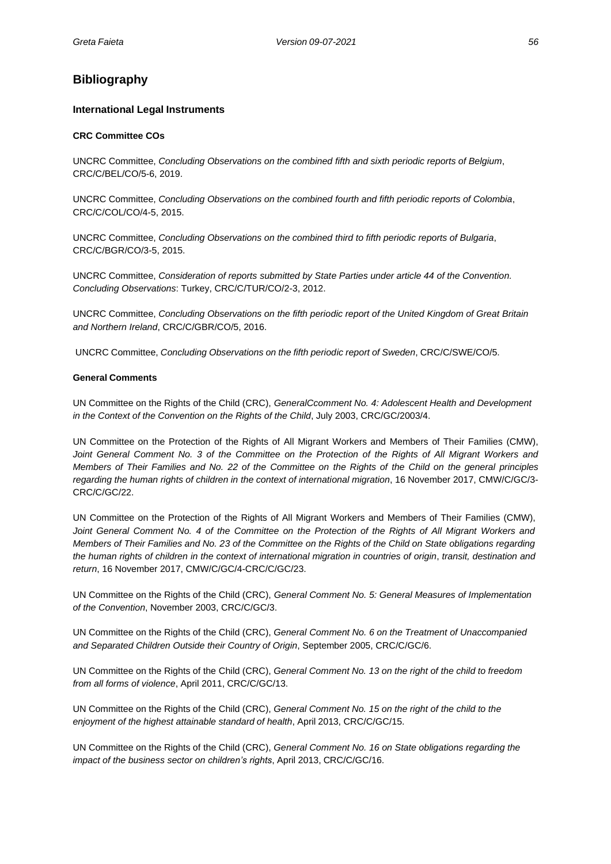### **Bibliography**

#### **International Legal Instruments**

#### **CRC Committee COs**

UNCRC Committee, *Concluding Observations on the combined fifth and sixth periodic reports of Belgium*, CRC/C/BEL/CO/5-6, 2019.

UNCRC Committee, *Concluding Observations on the combined fourth and fifth periodic reports of Colombia*, CRC/C/COL/CO/4-5, 2015.

UNCRC Committee, *Concluding Observations on the combined third to fifth periodic reports of Bulgaria*, CRC/C/BGR/CO/3-5, 2015.

UNCRC Committee, *Consideration of reports submitted by State Parties under article 44 of the Convention. Concluding Observations*: Turkey, CRC/C/TUR/CO/2-3, 2012.

UNCRC Committee, *Concluding Observations on the fifth periodic report of the United Kingdom of Great Britain and Northern Ireland*, CRC/C/GBR/CO/5, 2016.

UNCRC Committee, *Concluding Observations on the fifth periodic report of Sweden*, CRC/C/SWE/CO/5.

#### **General Comments**

UN Committee on the Rights of the Child (CRC), *GeneralCcomment No. 4: Adolescent Health and Development in the Context of the Convention on the Rights of the Child*, July 2003, CRC/GC/2003/4.

UN Committee on the Protection of the Rights of All Migrant Workers and Members of Their Families (CMW), *Joint General Comment No. 3 of the Committee on the Protection of the Rights of All Migrant Workers and Members of Their Families and No. 22 of the Committee on the Rights of the Child on the general principles regarding the human rights of children in the context of international migration*, 16 November 2017, CMW/C/GC/3- CRC/C/GC/22.

UN Committee on the Protection of the Rights of All Migrant Workers and Members of Their Families (CMW), *Joint General Comment No. 4 of the Committee on the Protection of the Rights of All Migrant Workers and Members of Their Families and No. 23 of the Committee on the Rights of the Child on State obligations regarding the human rights of children in the context of international migration in countries of origin*, *transit, destination and return*, 16 November 2017, CMW/C/GC/4-CRC/C/GC/23.

UN Committee on the Rights of the Child (CRC), *General Comment No. 5: General Measures of Implementation of the Convention*, November 2003, CRC/C/GC/3.

UN Committee on the Rights of the Child (CRC), *General Comment No. 6 on the Treatment of Unaccompanied and Separated Children Outside their Country of Origin*, September 2005, CRC/C/GC/6.

UN Committee on the Rights of the Child (CRC), *General Comment No. 13 on the right of the child to freedom from all forms of violence*, April 2011, CRC/C/GC/13.

UN Committee on the Rights of the Child (CRC), *General Comment No. 15 on the right of the child to the enjoyment of the highest attainable standard of health*, April 2013, CRC/C/GC/15.

UN Committee on the Rights of the Child (CRC), *General Comment No. 16 on State obligations regarding the impact of the business sector on children's rights*, April 2013, CRC/C/GC/16.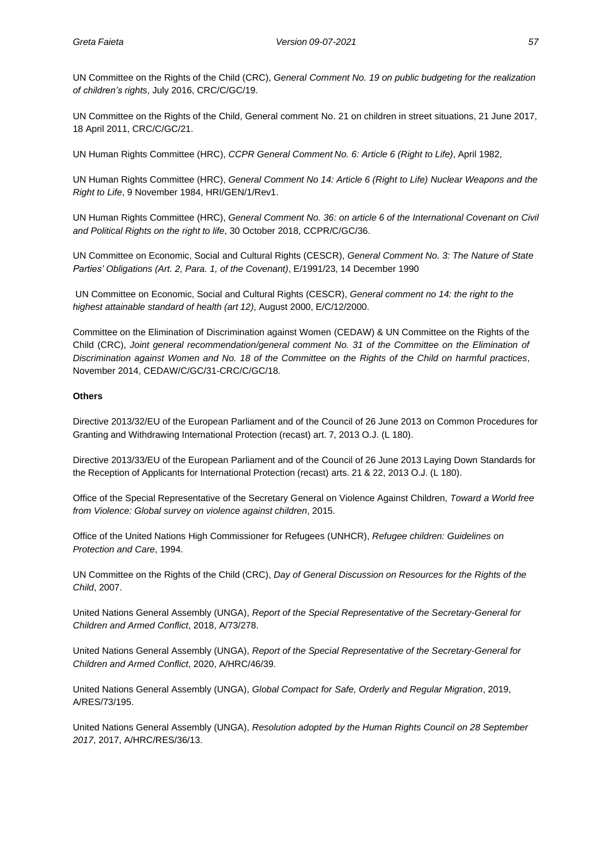UN Committee on the Rights of the Child (CRC), *General Comment No. 19 on public budgeting for the realization of children's rights*, July 2016, CRC/C/GC/19.

UN Committee on the Rights of the Child, General comment No. 21 on children in street situations, 21 June 2017, 18 April 2011, CRC/C/GC/21.

UN Human Rights Committee (HRC), *CCPR General Comment No. 6: Article 6 (Right to Life)*, April 1982,

UN Human Rights Committee (HRC), *General Comment No 14: Article 6 (Right to Life) Nuclear Weapons and the Right to Life*, 9 November 1984, HRI/GEN/1/Rev1.

UN Human Rights Committee (HRC), *General Comment No. 36: on article 6 of the International Covenant on Civil and Political Rights on the right to life*, 30 October 2018, CCPR/C/GC/36.

UN Committee on Economic, Social and Cultural Rights (CESCR), *General Comment No. 3: The Nature of State Parties' Obligations (Art. 2, Para. 1, of the Covenant)*, E/1991/23, 14 December 1990

UN Committee on Economic, Social and Cultural Rights (CESCR), *General comment no 14: the right to the highest attainable standard of health (art 12)*, August 2000, E/C/12/2000.

Committee on the Elimination of Discrimination against Women (CEDAW) & UN Committee on the Rights of the Child (CRC), *Joint general recommendation/general comment No. 31 of the Committee on the Elimination of Discrimination against Women and No. 18 of the Committee on the Rights of the Child on harmful practices*, November 2014, CEDAW/C/GC/31-CRC/C/GC/18.

#### **Others**

Directive 2013/32/EU of the European Parliament and of the Council of 26 June 2013 on Common Procedures for Granting and Withdrawing International Protection (recast) art. 7, 2013 O.J. (L 180).

Directive 2013/33/EU of the European Parliament and of the Council of 26 June 2013 Laying Down Standards for the Reception of Applicants for International Protection (recast) arts. 21 & 22, 2013 Ο.J. (L 180).

Office of the Special Representative of the Secretary General on Violence Against Children, *Toward a World free from Violence: Global survey on violence against children*, 2015.

Office of the United Nations High Commissioner for Refugees (UNHCR), *Refugee children: Guidelines on Protection and Care*, 1994.

UN Committee on the Rights of the Child (CRC), *Day of General Discussion on Resources for the Rights of the Child*, 2007.

United Nations General Assembly (UNGA), *Report of the Special Representative of the Secretary-General for Children and Armed Conflict*, 2018, A/73/278.

United Nations General Assembly (UNGA), *Report of the Special Representative of the Secretary-General for Children and Armed Conflict*, 2020, A/HRC/46/39.

United Nations General Assembly (UNGA), *Global Compact for Safe, Orderly and Regular Migration*, 2019, A/RES/73/195.

United Nations General Assembly (UNGA), *Resolution adopted by the Human Rights Council on 28 September 2017*, 2017, A/HRC/RES/36/13.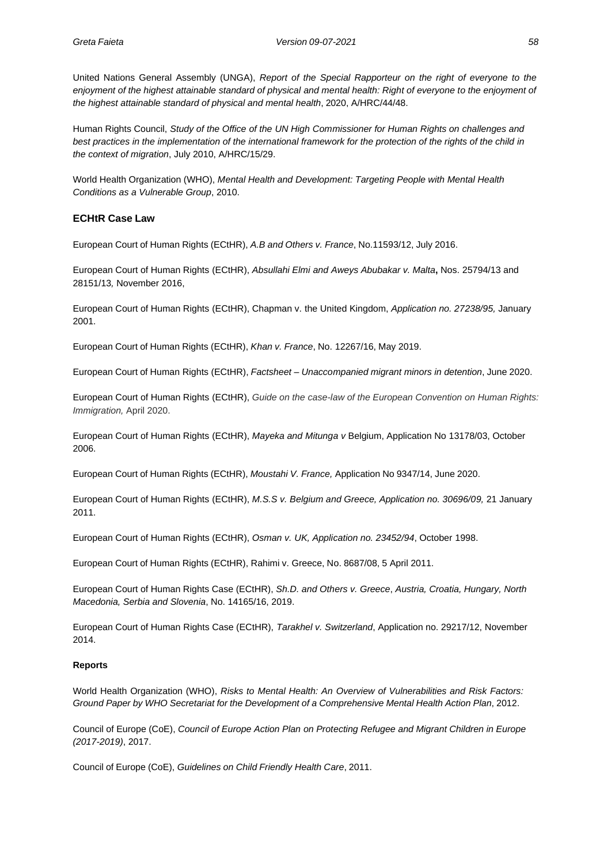United Nations General Assembly (UNGA), *Report of the Special Rapporteur on the right of everyone to the enjoyment of the highest attainable standard of physical and mental health: Right of everyone to the enjoyment of the highest attainable standard of physical and mental health*, 2020, A/HRC/44/48.

Human Rights Council, *Study of the Office of the UN High Commissioner for Human Rights on challenges and best practices in the implementation of the international framework for the protection of the rights of the child in the context of migration*, July 2010, A/HRC/15/29.

World Health Organization (WHO), *Mental Health and Development: Targeting People with Mental Health Conditions as a Vulnerable Group*, 2010.

#### **ECHtR Case Law**

European Court of Human Rights (ECtHR), *A.B and Others v. France*, No.11593/12, July 2016.

European Court of Human Rights (ECtHR), *Absullahi Elmi and Aweys Abubakar v. Malta***,** Nos. 25794/13 and 28151/13*,* November 2016,

European Court of Human Rights (ECtHR), Chapman v. the United Kingdom, *Application no. 27238/95,* January 2001.

European Court of Human Rights (ECtHR), *Khan v. France*, No. 12267/16, May 2019.

European Court of Human Rights (ECtHR), *Factsheet – Unaccompanied migrant minors in detention*, June 2020.

European Court of Human Rights (ECtHR), *Guide on the case-law of the European Convention on Human Rights: Immigration,* April 2020.

European Court of Human Rights (ECtHR), *Mayeka and Mitunga v* Belgium, Application No 13178/03, October 2006.

European Court of Human Rights (ECtHR), *Moustahi V. France,* Application No 9347/14, June 2020.

European Court of Human Rights (ECtHR), *M.S.S v. Belgium and Greece, Application no. 30696/09, 21 January* 2011.

European Court of Human Rights (ECtHR), *Osman v. UK, Application no. 23452/94*, October 1998.

European Court of Human Rights (ECtHR), Rahimi v. Greece, No. 8687/08, 5 April 2011.

European Court of Human Rights Case (ECtHR), *Sh.D. and Others v. Greece*, *Austria, Croatia, Hungary, North Macedonia, Serbia and Slovenia*, No. 14165/16, 2019.

European Court of Human Rights Case (ECtHR), *Tarakhel v. Switzerland*, Application no. 29217/12, November 2014.

#### **Reports**

World Health Organization (WHO), *Risks to Mental Health: An Overview of Vulnerabilities and Risk Factors: Ground Paper by WHO Secretariat for the Development of a Comprehensive Mental Health Action Plan*, 2012.

Council of Europe (CoE), *Council of Europe Action Plan on Protecting Refugee and Migrant Children in Europe (2017-2019)*, 2017.

Council of Europe (CoE), *Guidelines on Child Friendly Health Care*, 2011.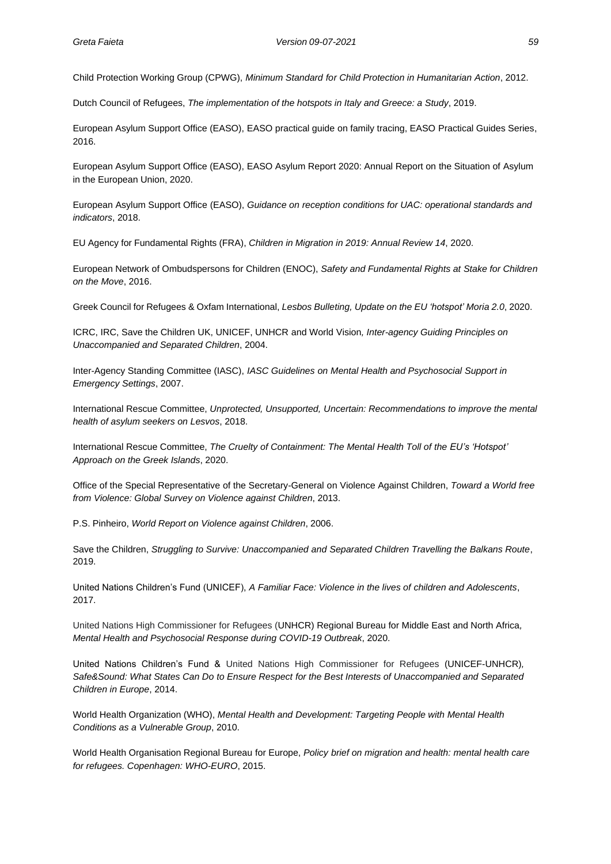Child Protection Working Group (CPWG), *Minimum Standard for Child Protection in Humanitarian Action*, 2012.

Dutch Council of Refugees, *The implementation of the hotspots in Italy and Greece: a Study*, 2019.

European Asylum Support Office (EASO), EASO practical guide on family tracing, EASO Practical Guides Series, 2016.

European Asylum Support Office (EASO), EASO Asylum Report 2020: Annual Report on the Situation of Asylum in the European Union, 2020.

European Asylum Support Office (EASO), *Guidance on reception conditions for UAC: operational standards and indicators*, 2018.

EU Agency for Fundamental Rights (FRA), *Children in Migration in 2019: Annual Review 14*, 2020.

European Network of Ombudspersons for Children (ENOC), *Safety and Fundamental Rights at Stake for Children on the Move*, 2016.

Greek Council for Refugees & Oxfam International, *Lesbos Bulleting, Update on the EU 'hotspot' Moria 2.0*, 2020.

ICRC, IRC, Save the Children UK, UNICEF, UNHCR and World Vision*, Inter-agency Guiding Principles on Unaccompanied and Separated Children*, 2004.

Inter-Agency Standing Committee (IASC), *IASC Guidelines on Mental Health and Psychosocial Support in Emergency Settings*, 2007.

International Rescue Committee, *Unprotected, Unsupported, Uncertain: Recommendations to improve the mental health of asylum seekers on Lesvos*, 2018.

International Rescue Committee, *The Cruelty of Containment: The Mental Health Toll of the EU's 'Hotspot' Approach on the Greek Islands*, 2020.

Office of the Special Representative of the Secretary-General on Violence Against Children, *Toward a World free from Violence: Global Survey on Violence against Children*, 2013.

P.S. Pinheiro, *World Report on Violence against Children*, 2006.

Save the Children, *Struggling to Survive: Unaccompanied and Separated Children Travelling the Balkans Route*, 2019.

United Nations Children's Fund (UNICEF), *A Familiar Face: Violence in the lives of children and Adolescents*, 2017.

United Nations High Commissioner for Refugees (UNHCR) Regional Bureau for Middle East and North Africa*, Mental Health and Psychosocial Response during COVID-19 Outbreak*, 2020.

United Nations Children's Fund & United Nations High Commissioner for Refugees (UNICEF-UNHCR)*, Safe&Sound: What States Can Do to Ensure Respect for the Best Interests of Unaccompanied and Separated Children in Europe*, 2014.

World Health Organization (WHO), *Mental Health and Development: Targeting People with Mental Health Conditions as a Vulnerable Group*, 2010.

World Health Organisation Regional Bureau for Europe, *Policy brief on migration and health: mental health care for refugees. Copenhagen: WHO-EURO*, 2015.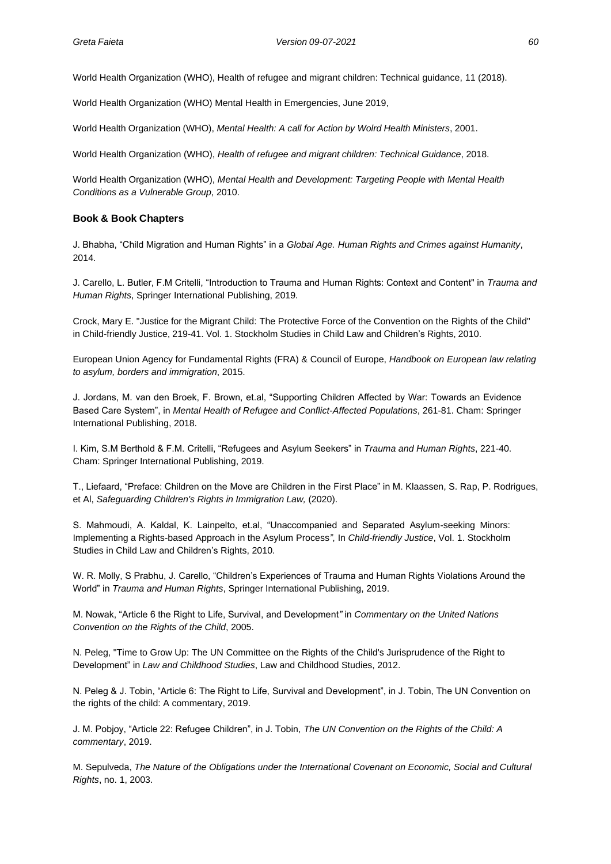World Health Organization (WHO), Health of refugee and migrant children: Technical guidance, 11 (2018).

World Health Organization (WHO) Mental Health in Emergencies, June 2019,

World Health Organization (WHO), *Mental Health: A call for Action by Wolrd Health Ministers*, 2001.

World Health Organization (WHO), *Health of refugee and migrant children: Technical Guidance*, 2018.

World Health Organization (WHO), *Mental Health and Development: Targeting People with Mental Health Conditions as a Vulnerable Group*, 2010.

#### **Book & Book Chapters**

J. Bhabha, "Child Migration and Human Rights" in a *Global Age. Human Rights and Crimes against Humanity*, 2014.

J. Carello, L. Butler, F.M Critelli, "Introduction to Trauma and Human Rights: Context and Content" in *Trauma and Human Rights*, Springer International Publishing, 2019.

Crock, Mary E. "Justice for the Migrant Child: The Protective Force of the Convention on the Rights of the Child" in Child-friendly Justice, 219-41. Vol. 1. Stockholm Studies in Child Law and Children's Rights, 2010.

European Union Agency for Fundamental Rights (FRA) & Council of Europe, *Handbook on European law relating to asylum, borders and immigration*, 2015.

J. Jordans, M. van den Broek, F. Brown, et.al, "Supporting Children Affected by War: Towards an Evidence Based Care System", in *Mental Health of Refugee and Conflict-Affected Populations*, 261-81. Cham: Springer International Publishing, 2018.

I. Kim, S.M Berthold & F.M. Critelli, "Refugees and Asylum Seekers" in *Trauma and Human Rights*, 221-40. Cham: Springer International Publishing, 2019.

T., Liefaard, "Preface: Children on the Move are Children in the First Place" in M. Klaassen, S. Rap, P. Rodrigues, et Al, *Safeguarding Children's Rights in Immigration Law,* (2020).

S. Mahmoudi, A. Kaldal, K. Lainpelto, et.al, "Unaccompanied and Separated Asylum-seeking Minors: Implementing a Rights-based Approach in the Asylum Process*"*, In *Child-friendly Justice*, Vol. 1. Stockholm Studies in Child Law and Children's Rights, 2010.

W. R. Molly, S Prabhu, J. Carello, "Children's Experiences of Trauma and Human Rights Violations Around the World" in *Trauma and Human Rights*, Springer International Publishing, 2019.

M. Nowak, "Article 6 the Right to Life, Survival, and Development*"* in *Commentary on the United Nations Convention on the Rights of the Child*, 2005.

N. Peleg, "Time to Grow Up: The UN Committee on the Rights of the Child's Jurisprudence of the Right to Development" in *Law and Childhood Studies*, Law and Childhood Studies, 2012.

N. Peleg & J. Tobin, "Article 6: The Right to Life, Survival and Development", in J. Tobin, The UN Convention on the rights of the child: A commentary, 2019.

J. M. Pobjoy, "Article 22: Refugee Children", in J. Tobin, *The UN Convention on the Rights of the Child: A commentary*, 2019.

M. Sepulveda, *The Nature of the Obligations under the International Covenant on Economic, Social and Cultural Rights*, no. 1, 2003.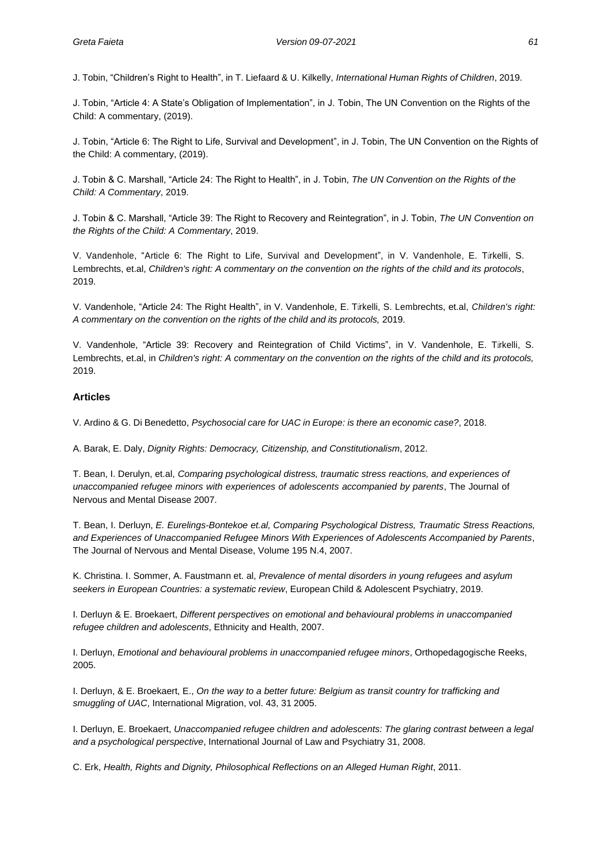J. Tobin, "Children's Right to Health", in T. Liefaard & U. Kilkelly, *International Human Rights of Children*, 2019.

J. Tobin, "Article 4: A State's Obligation of Implementation", in J. Tobin, The UN Convention on the Rights of the Child: A commentary, (2019).

J. Tobin, "Article 6: The Right to Life, Survival and Development", in J. Tobin, The UN Convention on the Rights of the Child: A commentary, (2019).

J. Tobin & C. Marshall, "Article 24: The Right to Health", in J. Tobin, *The UN Convention on the Rights of the Child: A Commentary*, 2019.

J. Tobin & C. Marshall, "Article 39: The Right to Recovery and Reintegration", in J. Tobin, *The UN Convention on the Rights of the Child: A Commentary*, 2019.

V. Vandenhole, "Article 6: The Right to Life, Survival and Development", in V. Vandenhole, E. Türkelli, S. Lembrechts, et.al, *Children's right: A commentary on the convention on the rights of the child and its protocols*, 2019.

V. Vandenhole, "Article 24: The Right Health", in V. Vandenhole, E. Türkelli, S. Lembrechts, et.al, *Children's right: A commentary on the convention on the rights of the child and its protocols,* 2019.

V. Vandenhole, "Article 39: Recovery and Reintegration of Child Victims", in V. Vandenhole, E. Türkelli, S. Lembrechts, et.al, in *Children's right: A commentary on the convention on the rights of the child and its protocols,* 2019.

#### **Articles**

V. Ardino & G. Di Benedetto, *Psychosocial care for UAC in Europe: is there an economic case?*, 2018.

A. Barak, E. Daly, *Dignity Rights: Democracy, Citizenship, and Constitutionalism*, 2012.

T. Bean, I. Derulyn, et.al, *Comparing psychological distress, traumatic stress reactions, and experiences of unaccompanied refugee minors with experiences of adolescents accompanied by parents*, The Journal of Nervous and Mental Disease 2007.

T. Bean, I. Derluyn, *E. Eurelings-Bontekoe et.al, Comparing Psychological Distress, Traumatic Stress Reactions, and Experiences of Unaccompanied Refugee Minors With Experiences of Adolescents Accompanied by Parents*, The Journal of Nervous and Mental Disease, Volume 195 N.4, 2007.

K. Christina. I. Sommer, A. Faustmann et. al, *Prevalence of mental disorders in young refugees and asylum seekers in European Countries: a systematic review*, European Child & Adolescent Psychiatry, 2019.

I. Derluyn & E. Broekaert, *Different perspectives on emotional and behavioural problems in unaccompanied refugee children and adolescents*, Ethnicity and Health, 2007.

I. Derluyn, *Emotional and behavioural problems in unaccompanied refugee minors*, Orthopedagogische Reeks, 2005.

I. Derluyn, & E. Broekaert, E., *On the way to a better future: Belgium as transit country for trafficking and smuggling of UAC*, International Migration, vol. 43, 31 2005.

I. Derluyn, E. Broekaert, *Unaccompanied refugee children and adolescents: The glaring contrast between a legal and a psychological perspective*, International Journal of Law and Psychiatry 31, 2008.

C. Erk, *Health, Rights and Dignity, Philosophical Reflections on an Alleged Human Right*, 2011.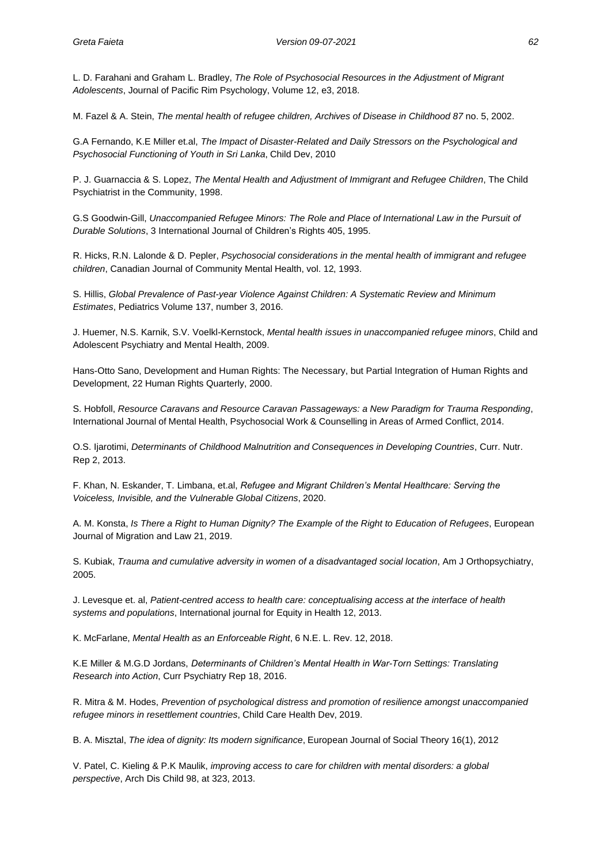L. D. Farahani and Graham L. Bradley, *The Role of Psychosocial Resources in the Adjustment of Migrant Adolescents*, Journal of Pacific Rim Psychology, Volume 12, e3, 2018.

M. Fazel & A. Stein, *The mental health of refugee children, Archives of Disease in Childhood 87* no. 5, 2002.

G.A Fernando, K.E Miller et.al, *The Impact of Disaster-Related and Daily Stressors on the Psychological and Psychosocial Functioning of Youth in Sri Lanka*, Child Dev, 2010

P. J. Guarnaccia & S. Lopez, *The Mental Health and Adjustment of Immigrant and Refugee Children*, The Child Psychiatrist in the Community, 1998.

G.S Goodwin-Gill, *Unaccompanied Refugee Minors: The Role and Place of International Law in the Pursuit of Durable Solutions*, 3 International Journal of Children's Rights 405, 1995.

R. Hicks, R.N. Lalonde & D. Pepler, *Psychosocial considerations in the mental health of immigrant and refugee children*, Canadian Journal of Community Mental Health, vol. 12, 1993.

S. Hillis, *Global Prevalence of Past-year Violence Against Children: A Systematic Review and Minimum Estimates*, Pediatrics Volume 137, number 3, 2016.

J. Huemer, N.S. Karnik, S.V. Voelkl-Kernstock, *Mental health issues in unaccompanied refugee minors*, Child and Adolescent Psychiatry and Mental Health, 2009.

Hans-Otto Sano, Development and Human Rights: The Necessary, but Partial Integration of Human Rights and Development, 22 Human Rights Quarterly, 2000.

S. Hobfoll, *Resource Caravans and Resource Caravan Passageways: a New Paradigm for Trauma Responding*, International Journal of Mental Health, Psychosocial Work & Counselling in Areas of Armed Conflict, 2014.

O.S. Ijarotimi, *Determinants of Childhood Malnutrition and Consequences in Developing Countries*, Curr. Nutr. Rep 2, 2013.

F. Khan, N. Eskander, T. Limbana, et.al, *Refugee and Migrant Children's Mental Healthcare: Serving the Voiceless, Invisible, and the Vulnerable Global Citizens*, 2020.

A. M. Konsta, *Is There a Right to Human Dignity? The Example of the Right to Education of Refugees*, European Journal of Migration and Law 21, 2019.

S. Kubiak, *Trauma and cumulative adversity in women of a disadvantaged social location*, Am J Orthopsychiatry, 2005.

J. Levesque et. al, *Patient-centred access to health care: conceptualising access at the interface of health systems and populations*, International journal for Equity in Health 12, 2013.

K. McFarlane, *Mental Health as an Enforceable Right*, 6 N.E. L. Rev. 12, 2018.

K.E Miller & M.G.D Jordans, *Determinants of Children's Mental Health in War-Torn Settings: Translating Research into Action*, Curr Psychiatry Rep 18, 2016.

R. Mitra & M. Hodes, *Prevention of psychological distress and promotion of resilience amongst unaccompanied refugee minors in resettlement countries*, Child Care Health Dev, 2019.

B. A. Misztal, *The idea of dignity: Its modern significance*, European Journal of Social Theory 16(1), 2012

V. Patel, C. Kieling & P.K Maulik, *improving access to care for children with mental disorders: a global perspective*, Arch Dis Child 98, at 323, 2013.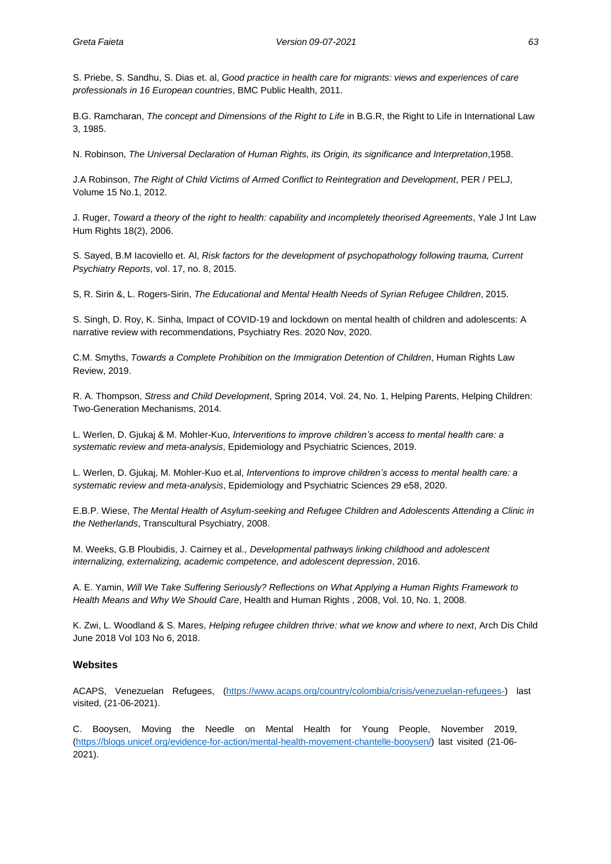S. Priebe, S. Sandhu, S. Dias et. al, *Good practice in health care for migrants: views and experiences of care professionals in 16 European countries*, BMC Public Health, 2011.

B.G. Ramcharan, *The concept and Dimensions of the Right to Life* in B.G.R, the Right to Life in International Law 3, 1985.

N. Robinson, *The Universal Declaration of Human Rights, its Origin, its significance and Interpretation*,1958.

J.A Robinson, *The Right of Child Victims of Armed Conflict to Reintegration and Development*, PER / PELJ, Volume 15 No.1, 2012.

J. Ruger, *Toward a theory of the right to health: capability and incompletely theorised Agreements*, Yale J Int Law Hum Rights 18(2), 2006.

S. Sayed, B.M Iacoviello et. Al, *Risk factors for the development of psychopathology following trauma, Current Psychiatry Reports*, vol. 17, no. 8, 2015.

S, R. Sirin &, L. Rogers-Sirin, *The Educational and Mental Health Needs of Syrian Refugee Children*, 2015.

S. Singh, D. Roy, K. Sinha, Impact of COVID-19 and lockdown on mental health of children and adolescents: A narrative review with recommendations, Psychiatry Res. 2020 Nov, 2020.

C.M. Smyths, *Towards a Complete Prohibition on the Immigration Detention of Children*, Human Rights Law Review, 2019.

R. A. Thompson, *Stress and Child Development*, Spring 2014, Vol. 24, No. 1, Helping Parents, Helping Children: Two-Generation Mechanisms, 2014.

L. Werlen, D. Gjukaj & M. Mohler-Kuo, *Interventions to improve children's access to mental health care: a systematic review and meta-analysis*, Epidemiology and Psychiatric Sciences, 2019.

L. Werlen, D. Gjukaj, M. Mohler-Kuo et.al, *Interventions to improve children's access to mental health care: a systematic review and meta-analysis*, Epidemiology and Psychiatric Sciences 29 e58, 2020.

E.B.P. Wiese, *The Mental Health of Asylum-seeking and Refugee Children and Adolescents Attending a Clinic in the Netherlands*, Transcultural Psychiatry, 2008.

M. Weeks, G.B Ploubidis, J. Cairney et al., *Developmental pathways linking childhood and adolescent internalizing, externalizing, academic competence, and adolescent depression*, 2016.

A. E. Yamin, *Will We Take Suffering Seriously? Reflections on What Applying a Human Rights Framework to Health Means and Why We Should Care*, Health and Human Rights , 2008, Vol. 10, No. 1, 2008.

K. Zwi, L. Woodland & S. Mares, *Helping refugee children thrive: what we know and where to next*, Arch Dis Child June 2018 Vol 103 No 6, 2018.

#### **Websites**

ACAPS, Venezuelan Refugees, [\(https://www.acaps.org/country/colombia/crisis/venezuelan-refugees-\)](https://www.acaps.org/country/colombia/crisis/venezuelan-refugees-) last visited, (21-06-2021).

C. Booysen, Moving the Needle on Mental Health for Young People, November 2019, [\(https://blogs.unicef.org/evidence-for-action/mental-health-movement-chantelle-booysen/\)](https://blogs.unicef.org/evidence-for-action/mental-health-movement-chantelle-booysen/) last visited (21-06- 2021).